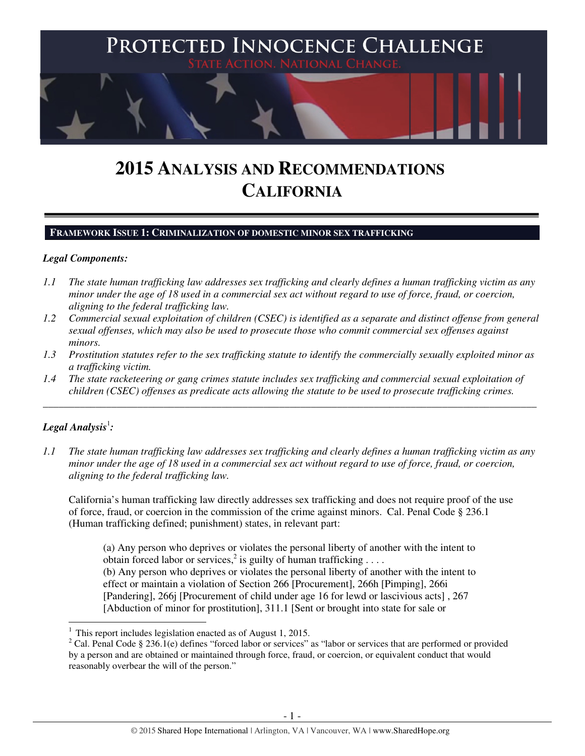

# **2015 ANALYSIS AND RECOMMENDATIONS CALIFORNIA**

#### **FRAMEWORK ISSUE 1: CRIMINALIZATION OF DOMESTIC MINOR SEX TRAFFICKING**

#### *Legal Components:*

- *1.1 The state human trafficking law addresses sex trafficking and clearly defines a human trafficking victim as any minor under the age of 18 used in a commercial sex act without regard to use of force, fraud, or coercion, aligning to the federal trafficking law.*
- *1.2 Commercial sexual exploitation of children (CSEC) is identified as a separate and distinct offense from general sexual offenses, which may also be used to prosecute those who commit commercial sex offenses against minors.*
- *1.3 Prostitution statutes refer to the sex trafficking statute to identify the commercially sexually exploited minor as a trafficking victim.*
- *1.4 The state racketeering or gang crimes statute includes sex trafficking and commercial sexual exploitation of children (CSEC) offenses as predicate acts allowing the statute to be used to prosecute trafficking crimes.*

\_\_\_\_\_\_\_\_\_\_\_\_\_\_\_\_\_\_\_\_\_\_\_\_\_\_\_\_\_\_\_\_\_\_\_\_\_\_\_\_\_\_\_\_\_\_\_\_\_\_\_\_\_\_\_\_\_\_\_\_\_\_\_\_\_\_\_\_\_\_\_\_\_\_\_\_\_\_\_\_\_\_\_\_\_\_\_\_\_\_\_\_\_\_

# $\bm{\mathit{Legal\, Analysis}^{\text{!}}:}$

l

*1.1 The state human trafficking law addresses sex trafficking and clearly defines a human trafficking victim as any minor under the age of 18 used in a commercial sex act without regard to use of force, fraud, or coercion, aligning to the federal trafficking law.* 

California's human trafficking law directly addresses sex trafficking and does not require proof of the use of force, fraud, or coercion in the commission of the crime against minors. Cal. Penal Code § 236.1 (Human trafficking defined; punishment) states, in relevant part:

(a) Any person who deprives or violates the personal liberty of another with the intent to obtain forced labor or services,<sup>2</sup> is guilty of human trafficking .... (b) Any person who deprives or violates the personal liberty of another with the intent to effect or maintain a violation of Section 266 [Procurement], 266h [Pimping], 266i [Pandering], 266j [Procurement of child under age 16 for lewd or lascivious acts] , 267 [Abduction of minor for prostitution], 311.1 [Sent or brought into state for sale or

<sup>1</sup>This report includes legislation enacted as of August 1, 2015.

<sup>&</sup>lt;sup>2</sup> Cal. Penal Code § 236.1(e) defines "forced labor or services" as "labor or services that are performed or provided by a person and are obtained or maintained through force, fraud, or coercion, or equivalent conduct that would reasonably overbear the will of the person."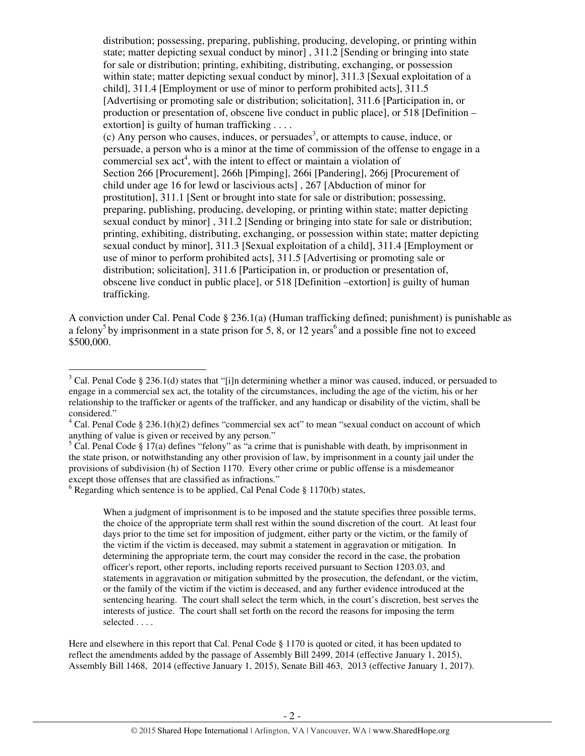distribution; possessing, preparing, publishing, producing, developing, or printing within state; matter depicting sexual conduct by minor] , 311.2 [Sending or bringing into state for sale or distribution; printing, exhibiting, distributing, exchanging, or possession within state; matter depicting sexual conduct by minor], 311.3 [Sexual exploitation of a child], 311.4 [Employment or use of minor to perform prohibited acts], 311.5 [Advertising or promoting sale or distribution; solicitation], 311.6 [Participation in, or production or presentation of, obscene live conduct in public place], or 518 [Definition – extortion] is guilty of human trafficking . . . . (c) Any person who causes, induces, or persuades<sup>3</sup>, or attempts to cause, induce, or persuade, a person who is a minor at the time of commission of the offense to engage in a commercial sex  $act<sup>4</sup>$ , with the intent to effect or maintain a violation of Section 266 [Procurement], 266h [Pimping], 266i [Pandering], 266j [Procurement of child under age 16 for lewd or lascivious acts] , 267 [Abduction of minor for prostitution], 311.1 [Sent or brought into state for sale or distribution; possessing, preparing, publishing, producing, developing, or printing within state; matter depicting sexual conduct by minor] , 311.2 [Sending or bringing into state for sale or distribution; printing, exhibiting, distributing, exchanging, or possession within state; matter depicting sexual conduct by minor], 311.3 [Sexual exploitation of a child], 311.4 [Employment or use of minor to perform prohibited acts], 311.5 [Advertising or promoting sale or distribution; solicitation], 311.6 [Participation in, or production or presentation of, obscene live conduct in public place], or 518 [Definition –extortion] is guilty of human trafficking.

A conviction under Cal. Penal Code  $\S 236.1(a)$  (Human trafficking defined; punishment) is punishable as a felony<sup>5</sup> by imprisonment in a state prison for 5, 8, or 12 years<sup>6</sup> and a possible fine not to exceed \$500,000.

 $3$  Cal. Penal Code § 236.1(d) states that "[i]n determining whether a minor was caused, induced, or persuaded to engage in a commercial sex act, the totality of the circumstances, including the age of the victim, his or her relationship to the trafficker or agents of the trafficker, and any handicap or disability of the victim, shall be considered."

 $4$  Cal. Penal Code § 236.1(h)(2) defines "commercial sex act" to mean "sexual conduct on account of which anything of value is given or received by any person."

 $5$  Cal. Penal Code § 17(a) defines "felony" as "a crime that is punishable with death, by imprisonment in the state prison, or notwithstanding any other provision of law, by imprisonment in a county jail under the provisions of subdivision (h) of Section 1170. Every other crime or public offense is a misdemeanor except those offenses that are classified as infractions."

 $6$  Regarding which sentence is to be applied, Cal Penal Code § 1170(b) states,

When a judgment of imprisonment is to be imposed and the statute specifies three possible terms, the choice of the appropriate term shall rest within the sound discretion of the court. At least four days prior to the time set for imposition of judgment, either party or the victim, or the family of the victim if the victim is deceased, may submit a statement in aggravation or mitigation. In determining the appropriate term, the court may consider the record in the case, the probation officer's report, other reports, including reports received pursuant to Section 1203.03, and statements in aggravation or mitigation submitted by the prosecution, the defendant, or the victim, or the family of the victim if the victim is deceased, and any further evidence introduced at the sentencing hearing. The court shall select the term which, in the court's discretion, best serves the interests of justice. The court shall set forth on the record the reasons for imposing the term selected . . . .

Here and elsewhere in this report that Cal. Penal Code § 1170 is quoted or cited, it has been updated to reflect the amendments added by the passage of Assembly Bill 2499, 2014 (effective January 1, 2015), Assembly Bill 1468, 2014 (effective January 1, 2015), Senate Bill 463, 2013 (effective January 1, 2017).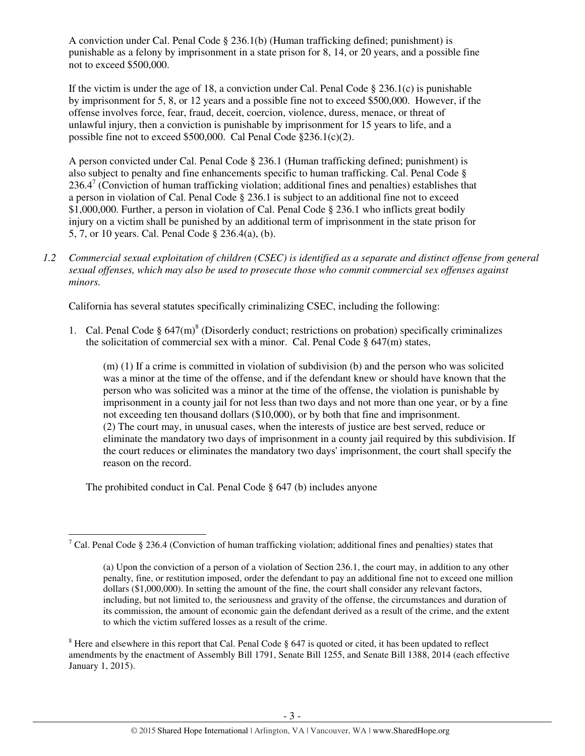A conviction under Cal. Penal Code  $\S 236.1(b)$  (Human trafficking defined; punishment) is punishable as a felony by imprisonment in a state prison for 8, 14, or 20 years, and a possible fine not to exceed \$500,000.

If the victim is under the age of 18, a conviction under Cal. Penal Code § 236.1(c) is punishable by imprisonment for 5, 8, or 12 years and a possible fine not to exceed \$500,000. However, if the offense involves force, fear, fraud, deceit, coercion, violence, duress, menace, or threat of unlawful injury, then a conviction is punishable by imprisonment for 15 years to life, and a possible fine not to exceed \$500,000. Cal Penal Code §236.1(c)(2).

A person convicted under Cal. Penal Code § 236.1 (Human trafficking defined; punishment) is also subject to penalty and fine enhancements specific to human trafficking. Cal. Penal Code §  $236.4^7$  (Conviction of human trafficking violation; additional fines and penalties) establishes that a person in violation of Cal. Penal Code § 236.1 is subject to an additional fine not to exceed \$1,000,000. Further, a person in violation of Cal. Penal Code § 236.1 who inflicts great bodily injury on a victim shall be punished by an additional term of imprisonment in the state prison for 5, 7, or 10 years. Cal. Penal Code § 236.4(a), (b).

*1.2 Commercial sexual exploitation of children (CSEC) is identified as a separate and distinct offense from general sexual offenses, which may also be used to prosecute those who commit commercial sex offenses against minors.* 

California has several statutes specifically criminalizing CSEC, including the following:

1. Cal. Penal Code  $\S 647(m)^8$  (Disorderly conduct; restrictions on probation) specifically criminalizes the solicitation of commercial sex with a minor. Cal. Penal Code  $\S$  647(m) states,

(m) (1) If a crime is committed in violation of subdivision (b) and the person who was solicited was a minor at the time of the offense, and if the defendant knew or should have known that the person who was solicited was a minor at the time of the offense, the violation is punishable by imprisonment in a county jail for not less than two days and not more than one year, or by a fine not exceeding ten thousand dollars (\$10,000), or by both that fine and imprisonment. (2) The court may, in unusual cases, when the interests of justice are best served, reduce or eliminate the mandatory two days of imprisonment in a county jail required by this subdivision. If the court reduces or eliminates the mandatory two days' imprisonment, the court shall specify the reason on the record.

The prohibited conduct in Cal. Penal Code § 647 (b) includes anyone

<sup>&</sup>lt;sup>7</sup> Cal. Penal Code § 236.4 (Conviction of human trafficking violation; additional fines and penalties) states that

<sup>(</sup>a) Upon the conviction of a person of a violation of Section 236.1, the court may, in addition to any other penalty, fine, or restitution imposed, order the defendant to pay an additional fine not to exceed one million dollars (\$1,000,000). In setting the amount of the fine, the court shall consider any relevant factors, including, but not limited to, the seriousness and gravity of the offense, the circumstances and duration of its commission, the amount of economic gain the defendant derived as a result of the crime, and the extent to which the victim suffered losses as a result of the crime.

 $8$  Here and elsewhere in this report that Cal. Penal Code  $\S$  647 is quoted or cited, it has been updated to reflect amendments by the enactment of Assembly Bill 1791, Senate Bill 1255, and Senate Bill 1388, 2014 (each effective January 1, 2015).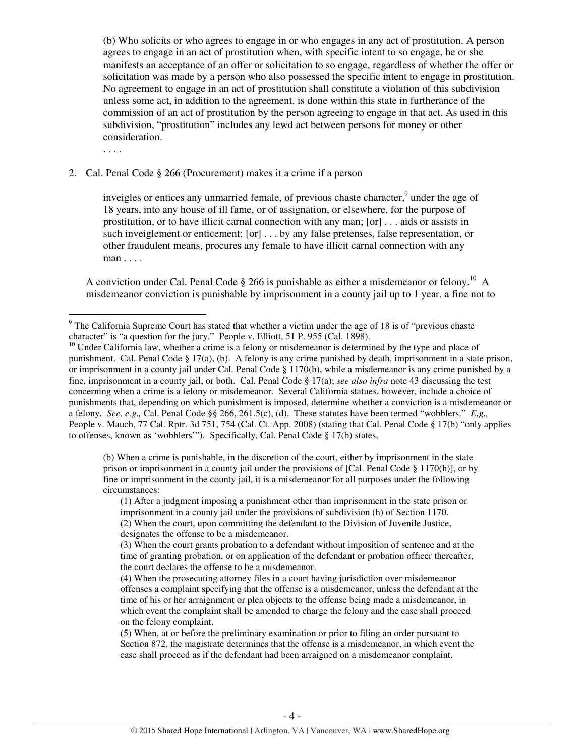(b) Who solicits or who agrees to engage in or who engages in any act of prostitution. A person agrees to engage in an act of prostitution when, with specific intent to so engage, he or she manifests an acceptance of an offer or solicitation to so engage, regardless of whether the offer or solicitation was made by a person who also possessed the specific intent to engage in prostitution. No agreement to engage in an act of prostitution shall constitute a violation of this subdivision unless some act, in addition to the agreement, is done within this state in furtherance of the commission of an act of prostitution by the person agreeing to engage in that act. As used in this subdivision, "prostitution" includes any lewd act between persons for money or other consideration.

. . . .

 $\overline{a}$ 

#### 2. Cal. Penal Code § 266 (Procurement) makes it a crime if a person

inveigles or entices any unmarried female, of previous chaste character,<sup>9</sup> under the age of 18 years, into any house of ill fame, or of assignation, or elsewhere, for the purpose of prostitution, or to have illicit carnal connection with any man; [or] . . . aids or assists in such inveiglement or enticement; [or] . . . by any false pretenses, false representation, or other fraudulent means, procures any female to have illicit carnal connection with any man . . . .

A conviction under Cal. Penal Code  $\S 266$  is punishable as either a misdemeanor or felony.<sup>10</sup> A misdemeanor conviction is punishable by imprisonment in a county jail up to 1 year, a fine not to

(b) When a crime is punishable, in the discretion of the court, either by imprisonment in the state prison or imprisonment in a county jail under the provisions of [Cal. Penal Code § 1170(h)], or by fine or imprisonment in the county jail, it is a misdemeanor for all purposes under the following circumstances:

(1) After a judgment imposing a punishment other than imprisonment in the state prison or imprisonment in a county jail under the provisions of subdivision (h) of Section 1170. (2) When the court, upon committing the defendant to the Division of Juvenile Justice, designates the offense to be a misdemeanor.

 $9$  The California Supreme Court has stated that whether a victim under the age of 18 is of "previous chaste" character" is "a question for the jury." People v. Elliott, 51 P. 955 (Cal. 1898).

<sup>&</sup>lt;sup>10</sup> Under California law, whether a crime is a felony or misdemeanor is determined by the type and place of punishment. Cal. Penal Code § 17(a), (b). A felony is any crime punished by death, imprisonment in a state prison, or imprisonment in a county jail under Cal. Penal Code § 1170(h), while a misdemeanor is any crime punished by a fine, imprisonment in a county jail, or both. Cal. Penal Code § 17(a); *see also infra* note 43 discussing the test concerning when a crime is a felony or misdemeanor. Several California statues, however, include a choice of punishments that, depending on which punishment is imposed, determine whether a conviction is a misdemeanor or a felony. *See, e.g.,* Cal. Penal Code §§ 266, 261.5(c), (d). These statutes have been termed "wobblers." *E.g.,*  People v. Mauch, 77 Cal. Rptr. 3d 751, 754 (Cal. Ct. App. 2008) (stating that Cal. Penal Code § 17(b) "only applies to offenses, known as 'wobblers'"). Specifically, Cal. Penal Code § 17(b) states,

<sup>(3)</sup> When the court grants probation to a defendant without imposition of sentence and at the time of granting probation, or on application of the defendant or probation officer thereafter, the court declares the offense to be a misdemeanor.

<sup>(4)</sup> When the prosecuting attorney files in a court having jurisdiction over misdemeanor offenses a complaint specifying that the offense is a misdemeanor, unless the defendant at the time of his or her arraignment or plea objects to the offense being made a misdemeanor, in which event the complaint shall be amended to charge the felony and the case shall proceed on the felony complaint.

<sup>(5)</sup> When, at or before the preliminary examination or prior to filing an order pursuant to Section 872, the magistrate determines that the offense is a misdemeanor, in which event the case shall proceed as if the defendant had been arraigned on a misdemeanor complaint.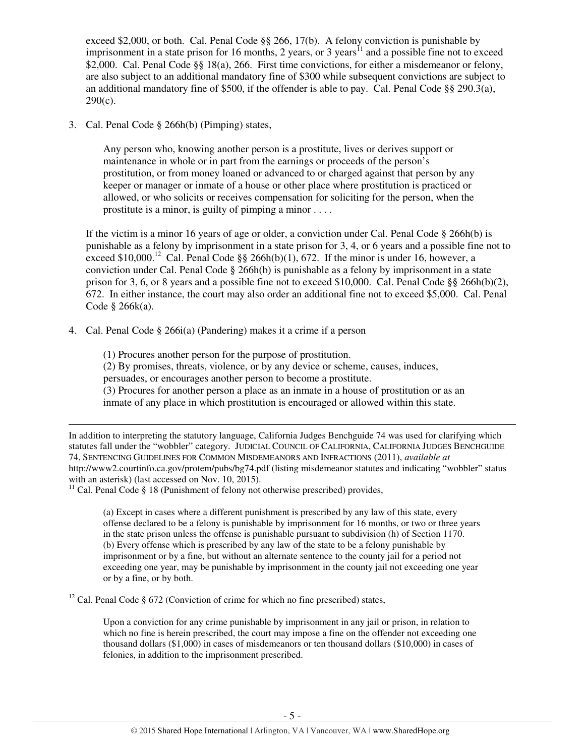exceed \$2,000, or both. Cal. Penal Code §§ 266, 17(b). A felony conviction is punishable by imprisonment in a state prison for 16 months, 2 years, or 3 years<sup>11</sup> and a possible fine not to exceed \$2,000. Cal. Penal Code §§ 18(a), 266. First time convictions, for either a misdemeanor or felony, are also subject to an additional mandatory fine of \$300 while subsequent convictions are subject to an additional mandatory fine of \$500, if the offender is able to pay. Cal. Penal Code  $\S$ § 290.3(a),  $290(c)$ .

3. Cal. Penal Code § 266h(b) (Pimping) states,

l

Any person who, knowing another person is a prostitute, lives or derives support or maintenance in whole or in part from the earnings or proceeds of the person's prostitution, or from money loaned or advanced to or charged against that person by any keeper or manager or inmate of a house or other place where prostitution is practiced or allowed, or who solicits or receives compensation for soliciting for the person, when the prostitute is a minor, is guilty of pimping a minor . . . .

If the victim is a minor 16 years of age or older, a conviction under Cal. Penal Code  $\S$  266h(b) is punishable as a felony by imprisonment in a state prison for 3, 4, or 6 years and a possible fine not to exceed \$10,000.<sup>12</sup> Cal. Penal Code §§ 266h(b)(1), 672. If the minor is under 16, however, a conviction under Cal. Penal Code  $\S$  266h(b) is punishable as a felony by imprisonment in a state prison for 3, 6, or 8 years and a possible fine not to exceed \$10,000. Cal. Penal Code  $\S$ § 266h(b)(2), 672. In either instance, the court may also order an additional fine not to exceed \$5,000. Cal. Penal Code § 266k(a).

4. Cal. Penal Code § 266i(a) (Pandering) makes it a crime if a person

(1) Procures another person for the purpose of prostitution.

(2) By promises, threats, violence, or by any device or scheme, causes, induces,

persuades, or encourages another person to become a prostitute.

(3) Procures for another person a place as an inmate in a house of prostitution or as an inmate of any place in which prostitution is encouraged or allowed within this state.

In addition to interpreting the statutory language, California Judges Benchguide 74 was used for clarifying which statutes fall under the "wobbler" category. JUDICIAL COUNCIL OF CALIFORNIA, CALIFORNIA JUDGES BENCHGUIDE 74, SENTENCING GUIDELINES FOR COMMON MISDEMEANORS AND INFRACTIONS (2011), *available at*  http://www2.courtinfo.ca.gov/protem/pubs/bg74.pdf (listing misdemeanor statutes and indicating "wobbler" status with an asterisk) (last accessed on Nov. 10, 2015).

 $11$  Cal. Penal Code § 18 (Punishment of felony not otherwise prescribed) provides,

(a) Except in cases where a different punishment is prescribed by any law of this state, every offense declared to be a felony is punishable by imprisonment for 16 months, or two or three years in the state prison unless the offense is punishable pursuant to subdivision (h) of Section 1170. (b) Every offense which is prescribed by any law of the state to be a felony punishable by imprisonment or by a fine, but without an alternate sentence to the county jail for a period not exceeding one year, may be punishable by imprisonment in the county jail not exceeding one year or by a fine, or by both.

<sup>12</sup> Cal. Penal Code § 672 (Conviction of crime for which no fine prescribed) states,

Upon a conviction for any crime punishable by imprisonment in any jail or prison, in relation to which no fine is herein prescribed, the court may impose a fine on the offender not exceeding one thousand dollars (\$1,000) in cases of misdemeanors or ten thousand dollars (\$10,000) in cases of felonies, in addition to the imprisonment prescribed.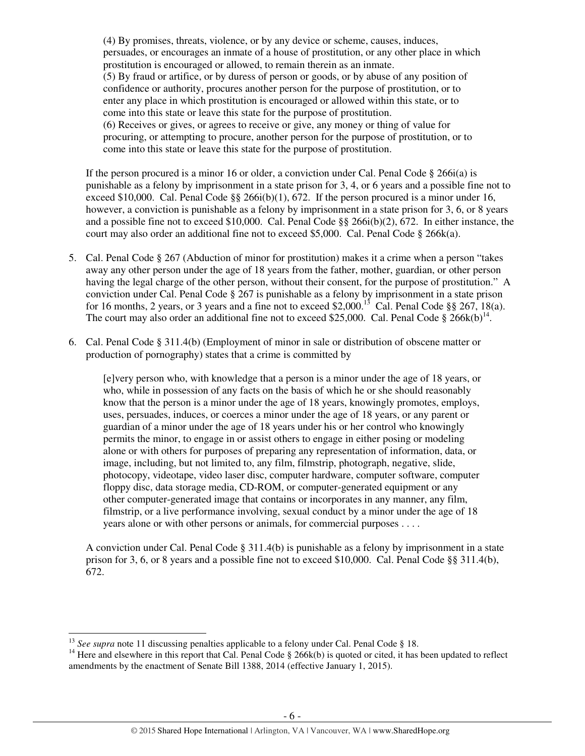(4) By promises, threats, violence, or by any device or scheme, causes, induces, persuades, or encourages an inmate of a house of prostitution, or any other place in which prostitution is encouraged or allowed, to remain therein as an inmate. (5) By fraud or artifice, or by duress of person or goods, or by abuse of any position of confidence or authority, procures another person for the purpose of prostitution, or to enter any place in which prostitution is encouraged or allowed within this state, or to come into this state or leave this state for the purpose of prostitution. (6) Receives or gives, or agrees to receive or give, any money or thing of value for procuring, or attempting to procure, another person for the purpose of prostitution, or to come into this state or leave this state for the purpose of prostitution.

If the person procured is a minor 16 or older, a conviction under Cal. Penal Code  $\S$  266i(a) is punishable as a felony by imprisonment in a state prison for 3, 4, or 6 years and a possible fine not to exceed \$10,000. Cal. Penal Code  $\S$ § 266i(b)(1), 672. If the person procured is a minor under 16, however, a conviction is punishable as a felony by imprisonment in a state prison for 3, 6, or 8 years and a possible fine not to exceed \$10,000. Cal. Penal Code §§ 266i(b)(2), 672. In either instance, the court may also order an additional fine not to exceed \$5,000. Cal. Penal Code § 266 $k$ (a).

- 5. Cal. Penal Code § 267 (Abduction of minor for prostitution) makes it a crime when a person "takes away any other person under the age of 18 years from the father, mother, guardian, or other person having the legal charge of the other person, without their consent, for the purpose of prostitution." A conviction under Cal. Penal Code § 267 is punishable as a felony by imprisonment in a state prison for 16 months, 2 years, or 3 years and a fine not to exceed \$2,000.<sup>13</sup> Cal. Penal Code §§ 267, 18(a). The court may also order an additional fine not to exceed \$25,000. Cal. Penal Code  $\S 266k(b)^{14}$ .
- 6. Cal. Penal Code § 311.4(b) (Employment of minor in sale or distribution of obscene matter or production of pornography) states that a crime is committed by

[e]very person who, with knowledge that a person is a minor under the age of 18 years, or who, while in possession of any facts on the basis of which he or she should reasonably know that the person is a minor under the age of 18 years, knowingly promotes, employs, uses, persuades, induces, or coerces a minor under the age of 18 years, or any parent or guardian of a minor under the age of 18 years under his or her control who knowingly permits the minor, to engage in or assist others to engage in either posing or modeling alone or with others for purposes of preparing any representation of information, data, or image, including, but not limited to, any film, filmstrip, photograph, negative, slide, photocopy, videotape, video laser disc, computer hardware, computer software, computer floppy disc, data storage media, CD-ROM, or computer-generated equipment or any other computer-generated image that contains or incorporates in any manner, any film, filmstrip, or a live performance involving, sexual conduct by a minor under the age of 18 years alone or with other persons or animals, for commercial purposes . . . .

A conviction under Cal. Penal Code  $\S 311.4(b)$  is punishable as a felony by imprisonment in a state prison for 3, 6, or 8 years and a possible fine not to exceed \$10,000. Cal. Penal Code §§ 311.4(b), 672.

l

<sup>&</sup>lt;sup>13</sup> *See supra* note 11 discussing penalties applicable to a felony under Cal. Penal Code § 18.

<sup>&</sup>lt;sup>14</sup> Here and elsewhere in this report that Cal. Penal Code  $\S$  266k(b) is quoted or cited, it has been updated to reflect amendments by the enactment of Senate Bill 1388, 2014 (effective January 1, 2015).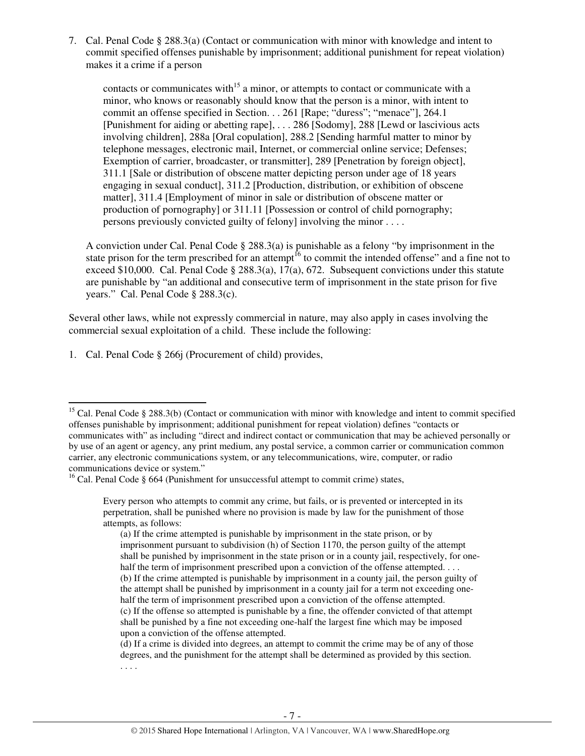7. Cal. Penal Code § 288.3(a) (Contact or communication with minor with knowledge and intent to commit specified offenses punishable by imprisonment; additional punishment for repeat violation) makes it a crime if a person

contacts or communicates with<sup>15</sup> a minor, or attempts to contact or communicate with a minor, who knows or reasonably should know that the person is a minor, with intent to commit an offense specified in Section. . . 261 [Rape; "duress"; "menace"], 264.1 [Punishment for aiding or abetting rape], . . . 286 [Sodomy], 288 [Lewd or lascivious acts involving children], 288a [Oral copulation], 288.2 [Sending harmful matter to minor by telephone messages, electronic mail, Internet, or commercial online service; Defenses; Exemption of carrier, broadcaster, or transmitter], 289 [Penetration by foreign object], 311.1 [Sale or distribution of obscene matter depicting person under age of 18 years engaging in sexual conduct], 311.2 [Production, distribution, or exhibition of obscene matter], 311.4 [Employment of minor in sale or distribution of obscene matter or production of pornography] or 311.11 [Possession or control of child pornography; persons previously convicted guilty of felony] involving the minor . . . .

A conviction under Cal. Penal Code § 288.3(a) is punishable as a felony "by imprisonment in the state prison for the term prescribed for an attempt<sup>16</sup> to commit the intended offense" and a fine not to exceed \$10,000. Cal. Penal Code § 288.3(a), 17(a), 672. Subsequent convictions under this statute are punishable by "an additional and consecutive term of imprisonment in the state prison for five years." Cal. Penal Code § 288.3(c).

Several other laws, while not expressly commercial in nature, may also apply in cases involving the commercial sexual exploitation of a child. These include the following:

1. Cal. Penal Code § 266j (Procurement of child) provides,

l

<sup>&</sup>lt;sup>15</sup> Cal. Penal Code § 288.3(b) (Contact or communication with minor with knowledge and intent to commit specified offenses punishable by imprisonment; additional punishment for repeat violation) defines "contacts or communicates with" as including "direct and indirect contact or communication that may be achieved personally or by use of an agent or agency, any print medium, any postal service, a common carrier or communication common carrier, any electronic communications system, or any telecommunications, wire, computer, or radio communications device or system."

<sup>&</sup>lt;sup>16</sup> Cal. Penal Code § 664 (Punishment for unsuccessful attempt to commit crime) states,

Every person who attempts to commit any crime, but fails, or is prevented or intercepted in its perpetration, shall be punished where no provision is made by law for the punishment of those attempts, as follows:

<sup>(</sup>a) If the crime attempted is punishable by imprisonment in the state prison, or by imprisonment pursuant to subdivision (h) of Section 1170, the person guilty of the attempt shall be punished by imprisonment in the state prison or in a county jail, respectively, for onehalf the term of imprisonment prescribed upon a conviction of the offense attempted. . . . (b) If the crime attempted is punishable by imprisonment in a county jail, the person guilty of the attempt shall be punished by imprisonment in a county jail for a term not exceeding onehalf the term of imprisonment prescribed upon a conviction of the offense attempted. (c) If the offense so attempted is punishable by a fine, the offender convicted of that attempt shall be punished by a fine not exceeding one-half the largest fine which may be imposed upon a conviction of the offense attempted.

<sup>(</sup>d) If a crime is divided into degrees, an attempt to commit the crime may be of any of those degrees, and the punishment for the attempt shall be determined as provided by this section. . . . .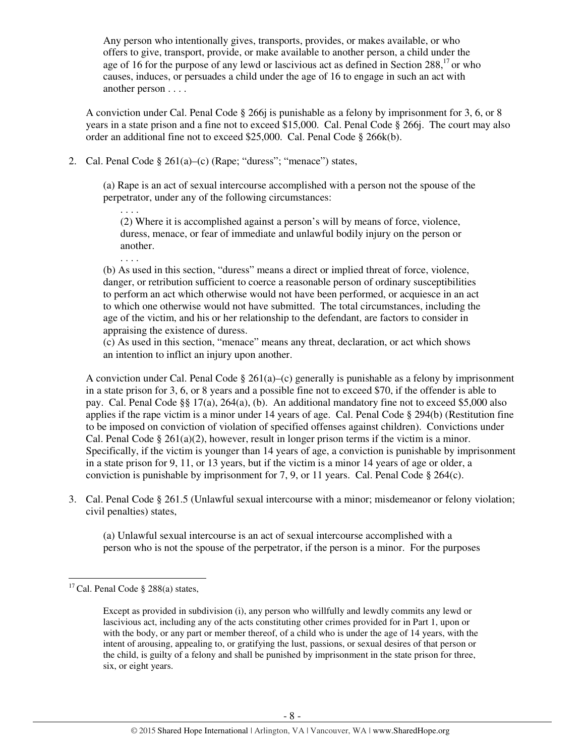Any person who intentionally gives, transports, provides, or makes available, or who offers to give, transport, provide, or make available to another person, a child under the age of 16 for the purpose of any lewd or lascivious act as defined in Section 288,<sup>17</sup> or who causes, induces, or persuades a child under the age of 16 to engage in such an act with another person . . . .

A conviction under Cal. Penal Code § 266j is punishable as a felony by imprisonment for 3, 6, or 8 years in a state prison and a fine not to exceed \$15,000. Cal. Penal Code § 266j. The court may also order an additional fine not to exceed \$25,000. Cal. Penal Code § 266k(b).

2. Cal. Penal Code  $\S 261(a)$ –(c) (Rape; "duress"; "menace") states,

(a) Rape is an act of sexual intercourse accomplished with a person not the spouse of the perpetrator, under any of the following circumstances:

(2) Where it is accomplished against a person's will by means of force, violence, duress, menace, or fear of immediate and unlawful bodily injury on the person or another.

(b) As used in this section, "duress" means a direct or implied threat of force, violence, danger, or retribution sufficient to coerce a reasonable person of ordinary susceptibilities to perform an act which otherwise would not have been performed, or acquiesce in an act to which one otherwise would not have submitted. The total circumstances, including the age of the victim, and his or her relationship to the defendant, are factors to consider in appraising the existence of duress.

(c) As used in this section, "menace" means any threat, declaration, or act which shows an intention to inflict an injury upon another.

A conviction under Cal. Penal Code  $\S 261(a)$ –(c) generally is punishable as a felony by imprisonment in a state prison for 3, 6, or 8 years and a possible fine not to exceed \$70, if the offender is able to pay. Cal. Penal Code §§ 17(a), 264(a), (b). An additional mandatory fine not to exceed \$5,000 also applies if the rape victim is a minor under 14 years of age. Cal. Penal Code § 294(b) (Restitution fine to be imposed on conviction of violation of specified offenses against children). Convictions under Cal. Penal Code § 261(a)(2), however, result in longer prison terms if the victim is a minor. Specifically, if the victim is younger than 14 years of age, a conviction is punishable by imprisonment in a state prison for 9, 11, or 13 years, but if the victim is a minor 14 years of age or older, a conviction is punishable by imprisonment for 7, 9, or 11 years. Cal. Penal Code § 264(c).

3. Cal. Penal Code § 261.5 (Unlawful sexual intercourse with a minor; misdemeanor or felony violation; civil penalties) states,

(a) Unlawful sexual intercourse is an act of sexual intercourse accomplished with a person who is not the spouse of the perpetrator, if the person is a minor. For the purposes

 $\overline{a}$ 

. . . .

. . . .

<sup>&</sup>lt;sup>17</sup> Cal. Penal Code § 288(a) states,

Except as provided in subdivision (i), any person who willfully and lewdly commits any lewd or lascivious act, including any of the acts constituting other crimes provided for in Part 1, upon or with the body, or any part or member thereof, of a child who is under the age of 14 years, with the intent of arousing, appealing to, or gratifying the lust, passions, or sexual desires of that person or the child, is guilty of a felony and shall be punished by imprisonment in the state prison for three, six, or eight years.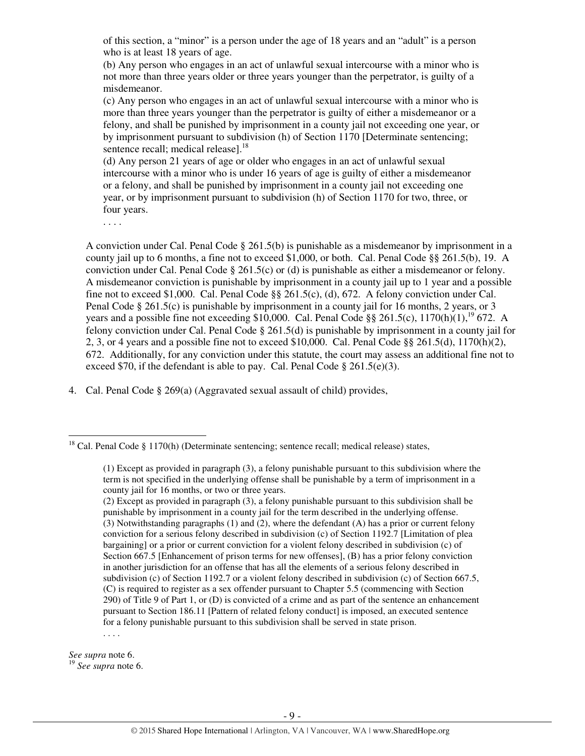of this section, a "minor" is a person under the age of 18 years and an "adult" is a person who is at least 18 years of age.

(b) Any person who engages in an act of unlawful sexual intercourse with a minor who is not more than three years older or three years younger than the perpetrator, is guilty of a misdemeanor.

(c) Any person who engages in an act of unlawful sexual intercourse with a minor who is more than three years younger than the perpetrator is guilty of either a misdemeanor or a felony, and shall be punished by imprisonment in a county jail not exceeding one year, or by imprisonment pursuant to subdivision (h) of Section 1170 [Determinate sentencing; sentence recall; medical releasel.<sup>18</sup>

(d) Any person 21 years of age or older who engages in an act of unlawful sexual intercourse with a minor who is under 16 years of age is guilty of either a misdemeanor or a felony, and shall be punished by imprisonment in a county jail not exceeding one year, or by imprisonment pursuant to subdivision (h) of Section 1170 for two, three, or four years.

. . . .

A conviction under Cal. Penal Code § 261.5(b) is punishable as a misdemeanor by imprisonment in a county jail up to 6 months, a fine not to exceed \$1,000, or both. Cal. Penal Code §§ 261.5(b), 19. A conviction under Cal. Penal Code  $\S 261.5(c)$  or (d) is punishable as either a misdemeanor or felony. A misdemeanor conviction is punishable by imprisonment in a county jail up to 1 year and a possible fine not to exceed \$1,000. Cal. Penal Code §§ 261.5(c), (d), 672. A felony conviction under Cal. Penal Code § 261.5(c) is punishable by imprisonment in a county jail for 16 months, 2 years, or 3 years and a possible fine not exceeding \$10,000. Cal. Penal Code §§ 261.5(c),  $1170(h)(1)$ , <sup>19</sup> 672. A felony conviction under Cal. Penal Code § 261.5(d) is punishable by imprisonment in a county jail for 2, 3, or 4 years and a possible fine not to exceed \$10,000. Cal. Penal Code  $\S$ § 261.5(d), 1170(h)(2), 672. Additionally, for any conviction under this statute, the court may assess an additional fine not to exceed \$70, if the defendant is able to pay. Cal. Penal Code  $\S 261.5(e)(3)$ .

4. Cal. Penal Code § 269(a) (Aggravated sexual assault of child) provides,

l

*See supra* note 6. <sup>19</sup> *See supra* note 6.

<sup>&</sup>lt;sup>18</sup> Cal. Penal Code § 1170(h) (Determinate sentencing; sentence recall; medical release) states,

<sup>(1)</sup> Except as provided in paragraph (3), a felony punishable pursuant to this subdivision where the term is not specified in the underlying offense shall be punishable by a term of imprisonment in a county jail for 16 months, or two or three years.

<sup>(2)</sup> Except as provided in paragraph (3), a felony punishable pursuant to this subdivision shall be punishable by imprisonment in a county jail for the term described in the underlying offense. (3) Notwithstanding paragraphs (1) and (2), where the defendant (A) has a prior or current felony conviction for a serious felony described in subdivision (c) of Section 1192.7 [Limitation of plea bargaining] or a prior or current conviction for a violent felony described in subdivision (c) of Section 667.5 [Enhancement of prison terms for new offenses], (B) has a prior felony conviction in another jurisdiction for an offense that has all the elements of a serious felony described in subdivision (c) of Section 1192.7 or a violent felony described in subdivision (c) of Section 667.5, (C) is required to register as a sex offender pursuant to Chapter 5.5 (commencing with Section 290) of Title 9 of Part 1, or (D) is convicted of a crime and as part of the sentence an enhancement pursuant to Section 186.11 [Pattern of related felony conduct] is imposed, an executed sentence for a felony punishable pursuant to this subdivision shall be served in state prison. . . . .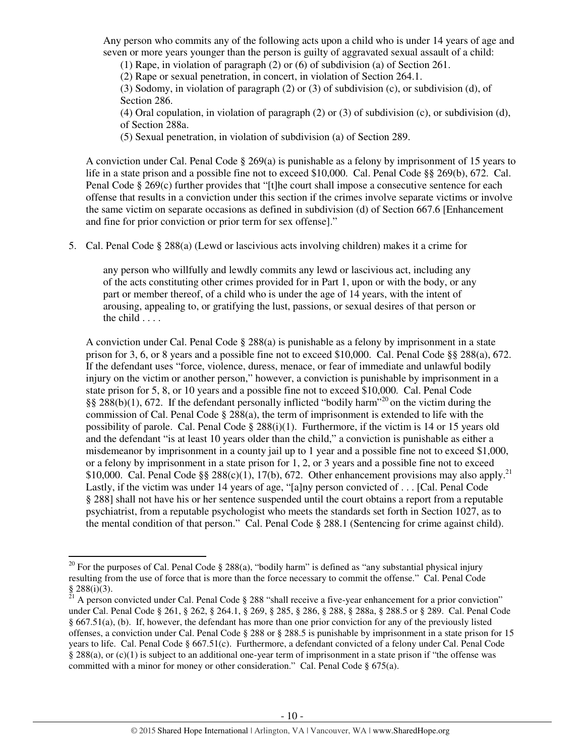Any person who commits any of the following acts upon a child who is under 14 years of age and seven or more years younger than the person is guilty of aggravated sexual assault of a child:

(1) Rape, in violation of paragraph (2) or (6) of subdivision (a) of Section 261.

(2) Rape or sexual penetration, in concert, in violation of Section 264.1.

(3) Sodomy, in violation of paragraph (2) or (3) of subdivision (c), or subdivision (d), of Section 286.

(4) Oral copulation, in violation of paragraph (2) or (3) of subdivision (c), or subdivision (d), of Section 288a.

(5) Sexual penetration, in violation of subdivision (a) of Section 289.

A conviction under Cal. Penal Code  $\S 269(a)$  is punishable as a felony by imprisonment of 15 years to life in a state prison and a possible fine not to exceed \$10,000. Cal. Penal Code §§ 269(b), 672. Cal. Penal Code § 269(c) further provides that "[t]he court shall impose a consecutive sentence for each offense that results in a conviction under this section if the crimes involve separate victims or involve the same victim on separate occasions as defined in subdivision (d) of Section 667.6 [Enhancement and fine for prior conviction or prior term for sex offense]."

5. Cal. Penal Code § 288(a) (Lewd or lascivious acts involving children) makes it a crime for

any person who willfully and lewdly commits any lewd or lascivious act, including any of the acts constituting other crimes provided for in Part 1, upon or with the body, or any part or member thereof, of a child who is under the age of 14 years, with the intent of arousing, appealing to, or gratifying the lust, passions, or sexual desires of that person or the child . . . .

A conviction under Cal. Penal Code  $\S 288(a)$  is punishable as a felony by imprisonment in a state prison for 3, 6, or 8 years and a possible fine not to exceed \$10,000. Cal. Penal Code §§ 288(a), 672. If the defendant uses "force, violence, duress, menace, or fear of immediate and unlawful bodily injury on the victim or another person," however, a conviction is punishable by imprisonment in a state prison for 5, 8, or 10 years and a possible fine not to exceed \$10,000. Cal. Penal Code §§  $288(b)(1)$ , 672. If the defendant personally inflicted "bodily harm"<sup>20</sup> on the victim during the commission of Cal. Penal Code  $\S 288(a)$ , the term of imprisonment is extended to life with the possibility of parole. Cal. Penal Code  $\S 288(i)(1)$ . Furthermore, if the victim is 14 or 15 years old and the defendant "is at least 10 years older than the child," a conviction is punishable as either a misdemeanor by imprisonment in a county jail up to 1 year and a possible fine not to exceed \$1,000, or a felony by imprisonment in a state prison for 1, 2, or 3 years and a possible fine not to exceed \$10,000. Cal. Penal Code §§ 288(c)(1), 17(b), 672. Other enhancement provisions may also apply.<sup>21</sup> Lastly, if the victim was under 14 years of age, "[a]ny person convicted of . . . [Cal. Penal Code § 288] shall not have his or her sentence suspended until the court obtains a report from a reputable psychiatrist, from a reputable psychologist who meets the standards set forth in Section 1027, as to the mental condition of that person." Cal. Penal Code § 288.1 (Sentencing for crime against child).

l

<sup>&</sup>lt;sup>20</sup> For the purposes of Cal. Penal Code § 288(a), "bodily harm" is defined as "any substantial physical injury resulting from the use of force that is more than the force necessary to commit the offense." Cal. Penal Code § 288(i)(3).

 $21$  A person convicted under Cal. Penal Code § 288 "shall receive a five-year enhancement for a prior conviction" under Cal. Penal Code § 261, § 262, § 264.1, § 269, § 285, § 286, § 288, § 288a, § 288.5 or § 289. Cal. Penal Code § 667.51(a), (b). If, however, the defendant has more than one prior conviction for any of the previously listed offenses, a conviction under Cal. Penal Code § 288 or § 288.5 is punishable by imprisonment in a state prison for 15 years to life. Cal. Penal Code § 667.51(c). Furthermore, a defendant convicted of a felony under Cal. Penal Code § 288(a), or (c)(1) is subject to an additional one-year term of imprisonment in a state prison if "the offense was committed with a minor for money or other consideration." Cal. Penal Code § 675(a).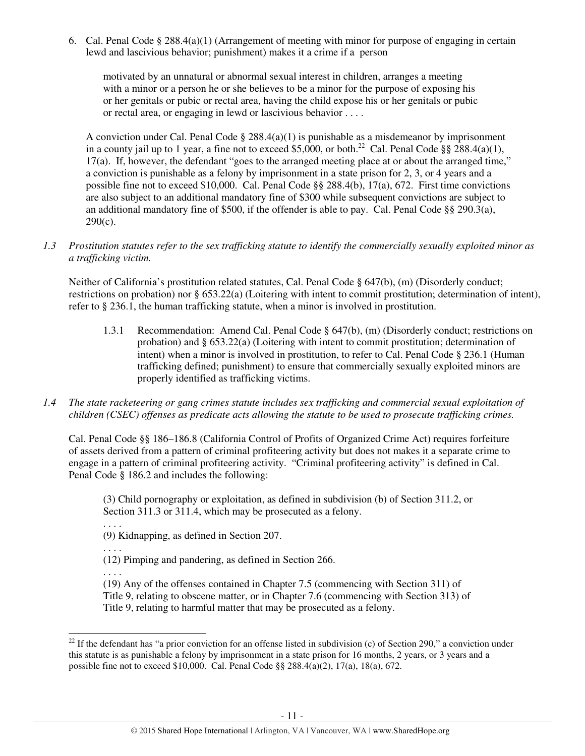6. Cal. Penal Code § 288.4(a)(1) (Arrangement of meeting with minor for purpose of engaging in certain lewd and lascivious behavior; punishment) makes it a crime if a person

motivated by an unnatural or abnormal sexual interest in children, arranges a meeting with a minor or a person he or she believes to be a minor for the purpose of exposing his or her genitals or pubic or rectal area, having the child expose his or her genitals or pubic or rectal area, or engaging in lewd or lascivious behavior . . . .

A conviction under Cal. Penal Code § 288.4(a)(1) is punishable as a misdemeanor by imprisonment in a county jail up to 1 year, a fine not to exceed \$5,000, or both.<sup>22</sup> Cal. Penal Code §§ 288.4(a)(1), 17(a). If, however, the defendant "goes to the arranged meeting place at or about the arranged time," a conviction is punishable as a felony by imprisonment in a state prison for 2, 3, or 4 years and a possible fine not to exceed \$10,000. Cal. Penal Code §§ 288.4(b), 17(a), 672. First time convictions are also subject to an additional mandatory fine of \$300 while subsequent convictions are subject to an additional mandatory fine of \$500, if the offender is able to pay. Cal. Penal Code  $\S$ § 290.3(a),  $290(c)$ .

*1.3 Prostitution statutes refer to the sex trafficking statute to identify the commercially sexually exploited minor as a trafficking victim.* 

 Neither of California's prostitution related statutes, Cal. Penal Code § 647(b), (m) (Disorderly conduct; restrictions on probation) nor § 653.22(a) (Loitering with intent to commit prostitution; determination of intent), refer to § 236.1, the human trafficking statute, when a minor is involved in prostitution.

- 1.3.1 Recommendation: Amend Cal. Penal Code § 647(b), (m) (Disorderly conduct; restrictions on probation) and § 653.22(a) (Loitering with intent to commit prostitution; determination of intent) when a minor is involved in prostitution, to refer to Cal. Penal Code § 236.1 (Human trafficking defined; punishment) to ensure that commercially sexually exploited minors are properly identified as trafficking victims.
- *1.4 The state racketeering or gang crimes statute includes sex trafficking and commercial sexual exploitation of children (CSEC) offenses as predicate acts allowing the statute to be used to prosecute trafficking crimes.*

Cal. Penal Code §§ 186–186.8 (California Control of Profits of Organized Crime Act) requires forfeiture of assets derived from a pattern of criminal profiteering activity but does not makes it a separate crime to engage in a pattern of criminal profiteering activity. "Criminal profiteering activity" is defined in Cal. Penal Code § 186.2 and includes the following:

(3) Child pornography or exploitation, as defined in subdivision (b) of Section 311.2, or Section 311.3 or 311.4, which may be prosecuted as a felony.

. . . .

. . . .

. . . .

l

(9) Kidnapping, as defined in Section 207.

(12) Pimping and pandering, as defined in Section 266.

(19) Any of the offenses contained in Chapter 7.5 (commencing with Section 311) of Title 9, relating to obscene matter, or in Chapter 7.6 (commencing with Section 313) of Title 9, relating to harmful matter that may be prosecuted as a felony.

<sup>&</sup>lt;sup>22</sup> If the defendant has "a prior conviction for an offense listed in subdivision (c) of Section 290," a conviction under this statute is as punishable a felony by imprisonment in a state prison for 16 months, 2 years, or 3 years and a possible fine not to exceed \$10,000. Cal. Penal Code §§ 288.4(a)(2), 17(a), 18(a), 672.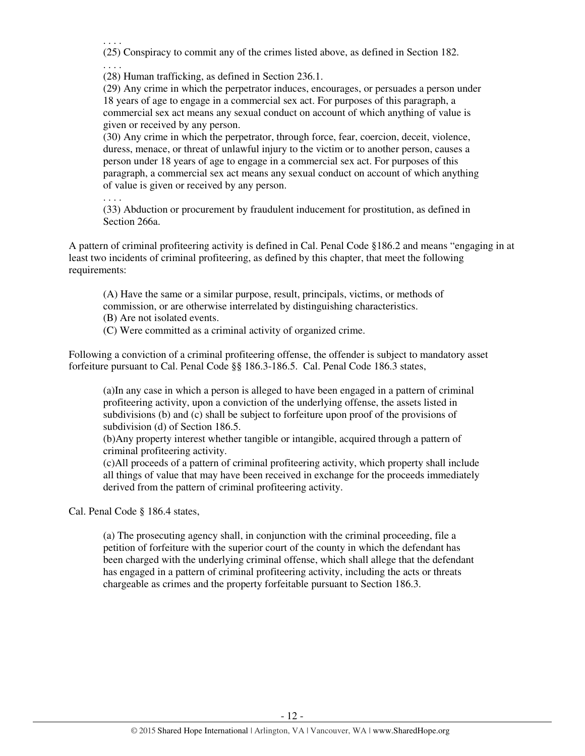. . . . (25) Conspiracy to commit any of the crimes listed above, as defined in Section 182. . . . .

(28) Human trafficking, as defined in Section 236.1.

(29) Any crime in which the perpetrator induces, encourages, or persuades a person under 18 years of age to engage in a commercial sex act. For purposes of this paragraph, a commercial sex act means any sexual conduct on account of which anything of value is given or received by any person.

(30) Any crime in which the perpetrator, through force, fear, coercion, deceit, violence, duress, menace, or threat of unlawful injury to the victim or to another person, causes a person under 18 years of age to engage in a commercial sex act. For purposes of this paragraph, a commercial sex act means any sexual conduct on account of which anything of value is given or received by any person.

. . . .

(33) Abduction or procurement by fraudulent inducement for prostitution, as defined in Section 266a.

A pattern of criminal profiteering activity is defined in Cal. Penal Code §186.2 and means "engaging in at least two incidents of criminal profiteering, as defined by this chapter, that meet the following requirements:

(A) Have the same or a similar purpose, result, principals, victims, or methods of commission, or are otherwise interrelated by distinguishing characteristics.

(B) Are not isolated events.

(C) Were committed as a criminal activity of organized crime.

Following a conviction of a criminal profiteering offense, the offender is subject to mandatory asset forfeiture pursuant to Cal. Penal Code §§ 186.3-186.5. Cal. Penal Code 186.3 states,

(a)In any case in which a person is alleged to have been engaged in a pattern of criminal profiteering activity, upon a conviction of the underlying offense, the assets listed in subdivisions (b) and (c) shall be subject to forfeiture upon proof of the provisions of subdivision (d) of Section 186.5.

(b)Any property interest whether tangible or intangible, acquired through a pattern of criminal profiteering activity.

(c)All proceeds of a pattern of criminal profiteering activity, which property shall include all things of value that may have been received in exchange for the proceeds immediately derived from the pattern of criminal profiteering activity.

Cal. Penal Code § 186.4 states,

(a) The prosecuting agency shall, in conjunction with the criminal proceeding, file a petition of forfeiture with the superior court of the county in which the defendant has been charged with the underlying criminal offense, which shall allege that the defendant has engaged in a pattern of criminal profiteering activity, including the acts or threats chargeable as crimes and the property forfeitable pursuant to Section 186.3.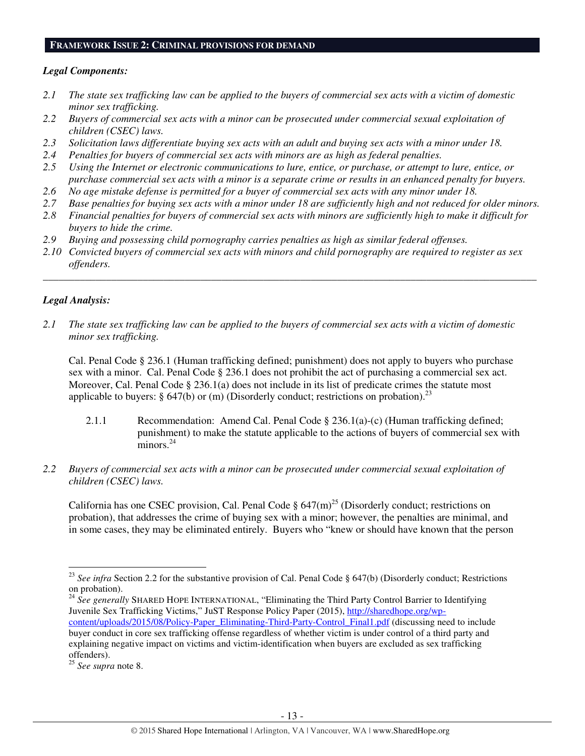#### **FRAMEWORK ISSUE 2: CRIMINAL PROVISIONS FOR DEMAND**

## *Legal Components:*

- *2.1 The state sex trafficking law can be applied to the buyers of commercial sex acts with a victim of domestic minor sex trafficking.*
- *2.2 Buyers of commercial sex acts with a minor can be prosecuted under commercial sexual exploitation of children (CSEC) laws.*
- *2.3 Solicitation laws differentiate buying sex acts with an adult and buying sex acts with a minor under 18.*
- *2.4 Penalties for buyers of commercial sex acts with minors are as high as federal penalties.*
- *2.5 Using the Internet or electronic communications to lure, entice, or purchase, or attempt to lure, entice, or purchase commercial sex acts with a minor is a separate crime or results in an enhanced penalty for buyers.*
- *2.6 No age mistake defense is permitted for a buyer of commercial sex acts with any minor under 18.*
- *2.7 Base penalties for buying sex acts with a minor under 18 are sufficiently high and not reduced for older minors.*
- *2.8 Financial penalties for buyers of commercial sex acts with minors are sufficiently high to make it difficult for buyers to hide the crime.*
- *2.9 Buying and possessing child pornography carries penalties as high as similar federal offenses.*
- *2.10 Convicted buyers of commercial sex acts with minors and child pornography are required to register as sex offenders.*

\_\_\_\_\_\_\_\_\_\_\_\_\_\_\_\_\_\_\_\_\_\_\_\_\_\_\_\_\_\_\_\_\_\_\_\_\_\_\_\_\_\_\_\_\_\_\_\_\_\_\_\_\_\_\_\_\_\_\_\_\_\_\_\_\_\_\_\_\_\_\_\_\_\_\_\_\_\_\_\_\_\_\_\_\_\_\_\_\_\_\_\_\_\_

## *Legal Analysis:*

*2.1 The state sex trafficking law can be applied to the buyers of commercial sex acts with a victim of domestic minor sex trafficking.* 

Cal. Penal Code § 236.1 (Human trafficking defined; punishment) does not apply to buyers who purchase sex with a minor. Cal. Penal Code § 236.1 does not prohibit the act of purchasing a commercial sex act. Moreover, Cal. Penal Code § 236.1(a) does not include in its list of predicate crimes the statute most applicable to buyers:  $\S 647(b)$  or (m) (Disorderly conduct; restrictions on probation).<sup>23</sup>

- 2.1.1 Recommendation: Amend Cal. Penal Code § 236.1(a)-(c) (Human trafficking defined; punishment) to make the statute applicable to the actions of buyers of commercial sex with  $minors.<sup>24</sup>$
- *2.2 Buyers of commercial sex acts with a minor can be prosecuted under commercial sexual exploitation of children (CSEC) laws.*

California has one CSEC provision, Cal. Penal Code  $\S 647(m)^{25}$  (Disorderly conduct; restrictions on probation), that addresses the crime of buying sex with a minor; however, the penalties are minimal, and in some cases, they may be eliminated entirely. Buyers who "knew or should have known that the person

<sup>24</sup> *See generally* SHARED HOPE INTERNATIONAL, "Eliminating the Third Party Control Barrier to Identifying Juvenile Sex Trafficking Victims," JuST Response Policy Paper (2015), http://sharedhope.org/wpcontent/uploads/2015/08/Policy-Paper\_Eliminating-Third-Party-Control\_Final1.pdf (discussing need to include buyer conduct in core sex trafficking offense regardless of whether victim is under control of a third party and explaining negative impact on victims and victim-identification when buyers are excluded as sex trafficking offenders).

l

<sup>&</sup>lt;sup>23</sup> See infra Section 2.2 for the substantive provision of Cal. Penal Code § 647(b) (Disorderly conduct; Restrictions on probation).

<sup>25</sup> *See supra* note 8.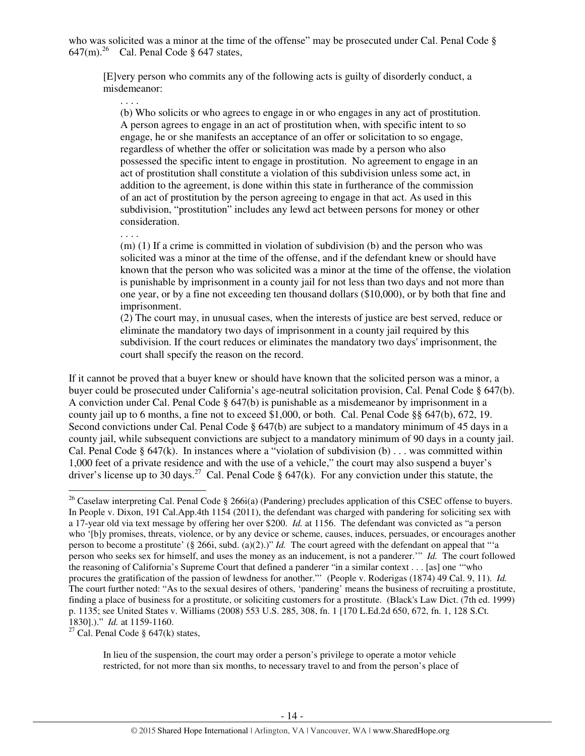who was solicited was a minor at the time of the offense" may be prosecuted under Cal. Penal Code §  $647$ (m).<sup>26</sup> Cal. Penal Code § 647 states,

[E]very person who commits any of the following acts is guilty of disorderly conduct, a misdemeanor:

(b) Who solicits or who agrees to engage in or who engages in any act of prostitution. A person agrees to engage in an act of prostitution when, with specific intent to so engage, he or she manifests an acceptance of an offer or solicitation to so engage, regardless of whether the offer or solicitation was made by a person who also possessed the specific intent to engage in prostitution. No agreement to engage in an act of prostitution shall constitute a violation of this subdivision unless some act, in addition to the agreement, is done within this state in furtherance of the commission of an act of prostitution by the person agreeing to engage in that act. As used in this subdivision, "prostitution" includes any lewd act between persons for money or other consideration.

. . . .

. . . .

(m) (1) If a crime is committed in violation of subdivision (b) and the person who was solicited was a minor at the time of the offense, and if the defendant knew or should have known that the person who was solicited was a minor at the time of the offense, the violation is punishable by imprisonment in a county jail for not less than two days and not more than one year, or by a fine not exceeding ten thousand dollars (\$10,000), or by both that fine and imprisonment.

(2) The court may, in unusual cases, when the interests of justice are best served, reduce or eliminate the mandatory two days of imprisonment in a county jail required by this subdivision. If the court reduces or eliminates the mandatory two days' imprisonment, the court shall specify the reason on the record.

If it cannot be proved that a buyer knew or should have known that the solicited person was a minor, a buyer could be prosecuted under California's age-neutral solicitation provision, Cal. Penal Code § 647(b). A conviction under Cal. Penal Code § 647(b) is punishable as a misdemeanor by imprisonment in a county jail up to 6 months, a fine not to exceed \$1,000, or both. Cal. Penal Code §§ 647(b), 672, 19. Second convictions under Cal. Penal Code § 647(b) are subject to a mandatory minimum of 45 days in a county jail, while subsequent convictions are subject to a mandatory minimum of 90 days in a county jail. Cal. Penal Code §  $647(k)$ . In instances where a "violation of subdivision (b) ... was committed within 1,000 feet of a private residence and with the use of a vehicle," the court may also suspend a buyer's driver's license up to 30 days.<sup>27</sup> Cal. Penal Code § 647(k). For any conviction under this statute, the

<sup>27</sup> Cal. Penal Code §  $647(k)$  states,

l

In lieu of the suspension, the court may order a person's privilege to operate a motor vehicle restricted, for not more than six months, to necessary travel to and from the person's place of

<sup>&</sup>lt;sup>26</sup> Caselaw interpreting Cal. Penal Code § 266i(a) (Pandering) precludes application of this CSEC offense to buyers. In People v. Dixon, 191 Cal.App.4th 1154 (2011), the defendant was charged with pandering for soliciting sex with a 17-year old via text message by offering her over \$200. *Id.* at 1156. The defendant was convicted as "a person who '[b]y promises, threats, violence, or by any device or scheme, causes, induces, persuades, or encourages another person to become a prostitute' (§ 266i, subd. (a)(2).)" *Id.* The court agreed with the defendant on appeal that "'a person who seeks sex for himself, and uses the money as an inducement, is not a panderer.'" *Id.* The court followed the reasoning of California's Supreme Court that defined a panderer "in a similar context . . . [as] one '"who procures the gratification of the passion of lewdness for another."' (People v. Roderigas (1874) 49 Cal. 9, 11). *Id.* The court further noted: "As to the sexual desires of others, 'pandering' means the business of recruiting a prostitute, finding a place of business for a prostitute, or soliciting customers for a prostitute. (Black's Law Dict. (7th ed. 1999) p. 1135; see United States v. Williams (2008) 553 U.S. 285, 308, fn. 1 [170 L.Ed.2d 650, 672, fn. 1, 128 S.Ct. 1830].)." *Id.* at 1159-1160.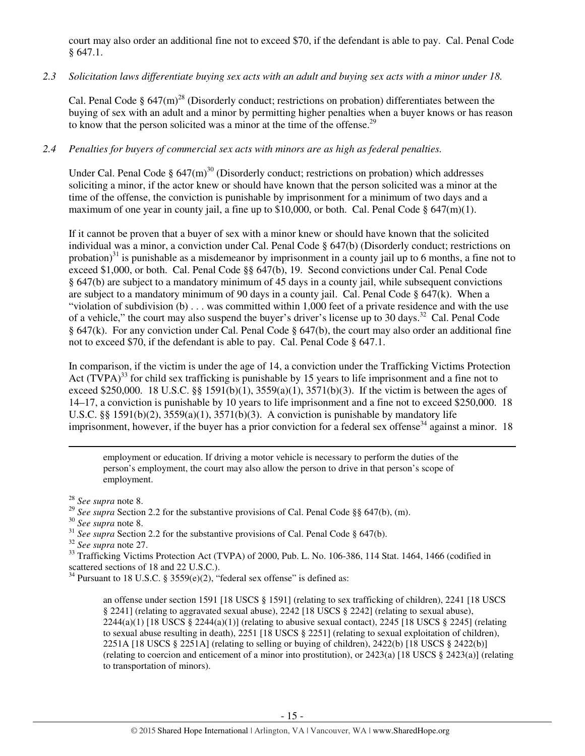court may also order an additional fine not to exceed \$70, if the defendant is able to pay. Cal. Penal Code § 647.1.

## *2.3 Solicitation laws differentiate buying sex acts with an adult and buying sex acts with a minor under 18.*

Cal. Penal Code §  $647 \text{(m)}^{28}$  (Disorderly conduct; restrictions on probation) differentiates between the buying of sex with an adult and a minor by permitting higher penalties when a buyer knows or has reason to know that the person solicited was a minor at the time of the offense.<sup>29</sup>

# *2.4 Penalties for buyers of commercial sex acts with minors are as high as federal penalties.*

Under Cal. Penal Code §  $647(m)^{30}$  (Disorderly conduct; restrictions on probation) which addresses soliciting a minor, if the actor knew or should have known that the person solicited was a minor at the time of the offense, the conviction is punishable by imprisonment for a minimum of two days and a maximum of one year in county jail, a fine up to \$10,000, or both. Cal. Penal Code  $\S 647(m)(1)$ .

If it cannot be proven that a buyer of sex with a minor knew or should have known that the solicited individual was a minor, a conviction under Cal. Penal Code § 647(b) (Disorderly conduct; restrictions on probation)<sup>31</sup> is punishable as a misdemeanor by imprisonment in a county jail up to 6 months, a fine not to exceed \$1,000, or both. Cal. Penal Code §§ 647(b), 19. Second convictions under Cal. Penal Code § 647(b) are subject to a mandatory minimum of 45 days in a county jail, while subsequent convictions are subject to a mandatory minimum of 90 days in a county jail. Cal. Penal Code § 647(k). When a "violation of subdivision (b) . . . was committed within 1,000 feet of a private residence and with the use of a vehicle," the court may also suspend the buyer's driver's license up to 30 days.<sup>32</sup> Cal. Penal Code § 647(k). For any conviction under Cal. Penal Code § 647(b), the court may also order an additional fine not to exceed \$70, if the defendant is able to pay. Cal. Penal Code § 647.1.

In comparison, if the victim is under the age of 14, a conviction under the Trafficking Victims Protection Act  $(TVPA)^{33}$  for child sex trafficking is punishable by 15 years to life imprisonment and a fine not to exceed \$250,000. 18 U.S.C. §§ 1591(b)(1),  $3559(a)(1)$ ,  $3571(b)(3)$ . If the victim is between the ages of 14–17, a conviction is punishable by 10 years to life imprisonment and a fine not to exceed \$250,000. 18 U.S.C. §§ 1591(b)(2),  $3559(a)(1)$ ,  $3571(b)(3)$ . A conviction is punishable by mandatory life imprisonment, however, if the buyer has a prior conviction for a federal sex offense<sup>34</sup> against a minor. 18

employment or education. If driving a motor vehicle is necessary to perform the duties of the person's employment, the court may also allow the person to drive in that person's scope of employment.

l

<sup>31</sup> *See supra* Section 2.2 for the substantive provisions of Cal. Penal Code § 647(b).

<sup>28</sup> *See supra* note 8.

<sup>&</sup>lt;sup>29</sup> See supra Section 2.2 for the substantive provisions of Cal. Penal Code §§ 647(b), (m).

<sup>30</sup> *See supra* note 8.

<sup>32</sup> *See supra* note 27.

<sup>&</sup>lt;sup>33</sup> Trafficking Victims Protection Act (TVPA) of 2000, Pub. L. No. 106-386, 114 Stat. 1464, 1466 (codified in scattered sections of 18 and 22 U.S.C.).

<sup>&</sup>lt;sup>34</sup> Pursuant to 18 U.S.C. § 3559(e)(2), "federal sex offense" is defined as:

an offense under section 1591 [18 USCS § 1591] (relating to sex trafficking of children), 2241 [18 USCS § 2241] (relating to aggravated sexual abuse), 2242 [18 USCS § 2242] (relating to sexual abuse),  $2244(a)(1)$  [18 USCS §  $2244(a)(1)$ ] (relating to abusive sexual contact),  $2245$  [18 USCS § 2245] (relating to sexual abuse resulting in death), 2251 [18 USCS § 2251] (relating to sexual exploitation of children), 2251A [18 USCS § 2251A] (relating to selling or buying of children), 2422(b) [18 USCS § 2422(b)] (relating to coercion and enticement of a minor into prostitution), or 2423(a) [18 USCS § 2423(a)] (relating to transportation of minors).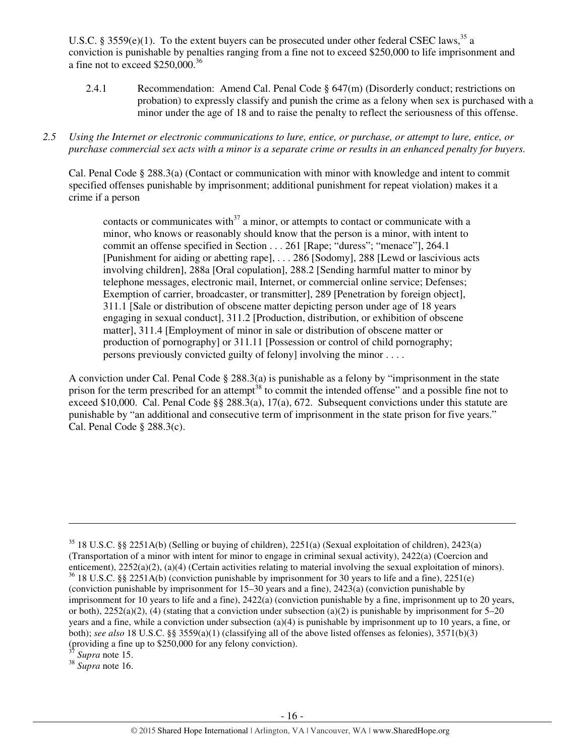U.S.C. § 3559(e)(1). To the extent buyers can be prosecuted under other federal CSEC laws,<sup>35</sup> a conviction is punishable by penalties ranging from a fine not to exceed \$250,000 to life imprisonment and a fine not to exceed \$250,000.<sup>36</sup>

- 2.4.1 Recommendation: Amend Cal. Penal Code § 647(m) (Disorderly conduct; restrictions on probation) to expressly classify and punish the crime as a felony when sex is purchased with a minor under the age of 18 and to raise the penalty to reflect the seriousness of this offense.
- *2.5 Using the Internet or electronic communications to lure, entice, or purchase, or attempt to lure, entice, or purchase commercial sex acts with a minor is a separate crime or results in an enhanced penalty for buyers.*

Cal. Penal Code § 288.3(a) (Contact or communication with minor with knowledge and intent to commit specified offenses punishable by imprisonment; additional punishment for repeat violation) makes it a crime if a person

contacts or communicates with $37$  a minor, or attempts to contact or communicate with a minor, who knows or reasonably should know that the person is a minor, with intent to commit an offense specified in Section . . . 261 [Rape; "duress"; "menace"], 264.1 [Punishment for aiding or abetting rape], . . . 286 [Sodomy], 288 [Lewd or lascivious acts involving children], 288a [Oral copulation], 288.2 [Sending harmful matter to minor by telephone messages, electronic mail, Internet, or commercial online service; Defenses; Exemption of carrier, broadcaster, or transmitter], 289 [Penetration by foreign object], 311.1 [Sale or distribution of obscene matter depicting person under age of 18 years engaging in sexual conduct], 311.2 [Production, distribution, or exhibition of obscene matter], 311.4 [Employment of minor in sale or distribution of obscene matter or production of pornography] or 311.11 [Possession or control of child pornography; persons previously convicted guilty of felony] involving the minor . . . .

A conviction under Cal. Penal Code § 288.3(a) is punishable as a felony by "imprisonment in the state prison for the term prescribed for an attempt<sup>38</sup> to commit the intended offense" and a possible fine not to exceed \$10,000. Cal. Penal Code §§ 288.3(a), 17(a), 672. Subsequent convictions under this statute are punishable by "an additional and consecutive term of imprisonment in the state prison for five years." Cal. Penal Code § 288.3(c).

Supra note 15.

l

<sup>38</sup> *Supra* note 16.

<sup>&</sup>lt;sup>35</sup> 18 U.S.C. §§ 2251A(b) (Selling or buying of children), 2251(a) (Sexual exploitation of children), 2423(a) (Transportation of a minor with intent for minor to engage in criminal sexual activity), 2422(a) (Coercion and enticement), 2252(a)(2), (a)(4) (Certain activities relating to material involving the sexual exploitation of minors).  $36$  18 U.S.C. §§ 2251A(b) (conviction punishable by imprisonment for 30 years to life and a fine), 2251(e) (conviction punishable by imprisonment for 15–30 years and a fine), 2423(a) (conviction punishable by imprisonment for 10 years to life and a fine), 2422(a) (conviction punishable by a fine, imprisonment up to 20 years, or both),  $2252(a)(2)$ , (4) (stating that a conviction under subsection (a)(2) is punishable by imprisonment for 5–20 years and a fine, while a conviction under subsection (a)(4) is punishable by imprisonment up to 10 years, a fine, or both); *see also* 18 U.S.C. §§ 3559(a)(1) (classifying all of the above listed offenses as felonies), 3571(b)(3) (providing a fine up to \$250,000 for any felony conviction).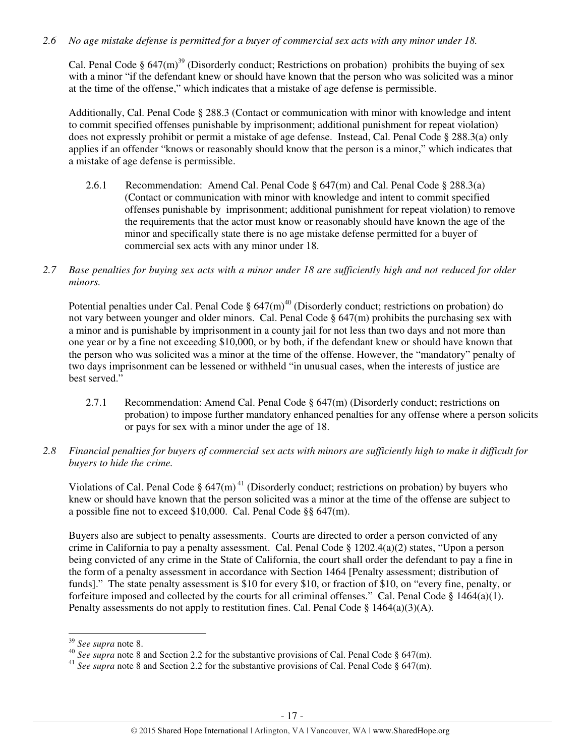## *2.6 No age mistake defense is permitted for a buyer of commercial sex acts with any minor under 18.*

Cal. Penal Code §  $647 \text{(m)}^{39}$  (Disorderly conduct; Restrictions on probation) prohibits the buying of sex with a minor "if the defendant knew or should have known that the person who was solicited was a minor at the time of the offense," which indicates that a mistake of age defense is permissible.

Additionally, Cal. Penal Code § 288.3 (Contact or communication with minor with knowledge and intent to commit specified offenses punishable by imprisonment; additional punishment for repeat violation) does not expressly prohibit or permit a mistake of age defense. Instead, Cal. Penal Code § 288.3(a) only applies if an offender "knows or reasonably should know that the person is a minor," which indicates that a mistake of age defense is permissible.

- 2.6.1 Recommendation: Amend Cal. Penal Code § 647(m) and Cal. Penal Code § 288.3(a) (Contact or communication with minor with knowledge and intent to commit specified offenses punishable by imprisonment; additional punishment for repeat violation) to remove the requirements that the actor must know or reasonably should have known the age of the minor and specifically state there is no age mistake defense permitted for a buyer of commercial sex acts with any minor under 18.
- *2.7 Base penalties for buying sex acts with a minor under 18 are sufficiently high and not reduced for older minors.*

Potential penalties under Cal. Penal Code  $\S$  647(m)<sup>40</sup> (Disorderly conduct; restrictions on probation) do not vary between younger and older minors. Cal. Penal Code  $\S$  647(m) prohibits the purchasing sex with a minor and is punishable by imprisonment in a county jail for not less than two days and not more than one year or by a fine not exceeding \$10,000, or by both, if the defendant knew or should have known that the person who was solicited was a minor at the time of the offense. However, the "mandatory" penalty of two days imprisonment can be lessened or withheld "in unusual cases, when the interests of justice are best served."

- 2.7.1 Recommendation: Amend Cal. Penal Code  $\S$  647(m) (Disorderly conduct; restrictions on probation) to impose further mandatory enhanced penalties for any offense where a person solicits or pays for sex with a minor under the age of 18.
- *2.8 Financial penalties for buyers of commercial sex acts with minors are sufficiently high to make it difficult for buyers to hide the crime.*

Violations of Cal. Penal Code §  $647(m)^{41}$  (Disorderly conduct; restrictions on probation) by buyers who knew or should have known that the person solicited was a minor at the time of the offense are subject to a possible fine not to exceed \$10,000. Cal. Penal Code §§ 647(m).

Buyers also are subject to penalty assessments. Courts are directed to order a person convicted of any crime in California to pay a penalty assessment. Cal. Penal Code § 1202.4(a)(2) states, "Upon a person being convicted of any crime in the State of California, the court shall order the defendant to pay a fine in the form of a penalty assessment in accordance with Section 1464 [Penalty assessment; distribution of funds]." The state penalty assessment is \$10 for every \$10, or fraction of \$10, on "every fine, penalty, or forfeiture imposed and collected by the courts for all criminal offenses." Cal. Penal Code  $\S 1464(a)(1)$ . Penalty assessments do not apply to restitution fines. Cal. Penal Code  $\S 1464(a)(3)(A)$ .

<sup>39</sup> *See supra* note 8.

<sup>&</sup>lt;sup>40</sup> See supra note 8 and Section 2.2 for the substantive provisions of Cal. Penal Code § 647(m).

<sup>&</sup>lt;sup>41</sup> *See supra* note 8 and Section 2.2 for the substantive provisions of Cal. Penal Code § 647(m).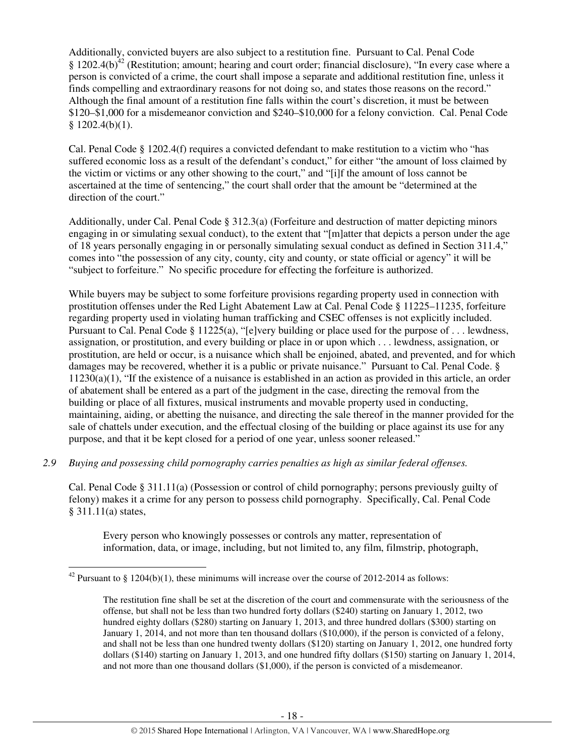Additionally, convicted buyers are also subject to a restitution fine. Pursuant to Cal. Penal Code § 1202.4(b)<sup>42</sup> (Restitution; amount; hearing and court order; financial disclosure), "In every case where a person is convicted of a crime, the court shall impose a separate and additional restitution fine, unless it finds compelling and extraordinary reasons for not doing so, and states those reasons on the record." Although the final amount of a restitution fine falls within the court's discretion, it must be between \$120–\$1,000 for a misdemeanor conviction and \$240–\$10,000 for a felony conviction. Cal. Penal Code  $$1202.4(b)(1).$ 

Cal. Penal Code § 1202.4(f) requires a convicted defendant to make restitution to a victim who "has suffered economic loss as a result of the defendant's conduct," for either "the amount of loss claimed by the victim or victims or any other showing to the court," and "[i]f the amount of loss cannot be ascertained at the time of sentencing," the court shall order that the amount be "determined at the direction of the court."

Additionally, under Cal. Penal Code § 312.3(a) (Forfeiture and destruction of matter depicting minors engaging in or simulating sexual conduct), to the extent that "[m]atter that depicts a person under the age of 18 years personally engaging in or personally simulating sexual conduct as defined in Section 311.4," comes into "the possession of any city, county, city and county, or state official or agency" it will be "subject to forfeiture." No specific procedure for effecting the forfeiture is authorized.

While buyers may be subject to some forfeiture provisions regarding property used in connection with prostitution offenses under the Red Light Abatement Law at Cal. Penal Code § 11225–11235, forfeiture regarding property used in violating human trafficking and CSEC offenses is not explicitly included. Pursuant to Cal. Penal Code § 11225(a), "[e]very building or place used for the purpose of ... lewdness, assignation, or prostitution, and every building or place in or upon which . . . lewdness, assignation, or prostitution, are held or occur, is a nuisance which shall be enjoined, abated, and prevented, and for which damages may be recovered, whether it is a public or private nuisance." Pursuant to Cal. Penal Code. § 11230(a)(1), "If the existence of a nuisance is established in an action as provided in this article, an order of abatement shall be entered as a part of the judgment in the case, directing the removal from the building or place of all fixtures, musical instruments and movable property used in conducting, maintaining, aiding, or abetting the nuisance, and directing the sale thereof in the manner provided for the sale of chattels under execution, and the effectual closing of the building or place against its use for any purpose, and that it be kept closed for a period of one year, unless sooner released."

*2.9 Buying and possessing child pornography carries penalties as high as similar federal offenses.* 

Cal. Penal Code § 311.11(a) (Possession or control of child pornography; persons previously guilty of felony) makes it a crime for any person to possess child pornography. Specifically, Cal. Penal Code § 311.11(a) states,

Every person who knowingly possesses or controls any matter, representation of information, data, or image, including, but not limited to, any film, filmstrip, photograph,

l

<sup>&</sup>lt;sup>42</sup> Pursuant to § 1204(b)(1), these minimums will increase over the course of 2012-2014 as follows:

The restitution fine shall be set at the discretion of the court and commensurate with the seriousness of the offense, but shall not be less than two hundred forty dollars (\$240) starting on January 1, 2012, two hundred eighty dollars (\$280) starting on January 1, 2013, and three hundred dollars (\$300) starting on January 1, 2014, and not more than ten thousand dollars (\$10,000), if the person is convicted of a felony, and shall not be less than one hundred twenty dollars (\$120) starting on January 1, 2012, one hundred forty dollars (\$140) starting on January 1, 2013, and one hundred fifty dollars (\$150) starting on January 1, 2014, and not more than one thousand dollars (\$1,000), if the person is convicted of a misdemeanor.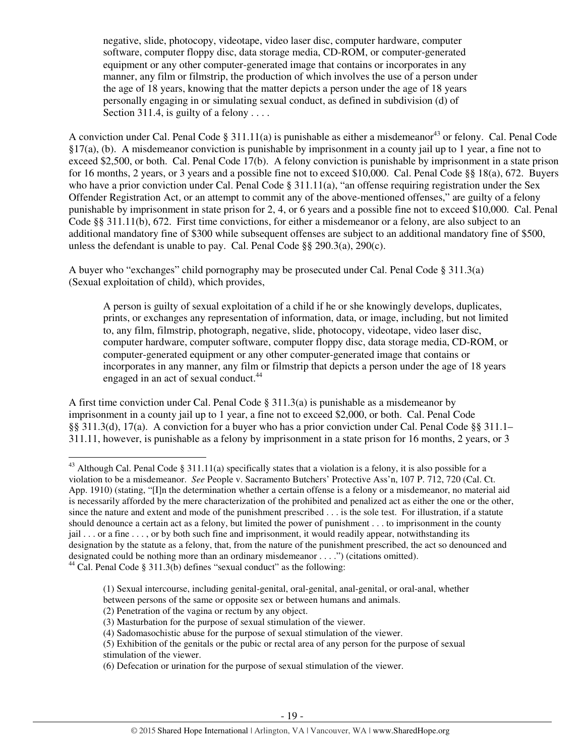negative, slide, photocopy, videotape, video laser disc, computer hardware, computer software, computer floppy disc, data storage media, CD-ROM, or computer-generated equipment or any other computer-generated image that contains or incorporates in any manner, any film or filmstrip, the production of which involves the use of a person under the age of 18 years, knowing that the matter depicts a person under the age of 18 years personally engaging in or simulating sexual conduct, as defined in subdivision (d) of Section 311.4, is guilty of a felony  $\dots$ 

A conviction under Cal. Penal Code  $\S 311.11(a)$  is punishable as either a misdemeanor<sup>43</sup> or felony. Cal. Penal Code §17(a), (b). A misdemeanor conviction is punishable by imprisonment in a county jail up to 1 year, a fine not to exceed \$2,500, or both. Cal. Penal Code 17(b). A felony conviction is punishable by imprisonment in a state prison for 16 months, 2 years, or 3 years and a possible fine not to exceed \$10,000. Cal. Penal Code §§ 18(a), 672. Buyers who have a prior conviction under Cal. Penal Code § 311.11(a), "an offense requiring registration under the Sex Offender Registration Act, or an attempt to commit any of the above-mentioned offenses," are guilty of a felony punishable by imprisonment in state prison for 2, 4, or 6 years and a possible fine not to exceed \$10,000. Cal. Penal Code §§ 311.11(b), 672. First time convictions, for either a misdemeanor or a felony, are also subject to an additional mandatory fine of \$300 while subsequent offenses are subject to an additional mandatory fine of \$500, unless the defendant is unable to pay. Cal. Penal Code §§ 290.3(a), 290(c).

A buyer who "exchanges" child pornography may be prosecuted under Cal. Penal Code § 311.3(a) (Sexual exploitation of child), which provides,

A person is guilty of sexual exploitation of a child if he or she knowingly develops, duplicates, prints, or exchanges any representation of information, data, or image, including, but not limited to, any film, filmstrip, photograph, negative, slide, photocopy, videotape, video laser disc, computer hardware, computer software, computer floppy disc, data storage media, CD-ROM, or computer-generated equipment or any other computer-generated image that contains or incorporates in any manner, any film or filmstrip that depicts a person under the age of 18 years engaged in an act of sexual conduct.<sup>44</sup>

A first time conviction under Cal. Penal Code  $\S 311.3(a)$  is punishable as a misdemeanor by imprisonment in a county jail up to 1 year, a fine not to exceed \$2,000, or both. Cal. Penal Code §§ 311.3(d), 17(a). A conviction for a buyer who has a prior conviction under Cal. Penal Code §§ 311.1– 311.11, however, is punishable as a felony by imprisonment in a state prison for 16 months, 2 years, or 3

<sup>&</sup>lt;sup>43</sup> Although Cal. Penal Code § 311.11(a) specifically states that a violation is a felony, it is also possible for a violation to be a misdemeanor. *See* People v. Sacramento Butchers' Protective Ass'n, 107 P. 712, 720 (Cal. Ct. App. 1910) (stating, "[I]n the determination whether a certain offense is a felony or a misdemeanor, no material aid is necessarily afforded by the mere characterization of the prohibited and penalized act as either the one or the other, since the nature and extent and mode of the punishment prescribed . . . is the sole test. For illustration, if a statute should denounce a certain act as a felony, but limited the power of punishment . . . to imprisonment in the county  $j$ ail  $\ldots$  or a fine  $\ldots$ , or by both such fine and imprisonment, it would readily appear, notwithstanding its designation by the statute as a felony, that, from the nature of the punishment prescribed, the act so denounced and designated could be nothing more than an ordinary misdemeanor . . . .") (citations omitted).

<sup>&</sup>lt;sup>44</sup> Cal. Penal Code § 311.3(b) defines "sexual conduct" as the following:

<sup>(1)</sup> Sexual intercourse, including genital-genital, oral-genital, anal-genital, or oral-anal, whether

between persons of the same or opposite sex or between humans and animals.

<sup>(2)</sup> Penetration of the vagina or rectum by any object.

<sup>(3)</sup> Masturbation for the purpose of sexual stimulation of the viewer.

<sup>(4)</sup> Sadomasochistic abuse for the purpose of sexual stimulation of the viewer.

<sup>(5)</sup> Exhibition of the genitals or the pubic or rectal area of any person for the purpose of sexual stimulation of the viewer.

<sup>(6)</sup> Defecation or urination for the purpose of sexual stimulation of the viewer.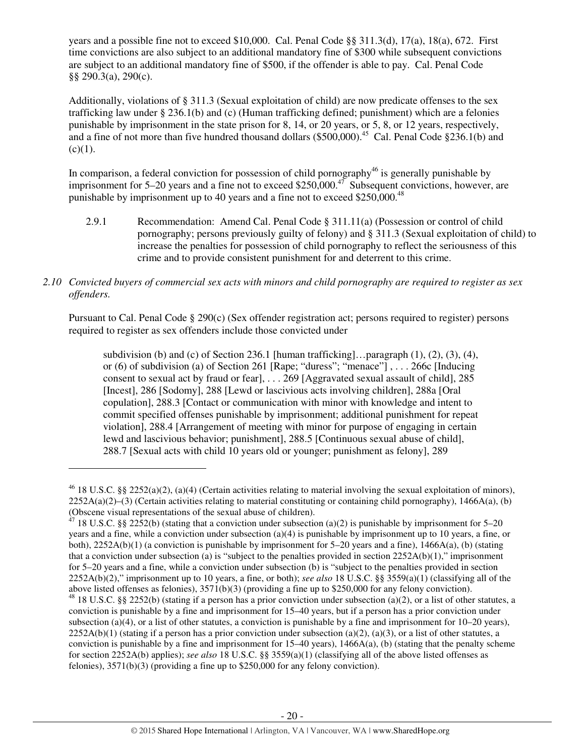years and a possible fine not to exceed \$10,000. Cal. Penal Code §§ 311.3(d), 17(a), 18(a), 672. First time convictions are also subject to an additional mandatory fine of \$300 while subsequent convictions are subject to an additional mandatory fine of \$500, if the offender is able to pay. Cal. Penal Code §§ 290.3(a), 290(c).

Additionally, violations of § 311.3 (Sexual exploitation of child) are now predicate offenses to the sex trafficking law under § 236.1(b) and (c) (Human trafficking defined; punishment) which are a felonies punishable by imprisonment in the state prison for 8, 14, or 20 years, or 5, 8, or 12 years, respectively, and a fine of not more than five hundred thousand dollars (\$500,000).<sup>45</sup> Cal. Penal Code §236.1(b) and  $(c)(1)$ .

In comparison, a federal conviction for possession of child pornography<sup>46</sup> is generally punishable by imprisonment for  $5-20$  years and a fine not to exceed \$250,000.<sup>47</sup> Subsequent convictions, however, are punishable by imprisonment up to 40 years and a fine not to exceed \$250,000.<sup>48</sup>

2.9.1 Recommendation: Amend Cal. Penal Code § 311.11(a) (Possession or control of child pornography; persons previously guilty of felony) and § 311.3 (Sexual exploitation of child) to increase the penalties for possession of child pornography to reflect the seriousness of this crime and to provide consistent punishment for and deterrent to this crime.

## *2.10 Convicted buyers of commercial sex acts with minors and child pornography are required to register as sex offenders.*

Pursuant to Cal. Penal Code § 290(c) (Sex offender registration act; persons required to register) persons required to register as sex offenders include those convicted under

subdivision (b) and (c) of Section 236.1 [human trafficking]... paragraph  $(1)$ ,  $(2)$ ,  $(3)$ ,  $(4)$ , or (6) of subdivision (a) of Section 261 [Rape; "duress"; "menace"] , . . . 266c [Inducing consent to sexual act by fraud or fear], . . . 269 [Aggravated sexual assault of child], 285 [Incest], 286 [Sodomy], 288 [Lewd or lascivious acts involving children], 288a [Oral copulation], 288.3 [Contact or communication with minor with knowledge and intent to commit specified offenses punishable by imprisonment; additional punishment for repeat violation], 288.4 [Arrangement of meeting with minor for purpose of engaging in certain lewd and lascivious behavior; punishment], 288.5 [Continuous sexual abuse of child], 288.7 [Sexual acts with child 10 years old or younger; punishment as felony], 289

l

 $46$  18 U.S.C. §§ 2252(a)(2), (a)(4) (Certain activities relating to material involving the sexual exploitation of minors),  $2252A(a)(2)$ –(3) (Certain activities relating to material constituting or containing child pornography), 1466A(a), (b) (Obscene visual representations of the sexual abuse of children).

<sup>&</sup>lt;sup>47</sup> 18 U.S.C. §§ 2252(b) (stating that a conviction under subsection (a)(2) is punishable by imprisonment for 5–20 years and a fine, while a conviction under subsection (a)(4) is punishable by imprisonment up to 10 years, a fine, or both),  $2252A(b)(1)$  (a conviction is punishable by imprisonment for 5–20 years and a fine),  $1466A(a)$ , (b) (stating that a conviction under subsection (a) is "subject to the penalties provided in section  $2252A(b)(1)$ ," imprisonment for 5–20 years and a fine, while a conviction under subsection (b) is "subject to the penalties provided in section 2252A(b)(2)," imprisonment up to 10 years, a fine, or both); *see also* 18 U.S.C. §§ 3559(a)(1) (classifying all of the above listed offenses as felonies), 3571(b)(3) (providing a fine up to \$250,000 for any felony conviction).

 $48$  18 U.S.C. §§ 2252(b) (stating if a person has a prior conviction under subsection (a)(2), or a list of other statutes, a conviction is punishable by a fine and imprisonment for 15–40 years, but if a person has a prior conviction under subsection (a)(4), or a list of other statutes, a conviction is punishable by a fine and imprisonment for  $10-20$  years),  $2252A(b)(1)$  (stating if a person has a prior conviction under subsection (a)(2), (a)(3), or a list of other statutes, a conviction is punishable by a fine and imprisonment for  $15-40$  years),  $1466A(a)$ , (b) (stating that the penalty scheme for section 2252A(b) applies); *see also* 18 U.S.C. §§ 3559(a)(1) (classifying all of the above listed offenses as felonies), 3571(b)(3) (providing a fine up to \$250,000 for any felony conviction).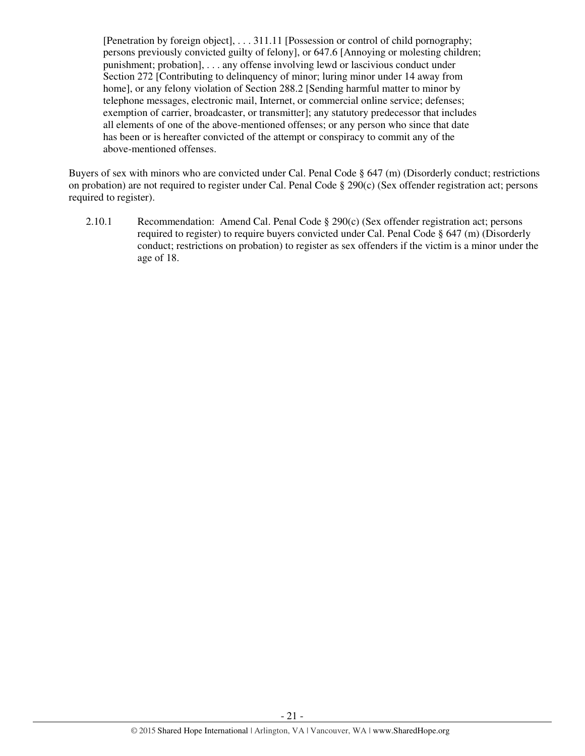[Penetration by foreign object], . . . 311.11 [Possession or control of child pornography; persons previously convicted guilty of felony], or 647.6 [Annoying or molesting children; punishment; probation], . . . any offense involving lewd or lascivious conduct under Section 272 [Contributing to delinquency of minor; luring minor under 14 away from home], or any felony violation of Section 288.2 [Sending harmful matter to minor by telephone messages, electronic mail, Internet, or commercial online service; defenses; exemption of carrier, broadcaster, or transmitter]; any statutory predecessor that includes all elements of one of the above-mentioned offenses; or any person who since that date has been or is hereafter convicted of the attempt or conspiracy to commit any of the above-mentioned offenses.

Buyers of sex with minors who are convicted under Cal. Penal Code § 647 (m) (Disorderly conduct; restrictions on probation) are not required to register under Cal. Penal Code  $\S$  290(c) (Sex offender registration act; persons required to register).

2.10.1 Recommendation: Amend Cal. Penal Code § 290(c) (Sex offender registration act; persons required to register) to require buyers convicted under Cal. Penal Code § 647 (m) (Disorderly conduct; restrictions on probation) to register as sex offenders if the victim is a minor under the age of 18.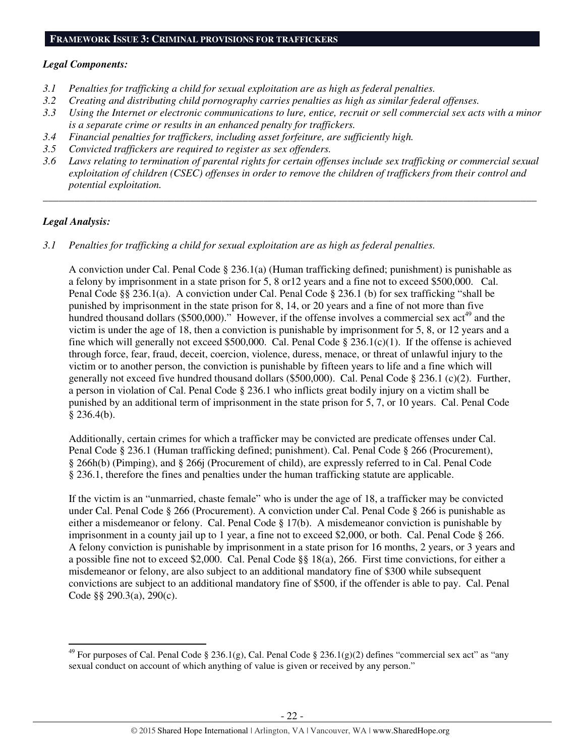#### **FRAMEWORK ISSUE 3: CRIMINAL PROVISIONS FOR TRAFFICKERS**

#### *Legal Components:*

- *3.1 Penalties for trafficking a child for sexual exploitation are as high as federal penalties.*
- *3.2 Creating and distributing child pornography carries penalties as high as similar federal offenses.*
- *3.3 Using the Internet or electronic communications to lure, entice, recruit or sell commercial sex acts with a minor is a separate crime or results in an enhanced penalty for traffickers.*
- *3.4 Financial penalties for traffickers, including asset forfeiture, are sufficiently high.*
- *3.5 Convicted traffickers are required to register as sex offenders.*
- *3.6 Laws relating to termination of parental rights for certain offenses include sex trafficking or commercial sexual exploitation of children (CSEC) offenses in order to remove the children of traffickers from their control and potential exploitation.*

*\_\_\_\_\_\_\_\_\_\_\_\_\_\_\_\_\_\_\_\_\_\_\_\_\_\_\_\_\_\_\_\_\_\_\_\_\_\_\_\_\_\_\_\_\_\_\_\_\_\_\_\_\_\_\_\_\_\_\_\_\_\_\_\_\_\_\_\_\_\_\_\_\_\_\_\_\_\_\_\_\_\_\_\_\_\_\_\_\_\_\_\_\_\_* 

## *Legal Analysis:*

 $\overline{a}$ 

*3.1 Penalties for trafficking a child for sexual exploitation are as high as federal penalties.* 

A conviction under Cal. Penal Code  $\S 236.1(a)$  (Human trafficking defined; punishment) is punishable as a felony by imprisonment in a state prison for 5, 8 or12 years and a fine not to exceed \$500,000. Cal. Penal Code §§ 236.1(a). A conviction under Cal. Penal Code § 236.1 (b) for sex trafficking "shall be punished by imprisonment in the state prison for 8, 14, or 20 years and a fine of not more than five hundred thousand dollars (\$500,000)." However, if the offense involves a commercial sex  $\text{act}^{49}$  and the victim is under the age of 18, then a conviction is punishable by imprisonment for 5, 8, or 12 years and a fine which will generally not exceed \$500,000. Cal. Penal Code  $\S 236.1(c)(1)$ . If the offense is achieved through force, fear, fraud, deceit, coercion, violence, duress, menace, or threat of unlawful injury to the victim or to another person, the conviction is punishable by fifteen years to life and a fine which will generally not exceed five hundred thousand dollars (\$500,000). Cal. Penal Code § 236.1 (c)(2). Further, a person in violation of Cal. Penal Code § 236.1 who inflicts great bodily injury on a victim shall be punished by an additional term of imprisonment in the state prison for 5, 7, or 10 years. Cal. Penal Code  $§$  236.4(b).

Additionally, certain crimes for which a trafficker may be convicted are predicate offenses under Cal. Penal Code § 236.1 (Human trafficking defined; punishment). Cal. Penal Code § 266 (Procurement), § 266h(b) (Pimping), and § 266j (Procurement of child), are expressly referred to in Cal. Penal Code § 236.1, therefore the fines and penalties under the human trafficking statute are applicable.

If the victim is an "unmarried, chaste female" who is under the age of 18, a trafficker may be convicted under Cal. Penal Code § 266 (Procurement). A conviction under Cal. Penal Code § 266 is punishable as either a misdemeanor or felony. Cal. Penal Code § 17(b). A misdemeanor conviction is punishable by imprisonment in a county jail up to 1 year, a fine not to exceed \$2,000, or both. Cal. Penal Code § 266. A felony conviction is punishable by imprisonment in a state prison for 16 months, 2 years, or 3 years and a possible fine not to exceed \$2,000. Cal. Penal Code §§ 18(a), 266. First time convictions, for either a misdemeanor or felony, are also subject to an additional mandatory fine of \$300 while subsequent convictions are subject to an additional mandatory fine of \$500, if the offender is able to pay. Cal. Penal Code §§ 290.3(a), 290(c).

<sup>&</sup>lt;sup>49</sup> For purposes of Cal. Penal Code § 236.1(g), Cal. Penal Code § 236.1(g)(2) defines "commercial sex act" as "any sexual conduct on account of which anything of value is given or received by any person."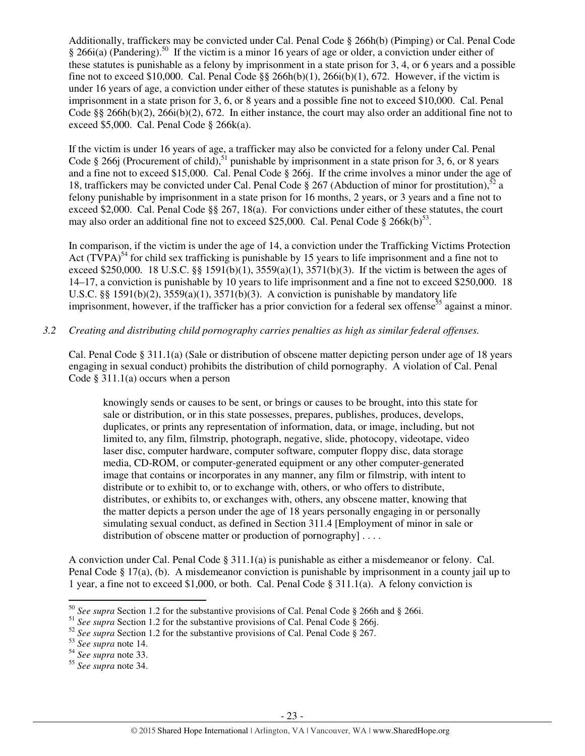Additionally, traffickers may be convicted under Cal. Penal Code § 266h(b) (Pimping) or Cal. Penal Code  $§$  266i(a) (Pandering).<sup>50</sup> If the victim is a minor 16 years of age or older, a conviction under either of these statutes is punishable as a felony by imprisonment in a state prison for 3, 4, or 6 years and a possible fine not to exceed \$10,000. Cal. Penal Code  $\S$ § 266h(b)(1), 266i(b)(1), 672. However, if the victim is under 16 years of age, a conviction under either of these statutes is punishable as a felony by imprisonment in a state prison for 3, 6, or 8 years and a possible fine not to exceed \$10,000. Cal. Penal Code §§ 266h(b)(2), 266i(b)(2), 672. In either instance, the court may also order an additional fine not to exceed \$5,000. Cal. Penal Code § 266k(a).

If the victim is under 16 years of age, a trafficker may also be convicted for a felony under Cal. Penal Code § 266j (Procurement of child),<sup>51</sup> punishable by imprisonment in a state prison for 3, 6, or 8 years and a fine not to exceed \$15,000. Cal. Penal Code § 266j. If the crime involves a minor under the age of 18, traffickers may be convicted under Cal. Penal Code  $\S 267$  (Abduction of minor for prostitution),<sup>52</sup> a felony punishable by imprisonment in a state prison for 16 months, 2 years, or 3 years and a fine not to exceed \$2,000. Cal. Penal Code §§ 267, 18(a). For convictions under either of these statutes, the court may also order an additional fine not to exceed \$25,000. Cal. Penal Code  $\S 266k(b)^{53}$ .

In comparison, if the victim is under the age of 14, a conviction under the Trafficking Victims Protection Act  $(TVPA)^{54}$  for child sex trafficking is punishable by 15 years to life imprisonment and a fine not to exceed \$250,000. 18 U.S.C. §§ 1591(b)(1),  $3559(a)(1)$ ,  $3571(b)(3)$ . If the victim is between the ages of 14–17, a conviction is punishable by 10 years to life imprisonment and a fine not to exceed \$250,000. 18 U.S.C.  $\S$ § 1591(b)(2), 3559(a)(1), 3571(b)(3). A conviction is punishable by mandatory life imprisonment, however, if the trafficker has a prior conviction for a federal sex offense<sup>55</sup> against a minor.

## *3.2 Creating and distributing child pornography carries penalties as high as similar federal offenses.*

Cal. Penal Code § 311.1(a) (Sale or distribution of obscene matter depicting person under age of 18 years engaging in sexual conduct) prohibits the distribution of child pornography. A violation of Cal. Penal Code  $\S 311.1(a)$  occurs when a person

knowingly sends or causes to be sent, or brings or causes to be brought, into this state for sale or distribution, or in this state possesses, prepares, publishes, produces, develops, duplicates, or prints any representation of information, data, or image, including, but not limited to, any film, filmstrip, photograph, negative, slide, photocopy, videotape, video laser disc, computer hardware, computer software, computer floppy disc, data storage media, CD-ROM, or computer-generated equipment or any other computer-generated image that contains or incorporates in any manner, any film or filmstrip, with intent to distribute or to exhibit to, or to exchange with, others, or who offers to distribute, distributes, or exhibits to, or exchanges with, others, any obscene matter, knowing that the matter depicts a person under the age of 18 years personally engaging in or personally simulating sexual conduct, as defined in Section 311.4 [Employment of minor in sale or distribution of obscene matter or production of pornography  $] \ldots$ .

A conviction under Cal. Penal Code § 311.1(a) is punishable as either a misdemeanor or felony. Cal. Penal Code § 17(a), (b). A misdemeanor conviction is punishable by imprisonment in a county jail up to 1 year, a fine not to exceed \$1,000, or both. Cal. Penal Code § 311.1(a). A felony conviction is

<sup>50</sup> *See supra* Section 1.2 for the substantive provisions of Cal. Penal Code § 266h and § 266i.

<sup>&</sup>lt;sup>51</sup> *See supra* Section 1.2 for the substantive provisions of Cal. Penal Code § 266j.

<sup>&</sup>lt;sup>52</sup> See supra Section 1.2 for the substantive provisions of Cal. Penal Code § 267.

<sup>53</sup> *See supra* note 14.

<sup>54</sup> *See supra* note 33.

<sup>55</sup> *See supra* note 34.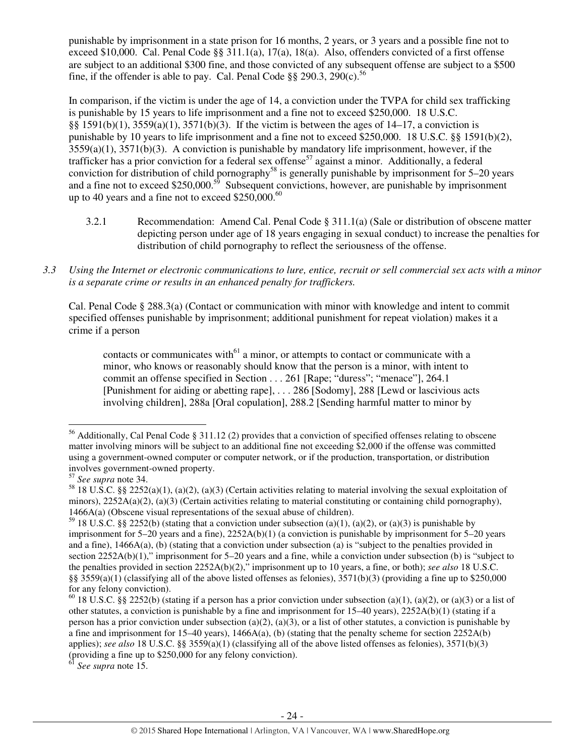punishable by imprisonment in a state prison for 16 months, 2 years, or 3 years and a possible fine not to exceed \$10,000. Cal. Penal Code §§ 311.1(a), 17(a), 18(a). Also, offenders convicted of a first offense are subject to an additional \$300 fine, and those convicted of any subsequent offense are subject to a \$500 fine, if the offender is able to pay. Cal. Penal Code  $\S$ § 290.3, 290(c).<sup>56</sup>

In comparison, if the victim is under the age of 14, a conviction under the TVPA for child sex trafficking is punishable by 15 years to life imprisonment and a fine not to exceed \$250,000. 18 U.S.C. §§ 1591(b)(1), 3559(a)(1), 3571(b)(3). If the victim is between the ages of 14–17, a conviction is punishable by 10 years to life imprisonment and a fine not to exceed \$250,000. 18 U.S.C. §§ 1591(b)(2), 3559(a)(1), 3571(b)(3). A conviction is punishable by mandatory life imprisonment, however, if the trafficker has a prior conviction for a federal sex offense<sup>57</sup> against a minor. Additionally, a federal conviction for distribution of child pornography<sup>58</sup> is generally punishable by imprisonment for  $5-20$  years and a fine not to exceed \$250,000.<sup>59</sup> Subsequent convictions, however, are punishable by imprisonment up to 40 years and a fine not to exceed \$250,000. $^{60}$ 

- 3.2.1 Recommendation: Amend Cal. Penal Code § 311.1(a) (Sale or distribution of obscene matter depicting person under age of 18 years engaging in sexual conduct) to increase the penalties for distribution of child pornography to reflect the seriousness of the offense.
- *3.3 Using the Internet or electronic communications to lure, entice, recruit or sell commercial sex acts with a minor is a separate crime or results in an enhanced penalty for traffickers.*

Cal. Penal Code § 288.3(a) (Contact or communication with minor with knowledge and intent to commit specified offenses punishable by imprisonment; additional punishment for repeat violation) makes it a crime if a person

contacts or communicates with $^{61}$  a minor, or attempts to contact or communicate with a minor, who knows or reasonably should know that the person is a minor, with intent to commit an offense specified in Section . . . 261 [Rape; "duress"; "menace"], 264.1 [Punishment for aiding or abetting rape], . . . 286 [Sodomy], 288 [Lewd or lascivious acts involving children], 288a [Oral copulation], 288.2 [Sending harmful matter to minor by

l

<sup>56</sup> Additionally, Cal Penal Code § 311.12 (2) provides that a conviction of specified offenses relating to obscene matter involving minors will be subject to an additional fine not exceeding \$2,000 if the offense was committed using a government-owned computer or computer network, or if the production, transportation, or distribution involves government-owned property.

<sup>57</sup> *See supra* note 34.

<sup>&</sup>lt;sup>58</sup> 18 U.S.C. §§ 2252(a)(1), (a)(2), (a)(3) (Certain activities relating to material involving the sexual exploitation of minors),  $2252A(a)(2)$ ,  $(a)(3)$  (Certain activities relating to material constituting or containing child pornography), 1466A(a) (Obscene visual representations of the sexual abuse of children).

<sup>&</sup>lt;sup>59</sup> 18 U.S.C. §§ 2252(b) (stating that a conviction under subsection (a)(1), (a)(2), or (a)(3) is punishable by imprisonment for 5–20 years and a fine), 2252A(b)(1) (a conviction is punishable by imprisonment for 5–20 years and a fine), 1466A(a), (b) (stating that a conviction under subsection (a) is "subject to the penalties provided in section 2252A(b)(1)," imprisonment for 5–20 years and a fine, while a conviction under subsection (b) is "subject to the penalties provided in section 2252A(b)(2)," imprisonment up to 10 years, a fine, or both); *see also* 18 U.S.C. §§  $3559(a)(1)$  (classifying all of the above listed offenses as felonies),  $3571(b)(3)$  (providing a fine up to \$250,000 for any felony conviction).

<sup>&</sup>lt;sup>60</sup> 18 U.S.C. §§ 2252(b) (stating if a person has a prior conviction under subsection (a)(1), (a)(2), or (a)(3) or a list of other statutes, a conviction is punishable by a fine and imprisonment for  $15-40$  years),  $2252A(b)(1)$  (stating if a person has a prior conviction under subsection (a)(2), (a)(3), or a list of other statutes, a conviction is punishable by a fine and imprisonment for 15–40 years),  $1466A(a)$ , (b) (stating that the penalty scheme for section 2252A(b) applies); *see also* 18 U.S.C. §§ 3559(a)(1) (classifying all of the above listed offenses as felonies), 3571(b)(3) (providing a fine up to \$250,000 for any felony conviction).

<sup>61</sup> *See supra* note 15.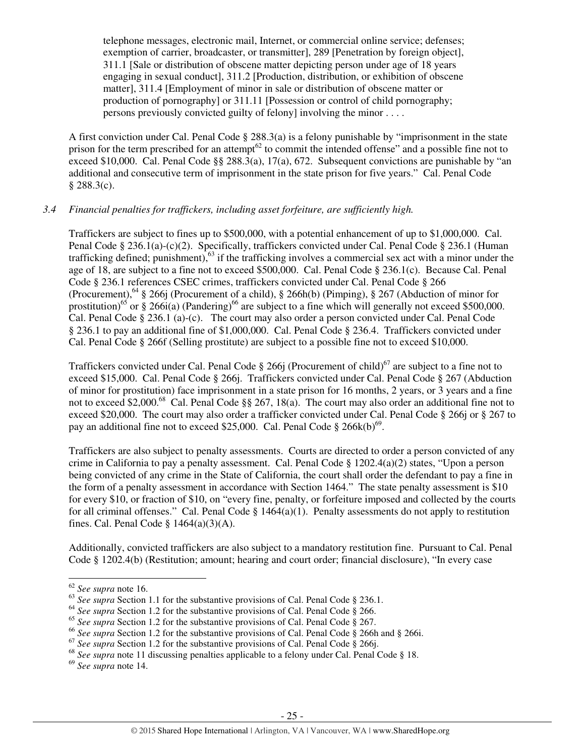telephone messages, electronic mail, Internet, or commercial online service; defenses; exemption of carrier, broadcaster, or transmitter], 289 [Penetration by foreign object], 311.1 [Sale or distribution of obscene matter depicting person under age of 18 years engaging in sexual conduct], 311.2 [Production, distribution, or exhibition of obscene matter], 311.4 [Employment of minor in sale or distribution of obscene matter or production of pornography] or 311.11 [Possession or control of child pornography; persons previously convicted guilty of felony] involving the minor . . . .

A first conviction under Cal. Penal Code § 288.3(a) is a felony punishable by "imprisonment in the state prison for the term prescribed for an attempt<sup>62</sup> to commit the intended offense" and a possible fine not to exceed \$10,000. Cal. Penal Code §§ 288.3(a), 17(a), 672. Subsequent convictions are punishable by "an additional and consecutive term of imprisonment in the state prison for five years." Cal. Penal Code  $§ 288.3(c).$ 

## *3.4 Financial penalties for traffickers, including asset forfeiture, are sufficiently high.*

Traffickers are subject to fines up to \$500,000, with a potential enhancement of up to \$1,000,000. Cal. Penal Code § 236.1(a)-(c)(2). Specifically, traffickers convicted under Cal. Penal Code § 236.1 (Human trafficking defined; punishment),<sup>63</sup> if the trafficking involves a commercial sex act with a minor under the age of 18, are subject to a fine not to exceed \$500,000. Cal. Penal Code § 236.1(c). Because Cal. Penal Code § 236.1 references CSEC crimes, traffickers convicted under Cal. Penal Code § 266 (Procurement),<sup>64</sup> § 266j (Procurement of a child), § 266h(b) (Pimping), § 267 (Abduction of minor for prostitution)<sup>65</sup> or § 266i(a) (Pandering)<sup>66</sup> are subject to a fine which will generally not exceed \$500,000. Cal. Penal Code § 236.1 (a)-(c). The court may also order a person convicted under Cal. Penal Code § 236.1 to pay an additional fine of \$1,000,000. Cal. Penal Code § 236.4. Traffickers convicted under Cal. Penal Code § 266f (Selling prostitute) are subject to a possible fine not to exceed \$10,000.

Traffickers convicted under Cal. Penal Code § 266j (Procurement of child)<sup>67</sup> are subject to a fine not to exceed \$15,000. Cal. Penal Code § 266j. Traffickers convicted under Cal. Penal Code § 267 (Abduction of minor for prostitution) face imprisonment in a state prison for 16 months, 2 years, or 3 years and a fine not to exceed \$2,000.<sup>68</sup> Cal. Penal Code §§ 267, 18(a). The court may also order an additional fine not to exceed \$20,000. The court may also order a trafficker convicted under Cal. Penal Code § 266j or § 267 to pay an additional fine not to exceed \$25,000. Cal. Penal Code  $\S 266k(b)^{69}$ .

Traffickers are also subject to penalty assessments. Courts are directed to order a person convicted of any crime in California to pay a penalty assessment. Cal. Penal Code § 1202.4(a)(2) states, "Upon a person being convicted of any crime in the State of California, the court shall order the defendant to pay a fine in the form of a penalty assessment in accordance with Section 1464." The state penalty assessment is \$10 for every \$10, or fraction of \$10, on "every fine, penalty, or forfeiture imposed and collected by the courts for all criminal offenses." Cal. Penal Code § 1464(a)(1). Penalty assessments do not apply to restitution fines. Cal. Penal Code  $\S$  1464(a)(3)(A).

Additionally, convicted traffickers are also subject to a mandatory restitution fine. Pursuant to Cal. Penal Code § 1202.4(b) (Restitution; amount; hearing and court order; financial disclosure), "In every case

 $\overline{a}$ 

<sup>69</sup> *See supra* note 14.

<sup>62</sup> *See supra* note 16.

<sup>&</sup>lt;sup>63</sup> *See supra* Section 1.1 for the substantive provisions of Cal. Penal Code § 236.1.

<sup>&</sup>lt;sup>64</sup> See supra Section 1.2 for the substantive provisions of Cal. Penal Code § 266.

<sup>65</sup> *See supra* Section 1.2 for the substantive provisions of Cal. Penal Code § 267.

<sup>&</sup>lt;sup>66</sup> See supra Section 1.2 for the substantive provisions of Cal. Penal Code § 266h and § 266i.

<sup>&</sup>lt;sup>67</sup> See supra Section 1.2 for the substantive provisions of Cal. Penal Code § 266.

<sup>&</sup>lt;sup>68</sup> See supra note 11 discussing penalties applicable to a felony under Cal. Penal Code § 18.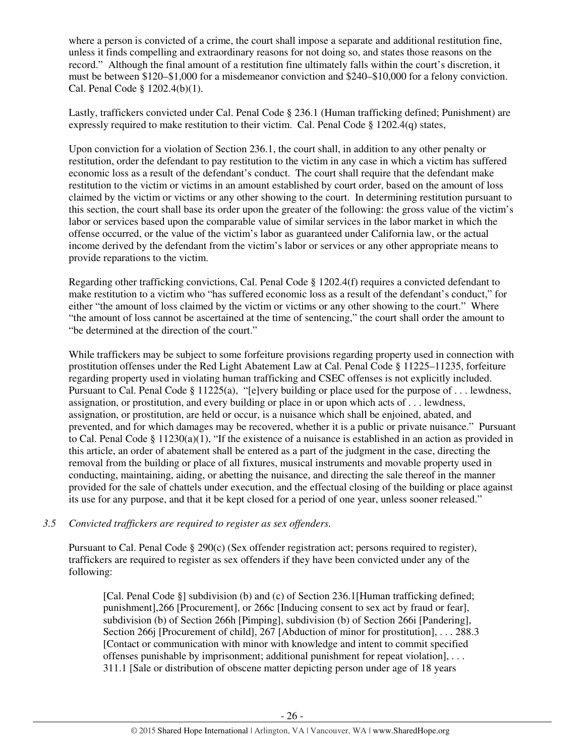where a person is convicted of a crime, the court shall impose a separate and additional restitution fine, unless it finds compelling and extraordinary reasons for not doing so, and states those reasons on the record." Although the final amount of a restitution fine ultimately falls within the court's discretion, it must be between \$120–\$1,000 for a misdemeanor conviction and \$240–\$10,000 for a felony conviction. Cal. Penal Code § 1202.4(b)(1).

Lastly, traffickers convicted under Cal. Penal Code § 236.1 (Human trafficking defined; Punishment) are expressly required to make restitution to their victim. Cal. Penal Code § 1202.4(q) states,

Upon conviction for a violation of Section 236.1, the court shall, in addition to any other penalty or restitution, order the defendant to pay restitution to the victim in any case in which a victim has suffered economic loss as a result of the defendant's conduct. The court shall require that the defendant make restitution to the victim or victims in an amount established by court order, based on the amount of loss claimed by the victim or victims or any other showing to the court. In determining restitution pursuant to this section, the court shall base its order upon the greater of the following: the gross value of the victim's labor or services based upon the comparable value of similar services in the labor market in which the offense occurred, or the value of the victim's labor as guaranteed under California law, or the actual income derived by the defendant from the victim's labor or services or any other appropriate means to provide reparations to the victim.

Regarding other trafficking convictions, Cal. Penal Code § 1202.4(f) requires a convicted defendant to make restitution to a victim who "has suffered economic loss as a result of the defendant's conduct," for either "the amount of loss claimed by the victim or victims or any other showing to the court." Where "the amount of loss cannot be ascertained at the time of sentencing," the court shall order the amount to "be determined at the direction of the court."

While traffickers may be subject to some forfeiture provisions regarding property used in connection with prostitution offenses under the Red Light Abatement Law at Cal. Penal Code § 11225–11235, forfeiture regarding property used in violating human trafficking and CSEC offenses is not explicitly included. Pursuant to Cal. Penal Code § 11225(a), "[e]very building or place used for the purpose of . . . lewdness, assignation, or prostitution, and every building or place in or upon which acts of . . . lewdness, assignation, or prostitution, are held or occur, is a nuisance which shall be enjoined, abated, and prevented, and for which damages may be recovered, whether it is a public or private nuisance." Pursuant to Cal. Penal Code § 11230(a)(1), "If the existence of a nuisance is established in an action as provided in this article, an order of abatement shall be entered as a part of the judgment in the case, directing the removal from the building or place of all fixtures, musical instruments and movable property used in conducting, maintaining, aiding, or abetting the nuisance, and directing the sale thereof in the manner provided for the sale of chattels under execution, and the effectual closing of the building or place against its use for any purpose, and that it be kept closed for a period of one year, unless sooner released."

## *3.5 Convicted traffickers are required to register as sex offenders.*

Pursuant to Cal. Penal Code § 290(c) (Sex offender registration act; persons required to register), traffickers are required to register as sex offenders if they have been convicted under any of the following:

[Cal. Penal Code §] subdivision (b) and (c) of Section 236.1[Human trafficking defined; punishment],266 [Procurement], or 266c [Inducing consent to sex act by fraud or fear], subdivision (b) of Section 266h [Pimping], subdivision (b) of Section 266i [Pandering], Section 266j [Procurement of child], 267 [Abduction of minor for prostitution], . . . 288.3 [Contact or communication with minor with knowledge and intent to commit specified offenses punishable by imprisonment; additional punishment for repeat violation], . . . 311.1 [Sale or distribution of obscene matter depicting person under age of 18 years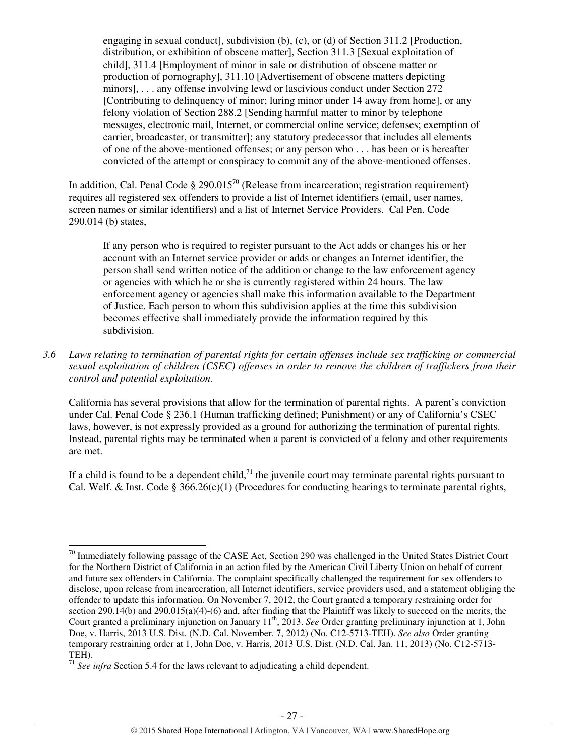engaging in sexual conduct], subdivision  $(b)$ ,  $(c)$ , or  $(d)$  of Section 311.2 [Production, distribution, or exhibition of obscene matter], Section 311.3 [Sexual exploitation of child], 311.4 [Employment of minor in sale or distribution of obscene matter or production of pornography], 311.10 [Advertisement of obscene matters depicting minors], . . . any offense involving lewd or lascivious conduct under Section 272 [Contributing to delinquency of minor; luring minor under 14 away from home], or any felony violation of Section 288.2 [Sending harmful matter to minor by telephone messages, electronic mail, Internet, or commercial online service; defenses; exemption of carrier, broadcaster, or transmitter]; any statutory predecessor that includes all elements of one of the above-mentioned offenses; or any person who . . . has been or is hereafter convicted of the attempt or conspiracy to commit any of the above-mentioned offenses.

In addition, Cal. Penal Code  $\S 290.015^{70}$  (Release from incarceration; registration requirement) requires all registered sex offenders to provide a list of Internet identifiers (email, user names, screen names or similar identifiers) and a list of Internet Service Providers. Cal Pen. Code 290.014 (b) states,

If any person who is required to register pursuant to the Act adds or changes his or her account with an Internet service provider or adds or changes an Internet identifier, the person shall send written notice of the addition or change to the law enforcement agency or agencies with which he or she is currently registered within 24 hours. The law enforcement agency or agencies shall make this information available to the Department of Justice. Each person to whom this subdivision applies at the time this subdivision becomes effective shall immediately provide the information required by this subdivision.

*3.6 Laws relating to termination of parental rights for certain offenses include sex trafficking or commercial sexual exploitation of children (CSEC) offenses in order to remove the children of traffickers from their control and potential exploitation.* 

California has several provisions that allow for the termination of parental rights. A parent's conviction under Cal. Penal Code § 236.1 (Human trafficking defined; Punishment) or any of California's CSEC laws, however, is not expressly provided as a ground for authorizing the termination of parental rights. Instead, parental rights may be terminated when a parent is convicted of a felony and other requirements are met.

If a child is found to be a dependent child,<sup>71</sup> the juvenile court may terminate parental rights pursuant to Cal. Welf. & Inst. Code § 366.26(c)(1) (Procedures for conducting hearings to terminate parental rights,

l

 $^{70}$  Immediately following passage of the CASE Act, Section 290 was challenged in the United States District Court for the Northern District of California in an action filed by the American Civil Liberty Union on behalf of current and future sex offenders in California. The complaint specifically challenged the requirement for sex offenders to disclose, upon release from incarceration, all Internet identifiers, service providers used, and a statement obliging the offender to update this information. On November 7, 2012, the Court granted a temporary restraining order for section 290.14(b) and 290.015(a)(4)-(6) and, after finding that the Plaintiff was likely to succeed on the merits, the Court granted a preliminary injunction on January 11<sup>th</sup>, 2013. *See* Order granting preliminary injunction at 1, John Doe, v. Harris, 2013 U.S. Dist. (N.D. Cal. November. 7, 2012) (No. C12-5713-TEH). *See also* Order granting temporary restraining order at 1, John Doe, v. Harris, 2013 U.S. Dist. (N.D. Cal. Jan. 11, 2013) (No. C12-5713- TEH).

<sup>71</sup> *See infra* Section 5.4 for the laws relevant to adjudicating a child dependent.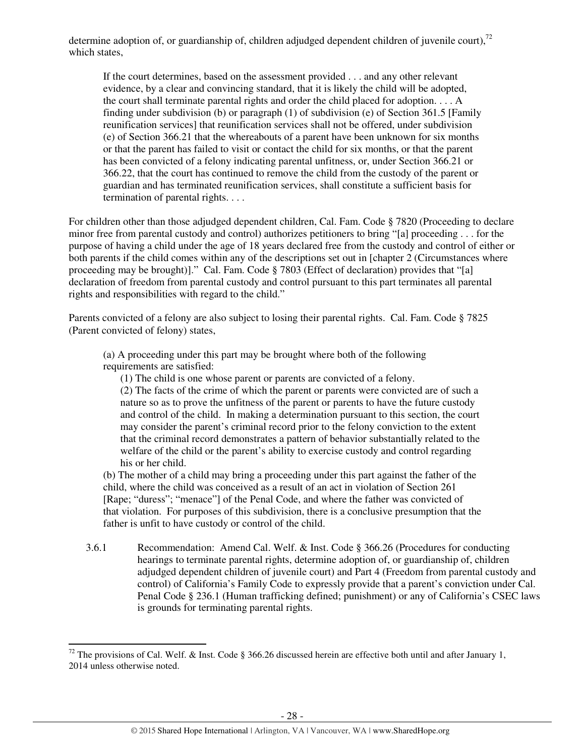determine adoption of, or guardianship of, children adjudged dependent children of juvenile court),  $^{72}$ which states,

If the court determines, based on the assessment provided . . . and any other relevant evidence, by a clear and convincing standard, that it is likely the child will be adopted, the court shall terminate parental rights and order the child placed for adoption. . . . A finding under subdivision (b) or paragraph (1) of subdivision (e) of Section 361.5 [Family reunification services] that reunification services shall not be offered, under subdivision (e) of Section 366.21 that the whereabouts of a parent have been unknown for six months or that the parent has failed to visit or contact the child for six months, or that the parent has been convicted of a felony indicating parental unfitness, or, under Section 366.21 or 366.22, that the court has continued to remove the child from the custody of the parent or guardian and has terminated reunification services, shall constitute a sufficient basis for termination of parental rights. . . .

For children other than those adjudged dependent children, Cal. Fam. Code § 7820 (Proceeding to declare minor free from parental custody and control) authorizes petitioners to bring "[a] proceeding . . . for the purpose of having a child under the age of 18 years declared free from the custody and control of either or both parents if the child comes within any of the descriptions set out in [chapter 2 (Circumstances where proceeding may be brought)]." Cal. Fam. Code § 7803 (Effect of declaration) provides that "[a] declaration of freedom from parental custody and control pursuant to this part terminates all parental rights and responsibilities with regard to the child."

Parents convicted of a felony are also subject to losing their parental rights. Cal. Fam. Code § 7825 (Parent convicted of felony) states,

(a) A proceeding under this part may be brought where both of the following requirements are satisfied:

(1) The child is one whose parent or parents are convicted of a felony.

(2) The facts of the crime of which the parent or parents were convicted are of such a nature so as to prove the unfitness of the parent or parents to have the future custody and control of the child. In making a determination pursuant to this section, the court may consider the parent's criminal record prior to the felony conviction to the extent that the criminal record demonstrates a pattern of behavior substantially related to the welfare of the child or the parent's ability to exercise custody and control regarding his or her child.

(b) The mother of a child may bring a proceeding under this part against the father of the child, where the child was conceived as a result of an act in violation of Section 261 [Rape; "duress"; "menace"] of the Penal Code, and where the father was convicted of that violation. For purposes of this subdivision, there is a conclusive presumption that the father is unfit to have custody or control of the child.

3.6.1 Recommendation: Amend Cal. Welf. & Inst. Code § 366.26 (Procedures for conducting hearings to terminate parental rights, determine adoption of, or guardianship of, children adjudged dependent children of juvenile court) and Part 4 (Freedom from parental custody and control) of California's Family Code to expressly provide that a parent's conviction under Cal. Penal Code § 236.1 (Human trafficking defined; punishment) or any of California's CSEC laws is grounds for terminating parental rights.

<sup>&</sup>lt;sup>72</sup> The provisions of Cal. Welf. & Inst. Code § 366.26 discussed herein are effective both until and after January 1, 2014 unless otherwise noted.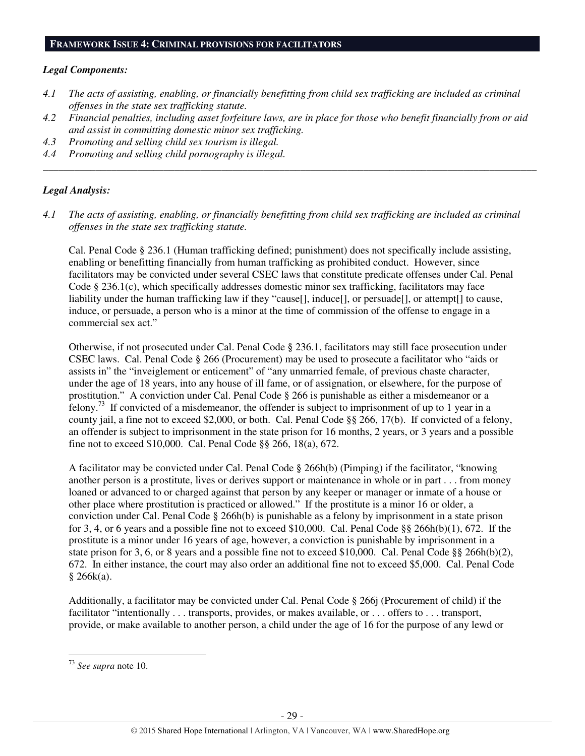#### **FRAMEWORK ISSUE 4: CRIMINAL PROVISIONS FOR FACILITATORS**

#### *Legal Components:*

- *4.1 The acts of assisting, enabling, or financially benefitting from child sex trafficking are included as criminal offenses in the state sex trafficking statute.*
- *4.2 Financial penalties, including asset forfeiture laws, are in place for those who benefit financially from or aid and assist in committing domestic minor sex trafficking.*

*\_\_\_\_\_\_\_\_\_\_\_\_\_\_\_\_\_\_\_\_\_\_\_\_\_\_\_\_\_\_\_\_\_\_\_\_\_\_\_\_\_\_\_\_\_\_\_\_\_\_\_\_\_\_\_\_\_\_\_\_\_\_\_\_\_\_\_\_\_\_\_\_\_\_\_\_\_\_\_\_\_\_\_\_\_\_\_\_\_\_\_\_\_\_* 

- *4.3 Promoting and selling child sex tourism is illegal.*
- *4.4 Promoting and selling child pornography is illegal.*

## *Legal Analysis:*

*4.1 The acts of assisting, enabling, or financially benefitting from child sex trafficking are included as criminal offenses in the state sex trafficking statute.*

Cal. Penal Code § 236.1 (Human trafficking defined; punishment) does not specifically include assisting, enabling or benefitting financially from human trafficking as prohibited conduct. However, since facilitators may be convicted under several CSEC laws that constitute predicate offenses under Cal. Penal Code § 236.1(c), which specifically addresses domestic minor sex trafficking, facilitators may face liability under the human trafficking law if they "cause[], induce[], or persuade[], or attempt[] to cause, induce, or persuade, a person who is a minor at the time of commission of the offense to engage in a commercial sex act."

Otherwise, if not prosecuted under Cal. Penal Code § 236.1, facilitators may still face prosecution under CSEC laws. Cal. Penal Code § 266 (Procurement) may be used to prosecute a facilitator who "aids or assists in" the "inveiglement or enticement" of "any unmarried female, of previous chaste character, under the age of 18 years, into any house of ill fame, or of assignation, or elsewhere, for the purpose of prostitution." A conviction under Cal. Penal Code § 266 is punishable as either a misdemeanor or a felony.<sup>73</sup> If convicted of a misdemeanor, the offender is subject to imprisonment of up to 1 year in a county jail, a fine not to exceed \$2,000, or both. Cal. Penal Code §§ 266, 17(b). If convicted of a felony, an offender is subject to imprisonment in the state prison for 16 months, 2 years, or 3 years and a possible fine not to exceed \$10,000. Cal. Penal Code §§ 266, 18(a), 672.

A facilitator may be convicted under Cal. Penal Code § 266h(b) (Pimping) if the facilitator, "knowing another person is a prostitute, lives or derives support or maintenance in whole or in part . . . from money loaned or advanced to or charged against that person by any keeper or manager or inmate of a house or other place where prostitution is practiced or allowed." If the prostitute is a minor 16 or older, a conviction under Cal. Penal Code § 266h(b) is punishable as a felony by imprisonment in a state prison for 3, 4, or 6 years and a possible fine not to exceed \$10,000. Cal. Penal Code §§ 266h(b)(1), 672. If the prostitute is a minor under 16 years of age, however, a conviction is punishable by imprisonment in a state prison for 3, 6, or 8 years and a possible fine not to exceed \$10,000. Cal. Penal Code §§ 266h(b)(2), 672. In either instance, the court may also order an additional fine not to exceed \$5,000. Cal. Penal Code § 266k(a).

Additionally, a facilitator may be convicted under Cal. Penal Code § 266j (Procurement of child) if the facilitator "intentionally . . . transports, provides, or makes available, or . . . offers to . . . transport, provide, or make available to another person, a child under the age of 16 for the purpose of any lewd or

<sup>73</sup> *See supra* note 10.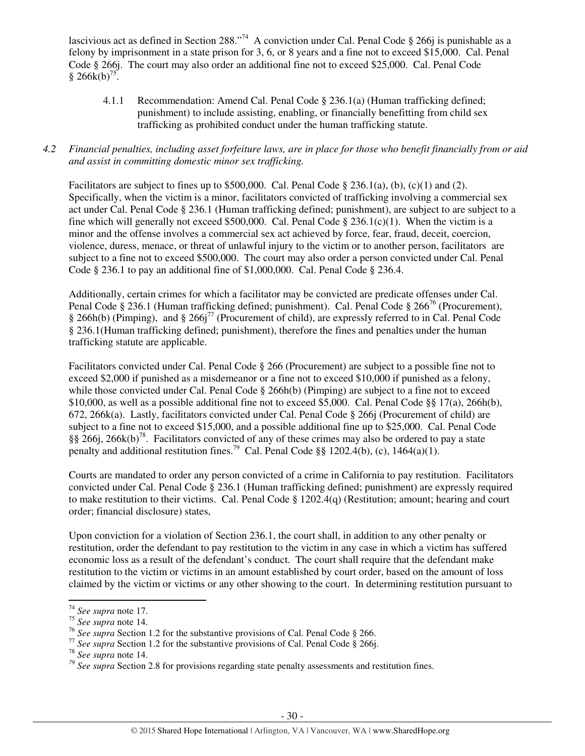lascivious act as defined in Section 288."<sup>74</sup> A conviction under Cal. Penal Code § 266*j* is punishable as a felony by imprisonment in a state prison for 3, 6, or 8 years and a fine not to exceed \$15,000. Cal. Penal Code § 266j. The court may also order an additional fine not to exceed \$25,000. Cal. Penal Code  $§ 266k(b)<sup>75</sup>.$ 

 4.1.1 Recommendation: Amend Cal. Penal Code § 236.1(a) (Human trafficking defined; punishment) to include assisting, enabling, or financially benefitting from child sex trafficking as prohibited conduct under the human trafficking statute.

## *4.2 Financial penalties, including asset forfeiture laws, are in place for those who benefit financially from or aid and assist in committing domestic minor sex trafficking.*

Facilitators are subject to fines up to \$500,000. Cal. Penal Code  $\S 236.1(a)$ , (b), (c)(1) and (2). Specifically, when the victim is a minor, facilitators convicted of trafficking involving a commercial sex act under Cal. Penal Code § 236.1 (Human trafficking defined; punishment), are subject to are subject to a fine which will generally not exceed \$500,000. Cal. Penal Code § 236.1(c)(1). When the victim is a minor and the offense involves a commercial sex act achieved by force, fear, fraud, deceit, coercion, violence, duress, menace, or threat of unlawful injury to the victim or to another person, facilitators are subject to a fine not to exceed \$500,000. The court may also order a person convicted under Cal. Penal Code  $\S$  236.1 to pay an additional fine of \$1,000,000. Cal. Penal Code  $\S$  236.4.

Additionally, certain crimes for which a facilitator may be convicted are predicate offenses under Cal. Penal Code § 236.1 (Human trafficking defined; punishment). Cal. Penal Code § 266<sup>76</sup> (Procurement), § 266h(b) (Pimping), and § 266j<sup>77</sup> (Procurement of child), are expressly referred to in Cal. Penal Code § 236.1(Human trafficking defined; punishment), therefore the fines and penalties under the human trafficking statute are applicable.

Facilitators convicted under Cal. Penal Code § 266 (Procurement) are subject to a possible fine not to exceed \$2,000 if punished as a misdemeanor or a fine not to exceed \$10,000 if punished as a felony, while those convicted under Cal. Penal Code § 266h(b) (Pimping) are subject to a fine not to exceed \$10,000, as well as a possible additional fine not to exceed \$5,000. Cal. Penal Code §§ 17(a), 266h(b), 672, 266k(a). Lastly, facilitators convicted under Cal. Penal Code § 266j (Procurement of child) are subject to a fine not to exceed \$15,000, and a possible additional fine up to \$25,000. Cal. Penal Code §§ 266j, 266k(b)<sup>78</sup>. Facilitators convicted of any of these crimes may also be ordered to pay a state penalty and additional restitution fines.<sup>79</sup> Cal. Penal Code §§ 1202.4(b), (c), 1464(a)(1).

Courts are mandated to order any person convicted of a crime in California to pay restitution. Facilitators convicted under Cal. Penal Code § 236.1 (Human trafficking defined; punishment) are expressly required to make restitution to their victims. Cal. Penal Code § 1202.4(q) (Restitution; amount; hearing and court order; financial disclosure) states,

Upon conviction for a violation of Section 236.1, the court shall, in addition to any other penalty or restitution, order the defendant to pay restitution to the victim in any case in which a victim has suffered economic loss as a result of the defendant's conduct. The court shall require that the defendant make restitution to the victim or victims in an amount established by court order, based on the amount of loss claimed by the victim or victims or any other showing to the court. In determining restitution pursuant to

l

<sup>74</sup> *See supra* note 17.

<sup>75</sup> *See supra* note 14.

<sup>76</sup> *See supra* Section 1.2 for the substantive provisions of Cal. Penal Code § 266.

<sup>&</sup>lt;sup>77</sup> *See supra* Section 1.2 for the substantive provisions of Cal. Penal Code § 266.

<sup>78</sup> *See supra* note 14.

*<sup>79</sup> See supra* Section 2.8 for provisions regarding state penalty assessments and restitution fines.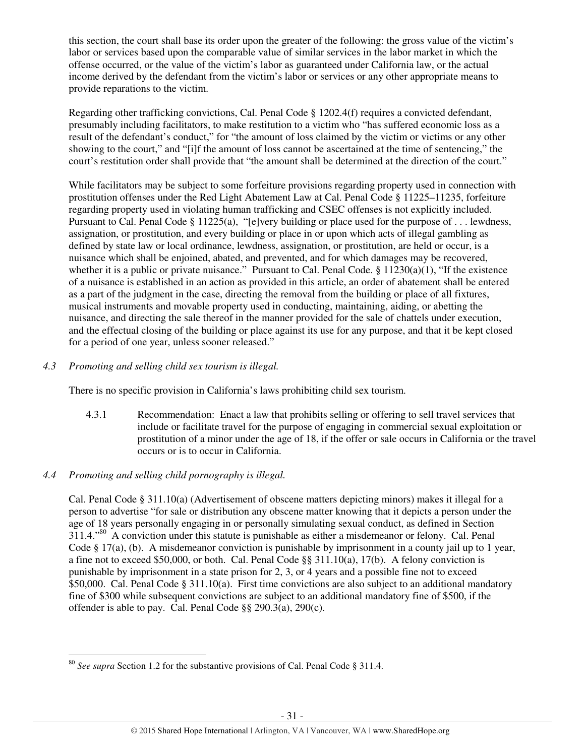this section, the court shall base its order upon the greater of the following: the gross value of the victim's labor or services based upon the comparable value of similar services in the labor market in which the offense occurred, or the value of the victim's labor as guaranteed under California law, or the actual income derived by the defendant from the victim's labor or services or any other appropriate means to provide reparations to the victim.

Regarding other trafficking convictions, Cal. Penal Code § 1202.4(f) requires a convicted defendant, presumably including facilitators, to make restitution to a victim who "has suffered economic loss as a result of the defendant's conduct," for "the amount of loss claimed by the victim or victims or any other showing to the court," and "[i]f the amount of loss cannot be ascertained at the time of sentencing," the court's restitution order shall provide that "the amount shall be determined at the direction of the court."

While facilitators may be subject to some forfeiture provisions regarding property used in connection with prostitution offenses under the Red Light Abatement Law at Cal. Penal Code § 11225–11235, forfeiture regarding property used in violating human trafficking and CSEC offenses is not explicitly included. Pursuant to Cal. Penal Code § 11225(a), "[e]very building or place used for the purpose of . . . lewdness, assignation, or prostitution, and every building or place in or upon which acts of illegal gambling as defined by state law or local ordinance, lewdness, assignation, or prostitution, are held or occur, is a nuisance which shall be enjoined, abated, and prevented, and for which damages may be recovered, whether it is a public or private nuisance." Pursuant to Cal. Penal Code.  $\frac{1230(a)(1)}{1230(a)(1)}$  "If the existence" of a nuisance is established in an action as provided in this article, an order of abatement shall be entered as a part of the judgment in the case, directing the removal from the building or place of all fixtures, musical instruments and movable property used in conducting, maintaining, aiding, or abetting the nuisance, and directing the sale thereof in the manner provided for the sale of chattels under execution, and the effectual closing of the building or place against its use for any purpose, and that it be kept closed for a period of one year, unless sooner released."

## *4.3 Promoting and selling child sex tourism is illegal.*

There is no specific provision in California's laws prohibiting child sex tourism.

4.3.1 Recommendation: Enact a law that prohibits selling or offering to sell travel services that include or facilitate travel for the purpose of engaging in commercial sexual exploitation or prostitution of a minor under the age of 18, if the offer or sale occurs in California or the travel occurs or is to occur in California.

# *4.4 Promoting and selling child pornography is illegal.*

l

Cal. Penal Code § 311.10(a) (Advertisement of obscene matters depicting minors) makes it illegal for a person to advertise "for sale or distribution any obscene matter knowing that it depicts a person under the age of 18 years personally engaging in or personally simulating sexual conduct, as defined in Section 311.4."<sup>80</sup> A conviction under this statute is punishable as either a misdemeanor or felony. Cal. Penal Code § 17(a), (b). A misdemeanor conviction is punishable by imprisonment in a county jail up to 1 year, a fine not to exceed \$50,000, or both. Cal. Penal Code §§ 311.10(a), 17(b). A felony conviction is punishable by imprisonment in a state prison for 2, 3, or 4 years and a possible fine not to exceed \$50,000. Cal. Penal Code § 311.10(a). First time convictions are also subject to an additional mandatory fine of \$300 while subsequent convictions are subject to an additional mandatory fine of \$500, if the offender is able to pay. Cal. Penal Code §§ 290.3(a), 290(c).

<sup>80</sup> *See supra* Section 1.2 for the substantive provisions of Cal. Penal Code § 311.4.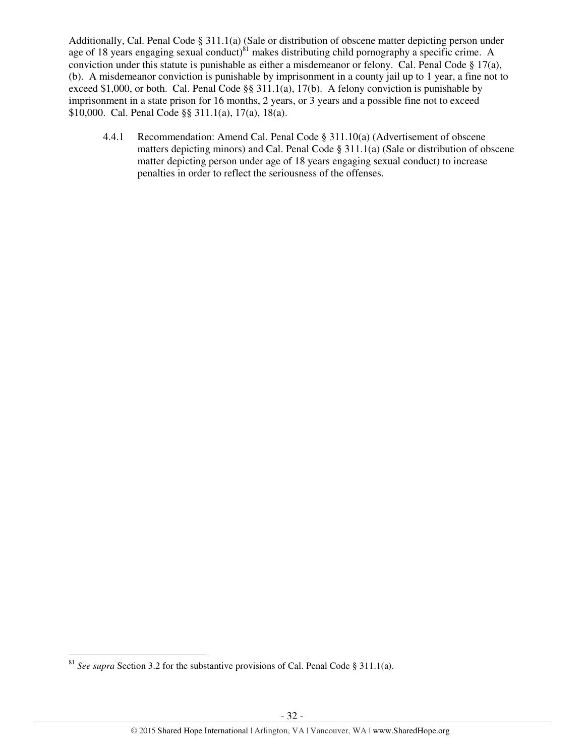Additionally, Cal. Penal Code § 311.1(a) (Sale or distribution of obscene matter depicting person under age of 18 years engaging sexual conduct)<sup>81</sup> makes distributing child pornography a specific crime. A conviction under this statute is punishable as either a misdemeanor or felony. Cal. Penal Code § 17(a), (b). A misdemeanor conviction is punishable by imprisonment in a county jail up to 1 year, a fine not to exceed \$1,000, or both. Cal. Penal Code §§ 311.1(a), 17(b). A felony conviction is punishable by imprisonment in a state prison for 16 months, 2 years, or 3 years and a possible fine not to exceed \$10,000. Cal. Penal Code §§ 311.1(a), 17(a), 18(a).

 4.4.1 Recommendation: Amend Cal. Penal Code § 311.10(a) (Advertisement of obscene matters depicting minors) and Cal. Penal Code § 311.1(a) (Sale or distribution of obscene matter depicting person under age of 18 years engaging sexual conduct) to increase penalties in order to reflect the seriousness of the offenses.

<sup>81</sup> *See supra* Section 3.2 for the substantive provisions of Cal. Penal Code § 311.1(a).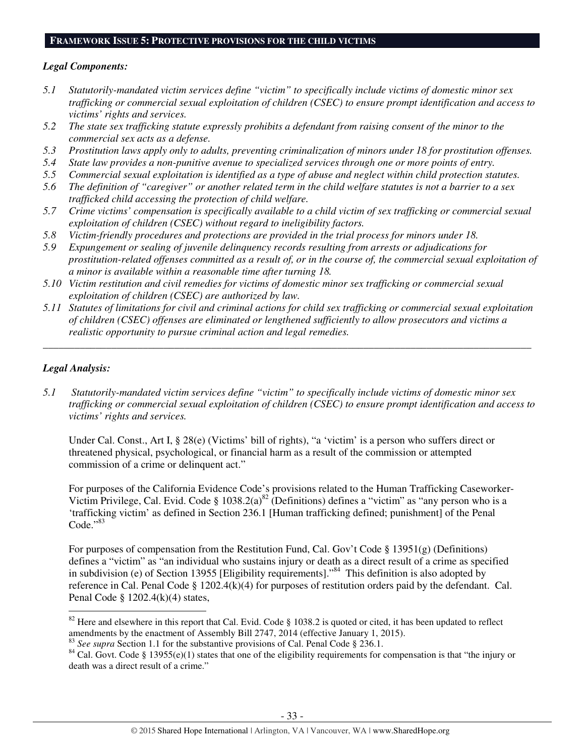#### **FRAMEWORK ISSUE 5: PROTECTIVE PROVISIONS FOR THE CHILD VICTIMS**

#### *Legal Components:*

- *5.1 Statutorily-mandated victim services define "victim" to specifically include victims of domestic minor sex trafficking or commercial sexual exploitation of children (CSEC) to ensure prompt identification and access to victims' rights and services.*
- *5.2 The state sex trafficking statute expressly prohibits a defendant from raising consent of the minor to the commercial sex acts as a defense.*
- *5.3 Prostitution laws apply only to adults, preventing criminalization of minors under 18 for prostitution offenses.*
- *5.4 State law provides a non-punitive avenue to specialized services through one or more points of entry.*
- *5.5 Commercial sexual exploitation is identified as a type of abuse and neglect within child protection statutes.*
- *5.6 The definition of "caregiver" or another related term in the child welfare statutes is not a barrier to a sex trafficked child accessing the protection of child welfare.*
- *5.7 Crime victims' compensation is specifically available to a child victim of sex trafficking or commercial sexual exploitation of children (CSEC) without regard to ineligibility factors.*
- *5.8 Victim-friendly procedures and protections are provided in the trial process for minors under 18.*
- *5.9 Expungement or sealing of juvenile delinquency records resulting from arrests or adjudications for prostitution-related offenses committed as a result of, or in the course of, the commercial sexual exploitation of a minor is available within a reasonable time after turning 18.*
- *5.10 Victim restitution and civil remedies for victims of domestic minor sex trafficking or commercial sexual exploitation of children (CSEC) are authorized by law.*
- *5.11 Statutes of limitations for civil and criminal actions for child sex trafficking or commercial sexual exploitation of children (CSEC) offenses are eliminated or lengthened sufficiently to allow prosecutors and victims a realistic opportunity to pursue criminal action and legal remedies.*

*\_\_\_\_\_\_\_\_\_\_\_\_\_\_\_\_\_\_\_\_\_\_\_\_\_\_\_\_\_\_\_\_\_\_\_\_\_\_\_\_\_\_\_\_\_\_\_\_\_\_\_\_\_\_\_\_\_\_\_\_\_\_\_\_\_\_\_\_\_\_\_\_\_\_\_\_\_\_\_\_\_\_\_\_\_\_\_\_\_\_\_\_\_* 

## *Legal Analysis:*

l

*5.1 Statutorily-mandated victim services define "victim" to specifically include victims of domestic minor sex trafficking or commercial sexual exploitation of children (CSEC) to ensure prompt identification and access to victims' rights and services.* 

Under Cal. Const., Art I, § 28(e) (Victims' bill of rights), "a 'victim' is a person who suffers direct or threatened physical, psychological, or financial harm as a result of the commission or attempted commission of a crime or delinquent act."

For purposes of the California Evidence Code's provisions related to the Human Trafficking Caseworker-Victim Privilege, Cal. Evid. Code § 1038.2(a)<sup>82</sup> (Definitions) defines a "victim" as "any person who is a 'trafficking victim' as defined in Section 236.1 [Human trafficking defined; punishment] of the Penal Code."83

For purposes of compensation from the Restitution Fund, Cal. Gov't Code § 13951(g) (Definitions) defines a "victim" as "an individual who sustains injury or death as a direct result of a crime as specified in subdivision (e) of Section 13955 [Eligibility requirements]."<sup>84</sup> This definition is also adopted by reference in Cal. Penal Code § 1202.4(k)(4) for purposes of restitution orders paid by the defendant. Cal. Penal Code § 1202.4(k)(4) states,

<sup>&</sup>lt;sup>82</sup> Here and elsewhere in this report that Cal. Evid. Code § 1038.2 is quoted or cited, it has been updated to reflect amendments by the enactment of Assembly Bill 2747, 2014 (effective January 1, 2015).

<sup>&</sup>lt;sup>83</sup> *See supra* Section 1.1 for the substantive provisions of Cal. Penal Code § 236.1.

 $84$  Cal. Govt. Code § 13955(e)(1) states that one of the eligibility requirements for compensation is that "the injury or death was a direct result of a crime."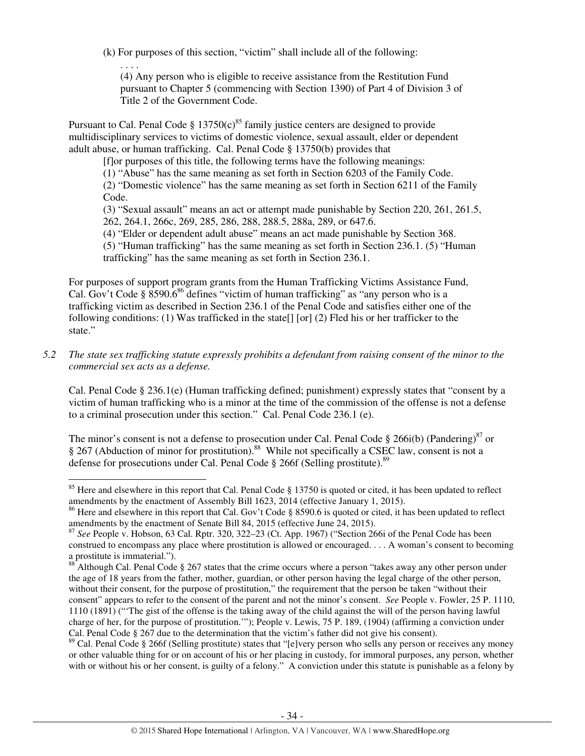(k) For purposes of this section, "victim" shall include all of the following:

. . . .

 $\overline{a}$ 

(4) Any person who is eligible to receive assistance from the Restitution Fund pursuant to Chapter 5 (commencing with Section 1390) of Part 4 of Division 3 of Title 2 of the Government Code.

Pursuant to Cal. Penal Code §  $13750(c)^{85}$  family justice centers are designed to provide multidisciplinary services to victims of domestic violence, sexual assault, elder or dependent adult abuse, or human trafficking. Cal. Penal Code § 13750(b) provides that

[f]or purposes of this title, the following terms have the following meanings:

(1) "Abuse" has the same meaning as set forth in Section 6203 of the Family Code.

(2) "Domestic violence" has the same meaning as set forth in Section 6211 of the Family Code.

(3) "Sexual assault" means an act or attempt made punishable by Section 220, 261, 261.5, 262, 264.1, 266c, 269, 285, 286, 288, 288.5, 288a, 289, or 647.6.

(4) "Elder or dependent adult abuse" means an act made punishable by Section 368.

(5) "Human trafficking" has the same meaning as set forth in Section 236.1. (5) "Human trafficking" has the same meaning as set forth in Section 236.1.

For purposes of support program grants from the Human Trafficking Victims Assistance Fund, Cal. Gov't Code § 8590.6<sup>86</sup> defines "victim of human trafficking" as "any person who is a trafficking victim as described in Section 236.1 of the Penal Code and satisfies either one of the following conditions: (1) Was trafficked in the state[] [or] (2) Fled his or her trafficker to the state."

## *5.2 The state sex trafficking statute expressly prohibits a defendant from raising consent of the minor to the commercial sex acts as a defense.*

Cal. Penal Code § 236.1(e) (Human trafficking defined; punishment) expressly states that "consent by a victim of human trafficking who is a minor at the time of the commission of the offense is not a defense to a criminal prosecution under this section." Cal. Penal Code 236.1 (e).

The minor's consent is not a defense to prosecution under Cal. Penal Code § 266i(b) (Pandering)<sup>87</sup> or § 267 (Abduction of minor for prostitution).<sup>88</sup> While not specifically a CSEC law, consent is not a defense for prosecutions under Cal. Penal Code  $\S$  266f (Selling prostitute).<sup>89</sup>

<sup>&</sup>lt;sup>85</sup> Here and elsewhere in this report that Cal. Penal Code  $\S$  13750 is quoted or cited, it has been updated to reflect amendments by the enactment of Assembly Bill 1623, 2014 (effective January 1, 2015).

<sup>&</sup>lt;sup>86</sup> Here and elsewhere in this report that Cal. Gov't Code § 8590.6 is quoted or cited, it has been updated to reflect amendments by the enactment of Senate Bill 84, 2015 (effective June 24, 2015).

<sup>87</sup> *See* People v. Hobson, 63 Cal. Rptr. 320, 322–23 (Ct. App. 1967) ("Section 266i of the Penal Code has been construed to encompass any place where prostitution is allowed or encouraged. . . . A woman's consent to becoming a prostitute is immaterial.").

 $88^\circ$  Although Cal. Penal Code § 267 states that the crime occurs where a person "takes away any other person under the age of 18 years from the father, mother, guardian, or other person having the legal charge of the other person, without their consent, for the purpose of prostitution," the requirement that the person be taken "without their consent" appears to refer to the consent of the parent and not the minor's consent. *See* People v. Fowler, 25 P. 1110, 1110 (1891) ("'The gist of the offense is the taking away of the child against the will of the person having lawful charge of her, for the purpose of prostitution.'"); People v. Lewis, 75 P. 189, (1904) (affirming a conviction under Cal. Penal Code § 267 due to the determination that the victim's father did not give his consent).

<sup>&</sup>lt;sup>89</sup> Cal. Penal Code § 266f (Selling prostitute) states that "[e]very person who sells any person or receives any money or other valuable thing for or on account of his or her placing in custody, for immoral purposes, any person, whether with or without his or her consent, is guilty of a felony." A conviction under this statute is punishable as a felony by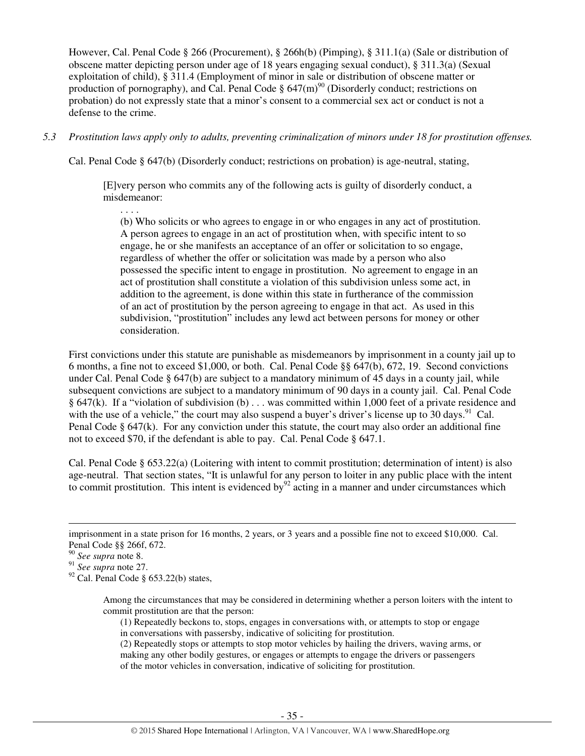However, Cal. Penal Code § 266 (Procurement), § 266h(b) (Pimping), § 311.1(a) (Sale or distribution of obscene matter depicting person under age of 18 years engaging sexual conduct), § 311.3(a) (Sexual exploitation of child), § 311.4 (Employment of minor in sale or distribution of obscene matter or production of pornography), and Cal. Penal Code  $\S 647(m)^{90}$  (Disorderly conduct; restrictions on probation) do not expressly state that a minor's consent to a commercial sex act or conduct is not a defense to the crime.

*5.3 Prostitution laws apply only to adults, preventing criminalization of minors under 18 for prostitution offenses.* 

Cal. Penal Code § 647(b) (Disorderly conduct; restrictions on probation) is age-neutral, stating,

[E]very person who commits any of the following acts is guilty of disorderly conduct, a misdemeanor:

(b) Who solicits or who agrees to engage in or who engages in any act of prostitution. A person agrees to engage in an act of prostitution when, with specific intent to so engage, he or she manifests an acceptance of an offer or solicitation to so engage, regardless of whether the offer or solicitation was made by a person who also possessed the specific intent to engage in prostitution. No agreement to engage in an act of prostitution shall constitute a violation of this subdivision unless some act, in addition to the agreement, is done within this state in furtherance of the commission of an act of prostitution by the person agreeing to engage in that act. As used in this subdivision, "prostitution" includes any lewd act between persons for money or other consideration.

First convictions under this statute are punishable as misdemeanors by imprisonment in a county jail up to 6 months, a fine not to exceed \$1,000, or both. Cal. Penal Code §§ 647(b), 672, 19. Second convictions under Cal. Penal Code § 647(b) are subject to a mandatory minimum of 45 days in a county jail, while subsequent convictions are subject to a mandatory minimum of 90 days in a county jail. Cal. Penal Code § 647(k). If a "violation of subdivision (b) . . . was committed within 1,000 feet of a private residence and with the use of a vehicle," the court may also suspend a buyer's driver's license up to  $30 \text{ days}$ . Cal. Penal Code § 647(k). For any conviction under this statute, the court may also order an additional fine not to exceed \$70, if the defendant is able to pay. Cal. Penal Code § 647.1.

Cal. Penal Code § 653.22(a) (Loitering with intent to commit prostitution; determination of intent) is also age-neutral. That section states, "It is unlawful for any person to loiter in any public place with the intent to commit prostitution. This intent is evidenced by  $92$  acting in a manner and under circumstances which

l

<sup>91</sup> *See supra* note 27.

 $92$  Cal. Penal Code § 653.22(b) states,

. . . .

Among the circumstances that may be considered in determining whether a person loiters with the intent to commit prostitution are that the person:

(1) Repeatedly beckons to, stops, engages in conversations with, or attempts to stop or engage in conversations with passersby, indicative of soliciting for prostitution.

(2) Repeatedly stops or attempts to stop motor vehicles by hailing the drivers, waving arms, or making any other bodily gestures, or engages or attempts to engage the drivers or passengers of the motor vehicles in conversation, indicative of soliciting for prostitution.

imprisonment in a state prison for 16 months, 2 years, or 3 years and a possible fine not to exceed \$10,000. Cal. Penal Code §§ 266f, 672.

<sup>90</sup> *See supra* note 8.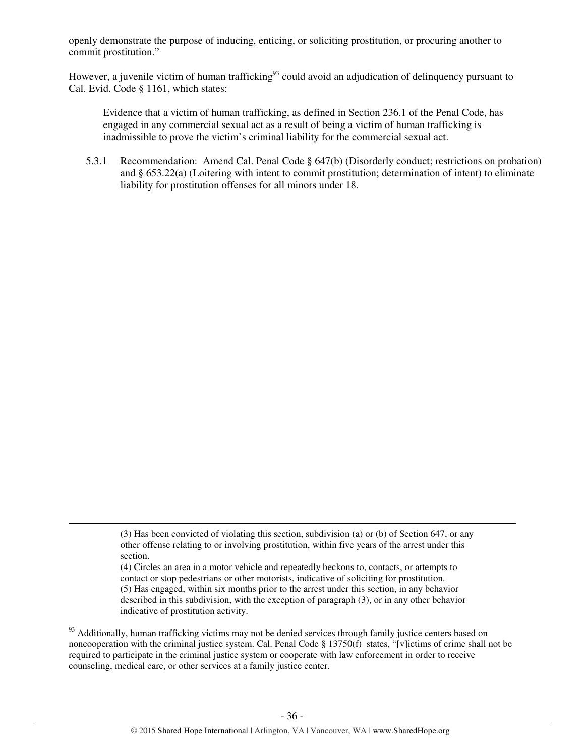openly demonstrate the purpose of inducing, enticing, or soliciting prostitution, or procuring another to commit prostitution."

However, a juvenile victim of human trafficking<sup>93</sup> could avoid an adjudication of delinquency pursuant to Cal. Evid. Code § 1161, which states:

Evidence that a victim of human trafficking, as defined in Section 236.1 of the Penal Code, has engaged in any commercial sexual act as a result of being a victim of human trafficking is inadmissible to prove the victim's criminal liability for the commercial sexual act.

5.3.1 Recommendation: Amend Cal. Penal Code § 647(b) (Disorderly conduct; restrictions on probation) and § 653.22(a) (Loitering with intent to commit prostitution; determination of intent) to eliminate liability for prostitution offenses for all minors under 18.

l

(4) Circles an area in a motor vehicle and repeatedly beckons to, contacts, or attempts to contact or stop pedestrians or other motorists, indicative of soliciting for prostitution. (5) Has engaged, within six months prior to the arrest under this section, in any behavior described in this subdivision, with the exception of paragraph (3), or in any other behavior indicative of prostitution activity.

<sup>93</sup> Additionally, human trafficking victims may not be denied services through family justice centers based on noncooperation with the criminal justice system. Cal. Penal Code § 13750(f) states, "[v]ictims of crime shall not be required to participate in the criminal justice system or cooperate with law enforcement in order to receive counseling, medical care, or other services at a family justice center.

<sup>(3)</sup> Has been convicted of violating this section, subdivision (a) or (b) of Section 647, or any other offense relating to or involving prostitution, within five years of the arrest under this section.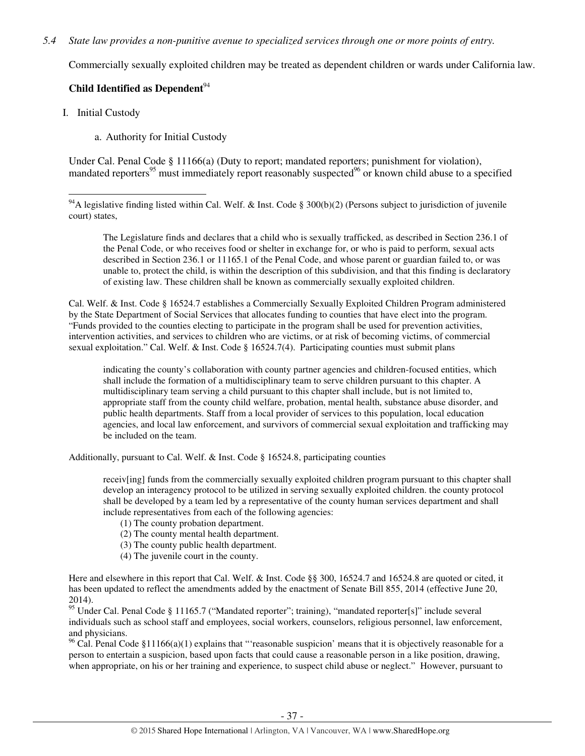## *5.4 State law provides a non-punitive avenue to specialized services through one or more points of entry.*

Commercially sexually exploited children may be treated as dependent children or wards under California law.

## **Child Identified as Dependent**<sup>94</sup>

I. Initial Custody

l

a. Authority for Initial Custody

Under Cal. Penal Code § 11166(a) (Duty to report; mandated reporters; punishment for violation), mandated reporters<sup>95</sup> must immediately report reasonably suspected<sup>96</sup> or known child abuse to a specified

The Legislature finds and declares that a child who is sexually trafficked, as described in Section 236.1 of the Penal Code, or who receives food or shelter in exchange for, or who is paid to perform, sexual acts described in Section 236.1 or 11165.1 of the Penal Code, and whose parent or guardian failed to, or was unable to, protect the child, is within the description of this subdivision, and that this finding is declaratory of existing law. These children shall be known as commercially sexually exploited children.

Cal. Welf. & Inst. Code § 16524.7 establishes a Commercially Sexually Exploited Children Program administered by the State Department of Social Services that allocates funding to counties that have elect into the program. "Funds provided to the counties electing to participate in the program shall be used for prevention activities, intervention activities, and services to children who are victims, or at risk of becoming victims, of commercial sexual exploitation." Cal. Welf. & Inst. Code § 16524.7(4). Participating counties must submit plans

indicating the county's collaboration with county partner agencies and children-focused entities, which shall include the formation of a multidisciplinary team to serve children pursuant to this chapter. A multidisciplinary team serving a child pursuant to this chapter shall include, but is not limited to, appropriate staff from the county child welfare, probation, mental health, substance abuse disorder, and public health departments. Staff from a local provider of services to this population, local education agencies, and local law enforcement, and survivors of commercial sexual exploitation and trafficking may be included on the team.

Additionally, pursuant to Cal. Welf. & Inst. Code § 16524.8, participating counties

receiv[ing] funds from the commercially sexually exploited children program pursuant to this chapter shall develop an interagency protocol to be utilized in serving sexually exploited children. the county protocol shall be developed by a team led by a representative of the county human services department and shall include representatives from each of the following agencies:

- (1) The county probation department.
- (2) The county mental health department.
- (3) The county public health department.
- (4) The juvenile court in the county.

Here and elsewhere in this report that Cal. Welf. & Inst. Code §§ 300, 16524.7 and 16524.8 are quoted or cited, it has been updated to reflect the amendments added by the enactment of Senate Bill 855, 2014 (effective June 20, 2014).

<sup>95</sup> Under Cal. Penal Code § 11165.7 ("Mandated reporter"; training), "mandated reporter[s]" include several individuals such as school staff and employees, social workers, counselors, religious personnel, law enforcement, and physicians.

<sup>96</sup> Cal. Penal Code §11166(a)(1) explains that "reasonable suspicion' means that it is objectively reasonable for a person to entertain a suspicion, based upon facts that could cause a reasonable person in a like position, drawing, when appropriate, on his or her training and experience, to suspect child abuse or neglect." However, pursuant to

<sup>&</sup>lt;sup>94</sup>A legislative finding listed within Cal. Welf. & Inst. Code § 300(b)(2) (Persons subject to jurisdiction of juvenile court) states,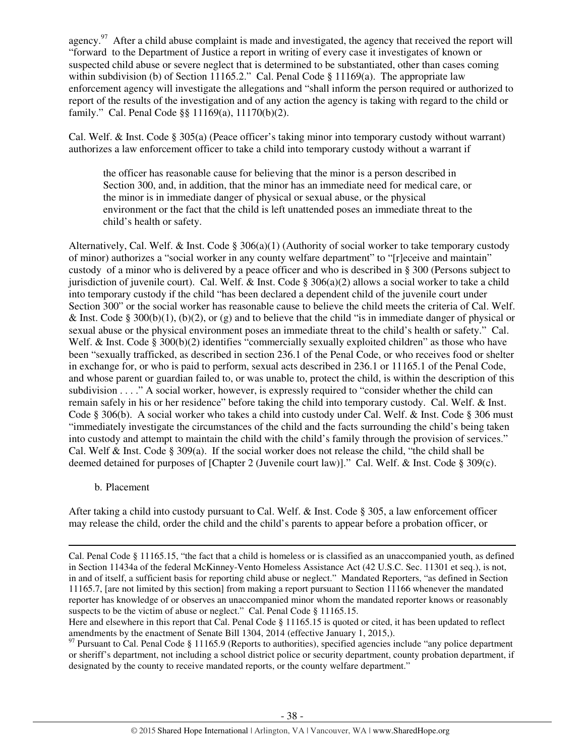agency.<sup>97</sup> After a child abuse complaint is made and investigated, the agency that received the report will "forward to the Department of Justice a report in writing of every case it investigates of known or suspected child abuse or severe neglect that is determined to be substantiated, other than cases coming within subdivision (b) of Section 11165.2." Cal. Penal Code  $\S$  11169(a). The appropriate law enforcement agency will investigate the allegations and "shall inform the person required or authorized to report of the results of the investigation and of any action the agency is taking with regard to the child or family." Cal. Penal Code §§ 11169(a), 11170(b)(2).

Cal. Welf. & Inst. Code § 305(a) (Peace officer's taking minor into temporary custody without warrant) authorizes a law enforcement officer to take a child into temporary custody without a warrant if

the officer has reasonable cause for believing that the minor is a person described in Section 300, and, in addition, that the minor has an immediate need for medical care, or the minor is in immediate danger of physical or sexual abuse, or the physical environment or the fact that the child is left unattended poses an immediate threat to the child's health or safety.

Alternatively, Cal. Welf. & Inst. Code § 306(a)(1) (Authority of social worker to take temporary custody of minor) authorizes a "social worker in any county welfare department" to "[r]eceive and maintain" custody of a minor who is delivered by a peace officer and who is described in § 300 (Persons subject to jurisdiction of juvenile court). Cal. Welf. & Inst. Code  $\S 306(a)(2)$  allows a social worker to take a child into temporary custody if the child "has been declared a dependent child of the juvenile court under Section 300" or the social worker has reasonable cause to believe the child meets the criteria of Cal. Welf. & Inst. Code § 300(b)(1), (b)(2), or (g) and to believe that the child "is in immediate danger of physical or sexual abuse or the physical environment poses an immediate threat to the child's health or safety." Cal. Welf. & Inst. Code § 300(b)(2) identifies "commercially sexually exploited children" as those who have been "sexually trafficked, as described in section 236.1 of the Penal Code, or who receives food or shelter in exchange for, or who is paid to perform, sexual acts described in 236.1 or 11165.1 of the Penal Code, and whose parent or guardian failed to, or was unable to, protect the child, is within the description of this subdivision . . . ." A social worker, however, is expressly required to "consider whether the child can remain safely in his or her residence" before taking the child into temporary custody. Cal. Welf. & Inst. Code § 306(b). A social worker who takes a child into custody under Cal. Welf. & Inst. Code § 306 must "immediately investigate the circumstances of the child and the facts surrounding the child's being taken into custody and attempt to maintain the child with the child's family through the provision of services." Cal. Welf & Inst. Code § 309(a). If the social worker does not release the child, "the child shall be deemed detained for purposes of [Chapter 2 (Juvenile court law)]." Cal. Welf. & Inst. Code § 309(c).

## b. Placement

l

After taking a child into custody pursuant to Cal. Welf. & Inst. Code § 305, a law enforcement officer may release the child, order the child and the child's parents to appear before a probation officer, or

Cal. Penal Code § 11165.15, "the fact that a child is homeless or is classified as an unaccompanied youth, as defined in Section 11434a of the federal McKinney-Vento Homeless Assistance Act (42 U.S.C. Sec. 11301 et seq.), is not, in and of itself, a sufficient basis for reporting child abuse or neglect." Mandated Reporters, "as defined in Section 11165.7, [are not limited by this section] from making a report pursuant to Section 11166 whenever the mandated reporter has knowledge of or observes an unaccompanied minor whom the mandated reporter knows or reasonably suspects to be the victim of abuse or neglect." Cal. Penal Code § 11165.15.

Here and elsewhere in this report that Cal. Penal Code § 11165.15 is quoted or cited, it has been updated to reflect amendments by the enactment of Senate Bill 1304, 2014 (effective January 1, 2015,).

 $97$  Pursuant to Cal. Penal Code § 11165.9 (Reports to authorities), specified agencies include "any police department" or sheriff's department, not including a school district police or security department, county probation department, if designated by the county to receive mandated reports, or the county welfare department."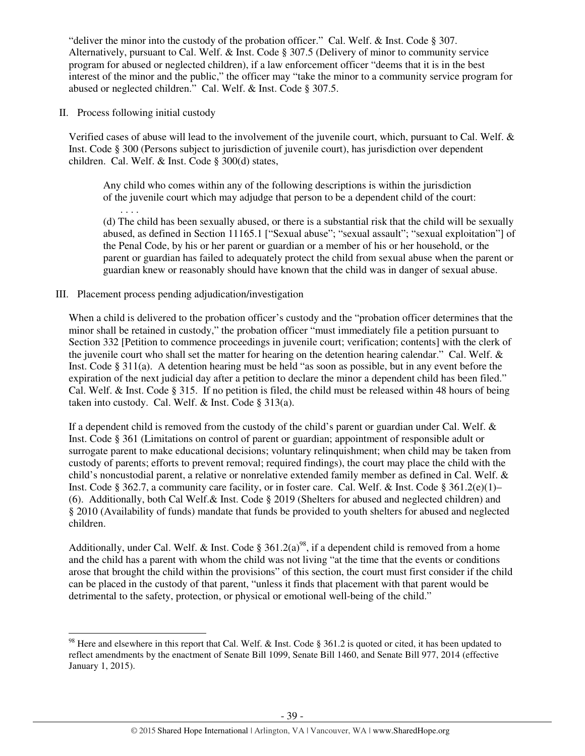"deliver the minor into the custody of the probation officer." Cal. Welf. & Inst. Code § 307. Alternatively, pursuant to Cal. Welf. & Inst. Code § 307.5 (Delivery of minor to community service program for abused or neglected children), if a law enforcement officer "deems that it is in the best interest of the minor and the public," the officer may "take the minor to a community service program for abused or neglected children." Cal. Welf. & Inst. Code § 307.5.

II. Process following initial custody

l

Verified cases of abuse will lead to the involvement of the juvenile court, which, pursuant to Cal. Welf. & Inst. Code § 300 (Persons subject to jurisdiction of juvenile court), has jurisdiction over dependent children. Cal. Welf. & Inst. Code § 300(d) states,

Any child who comes within any of the following descriptions is within the jurisdiction of the juvenile court which may adjudge that person to be a dependent child of the court:

. . . . (d) The child has been sexually abused, or there is a substantial risk that the child will be sexually abused, as defined in Section 11165.1 ["Sexual abuse"; "sexual assault"; "sexual exploitation"] of the Penal Code, by his or her parent or guardian or a member of his or her household, or the parent or guardian has failed to adequately protect the child from sexual abuse when the parent or guardian knew or reasonably should have known that the child was in danger of sexual abuse.

# III. Placement process pending adjudication/investigation

When a child is delivered to the probation officer's custody and the "probation officer determines that the minor shall be retained in custody," the probation officer "must immediately file a petition pursuant to Section 332 [Petition to commence proceedings in juvenile court; verification; contents] with the clerk of the juvenile court who shall set the matter for hearing on the detention hearing calendar." Cal. Welf. & Inst. Code § 311(a). A detention hearing must be held "as soon as possible, but in any event before the expiration of the next judicial day after a petition to declare the minor a dependent child has been filed." Cal. Welf. & Inst. Code § 315. If no petition is filed, the child must be released within 48 hours of being taken into custody. Cal. Welf. & Inst. Code § 313(a).

If a dependent child is removed from the custody of the child's parent or guardian under Cal. Welf. & Inst. Code § 361 (Limitations on control of parent or guardian; appointment of responsible adult or surrogate parent to make educational decisions; voluntary relinquishment; when child may be taken from custody of parents; efforts to prevent removal; required findings), the court may place the child with the child's noncustodial parent, a relative or nonrelative extended family member as defined in Cal. Welf. & Inst. Code § 362.7, a community care facility, or in foster care. Cal. Welf. & Inst. Code § 361.2(e)(1)– (6). Additionally, both Cal Welf.& Inst. Code § 2019 (Shelters for abused and neglected children) and § 2010 (Availability of funds) mandate that funds be provided to youth shelters for abused and neglected children.

Additionally, under Cal. Welf. & Inst. Code §  $361.2(a)^{98}$ , if a dependent child is removed from a home and the child has a parent with whom the child was not living "at the time that the events or conditions arose that brought the child within the provisions" of this section, the court must first consider if the child can be placed in the custody of that parent, "unless it finds that placement with that parent would be detrimental to the safety, protection, or physical or emotional well-being of the child."

<sup>&</sup>lt;sup>98</sup> Here and elsewhere in this report that Cal. Welf. & Inst. Code § 361.2 is quoted or cited, it has been updated to reflect amendments by the enactment of Senate Bill 1099, Senate Bill 1460, and Senate Bill 977, 2014 (effective January 1, 2015).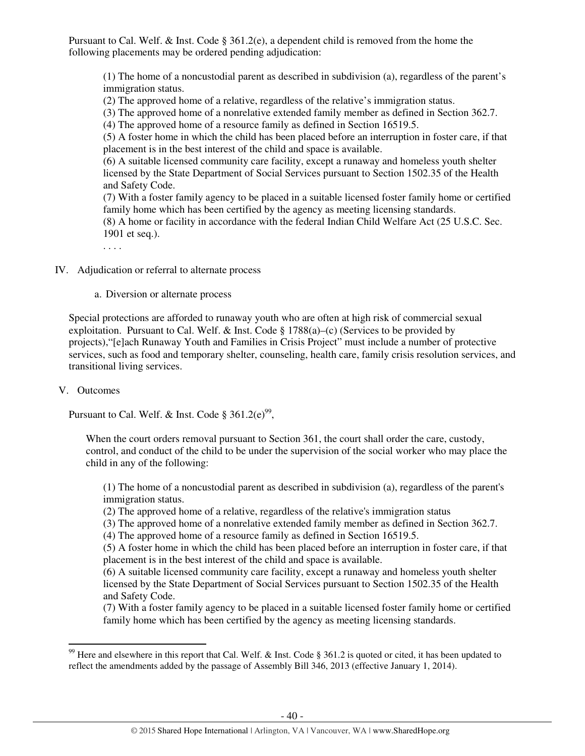Pursuant to Cal. Welf. & Inst. Code § 361.2(e), a dependent child is removed from the home the following placements may be ordered pending adjudication:

(1) The home of a noncustodial parent as described in subdivision (a), regardless of the parent's immigration status.

(2) The approved home of a relative, regardless of the relative's immigration status.

(3) The approved home of a nonrelative extended family member as defined in Section 362.7.

(4) The approved home of a resource family as defined in Section 16519.5.

(5) A foster home in which the child has been placed before an interruption in foster care, if that placement is in the best interest of the child and space is available.

(6) A suitable licensed community care facility, except a runaway and homeless youth shelter licensed by the State Department of Social Services pursuant to Section 1502.35 of the Health and Safety Code.

(7) With a foster family agency to be placed in a suitable licensed foster family home or certified family home which has been certified by the agency as meeting licensing standards.

(8) A home or facility in accordance with the federal Indian Child Welfare Act (25 U.S.C. Sec. 1901 et seq.).

. . . .

IV. Adjudication or referral to alternate process

a. Diversion or alternate process

Special protections are afforded to runaway youth who are often at high risk of commercial sexual exploitation. Pursuant to Cal. Welf.  $\&$  Inst. Code § 1788(a)–(c) (Services to be provided by projects),"[e]ach Runaway Youth and Families in Crisis Project" must include a number of protective services, such as food and temporary shelter, counseling, health care, family crisis resolution services, and transitional living services.

## V. Outcomes

 $\overline{a}$ 

Pursuant to Cal. Welf. & Inst. Code  $\S 361.2(e)^{99}$ ,

When the court orders removal pursuant to Section 361, the court shall order the care, custody, control, and conduct of the child to be under the supervision of the social worker who may place the child in any of the following:

(1) The home of a noncustodial parent as described in subdivision (a), regardless of the parent's immigration status.

(2) The approved home of a relative, regardless of the relative's immigration status

(3) The approved home of a nonrelative extended family member as defined in Section 362.7.

(4) The approved home of a resource family as defined in Section 16519.5.

(5) A foster home in which the child has been placed before an interruption in foster care, if that placement is in the best interest of the child and space is available.

(6) A suitable licensed community care facility, except a runaway and homeless youth shelter licensed by the State Department of Social Services pursuant to Section 1502.35 of the Health and Safety Code.

(7) With a foster family agency to be placed in a suitable licensed foster family home or certified family home which has been certified by the agency as meeting licensing standards.

<sup>&</sup>lt;sup>99</sup> Here and elsewhere in this report that Cal. Welf. & Inst. Code § 361.2 is quoted or cited, it has been updated to reflect the amendments added by the passage of Assembly Bill 346, 2013 (effective January 1, 2014).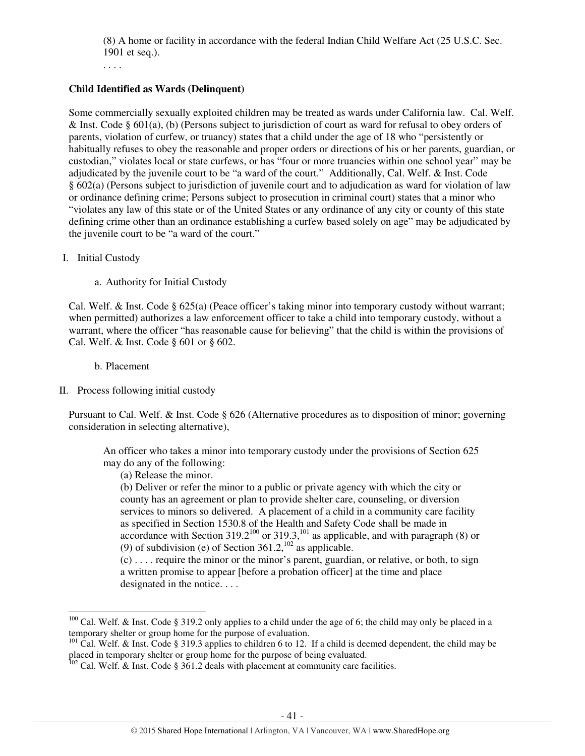(8) A home or facility in accordance with the federal Indian Child Welfare Act (25 U.S.C. Sec. 1901 et seq.).

. . . .

# **Child Identified as Wards (Delinquent)**

Some commercially sexually exploited children may be treated as wards under California law. Cal. Welf. & Inst. Code § 601(a), (b) (Persons subject to jurisdiction of court as ward for refusal to obey orders of parents, violation of curfew, or truancy) states that a child under the age of 18 who "persistently or habitually refuses to obey the reasonable and proper orders or directions of his or her parents, guardian, or custodian," violates local or state curfews, or has "four or more truancies within one school year" may be adjudicated by the juvenile court to be "a ward of the court." Additionally, Cal. Welf. & Inst. Code § 602(a) (Persons subject to jurisdiction of juvenile court and to adjudication as ward for violation of law or ordinance defining crime; Persons subject to prosecution in criminal court) states that a minor who "violates any law of this state or of the United States or any ordinance of any city or county of this state defining crime other than an ordinance establishing a curfew based solely on age" may be adjudicated by the juvenile court to be "a ward of the court."

## I. Initial Custody

a. Authority for Initial Custody

Cal. Welf. & Inst. Code § 625(a) (Peace officer's taking minor into temporary custody without warrant; when permitted) authorizes a law enforcement officer to take a child into temporary custody, without a warrant, where the officer "has reasonable cause for believing" that the child is within the provisions of Cal. Welf. & Inst. Code § 601 or § 602.

b. Placement

 $\overline{a}$ 

## II. Process following initial custody

Pursuant to Cal. Welf. & Inst. Code § 626 (Alternative procedures as to disposition of minor; governing consideration in selecting alternative),

An officer who takes a minor into temporary custody under the provisions of Section 625 may do any of the following:

(a) Release the minor.

(b) Deliver or refer the minor to a public or private agency with which the city or county has an agreement or plan to provide shelter care, counseling, or diversion services to minors so delivered. A placement of a child in a community care facility as specified in Section 1530.8 of the Health and Safety Code shall be made in accordance with Section  $319.2^{100}$  or  $319.3$ ,<sup>101</sup> as applicable, and with paragraph (8) or (9) of subdivision (e) of Section  $361.2$ ,  $^{102}$  as applicable.

(c) . . . . require the minor or the minor's parent, guardian, or relative, or both, to sign a written promise to appear [before a probation officer] at the time and place designated in the notice....

<sup>&</sup>lt;sup>100</sup> Cal. Welf. & Inst. Code § 319.2 only applies to a child under the age of 6; the child may only be placed in a temporary shelter or group home for the purpose of evaluation.

<sup>&</sup>lt;sup>101</sup> Cal. Welf. & Inst. Code § 319.3 applies to children 6 to 12. If a child is deemed dependent, the child may be placed in temporary shelter or group home for the purpose of being evaluated.

 $102$  Cal. Welf. & Inst. Code § 361.2 deals with placement at community care facilities.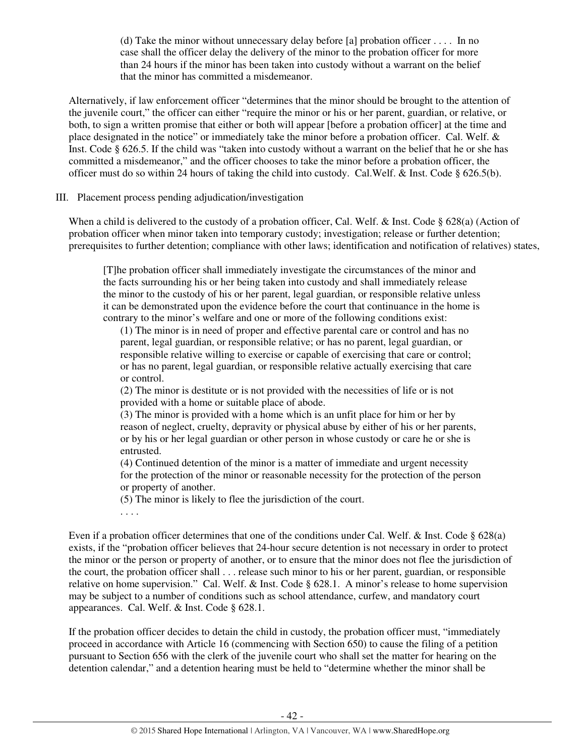(d) Take the minor without unnecessary delay before [a] probation officer . . . . In no case shall the officer delay the delivery of the minor to the probation officer for more than 24 hours if the minor has been taken into custody without a warrant on the belief that the minor has committed a misdemeanor.

Alternatively, if law enforcement officer "determines that the minor should be brought to the attention of the juvenile court," the officer can either "require the minor or his or her parent, guardian, or relative, or both, to sign a written promise that either or both will appear [before a probation officer] at the time and place designated in the notice" or immediately take the minor before a probation officer. Cal. Welf. & Inst. Code § 626.5. If the child was "taken into custody without a warrant on the belief that he or she has committed a misdemeanor," and the officer chooses to take the minor before a probation officer, the officer must do so within 24 hours of taking the child into custody. Cal.Welf. & Inst. Code § 626.5(b).

## III. Placement process pending adjudication/investigation

When a child is delivered to the custody of a probation officer, Cal. Welf. & Inst. Code § 628(a) (Action of probation officer when minor taken into temporary custody; investigation; release or further detention; prerequisites to further detention; compliance with other laws; identification and notification of relatives) states,

[T]he probation officer shall immediately investigate the circumstances of the minor and the facts surrounding his or her being taken into custody and shall immediately release the minor to the custody of his or her parent, legal guardian, or responsible relative unless it can be demonstrated upon the evidence before the court that continuance in the home is contrary to the minor's welfare and one or more of the following conditions exist:

(1) The minor is in need of proper and effective parental care or control and has no parent, legal guardian, or responsible relative; or has no parent, legal guardian, or responsible relative willing to exercise or capable of exercising that care or control; or has no parent, legal guardian, or responsible relative actually exercising that care or control.

(2) The minor is destitute or is not provided with the necessities of life or is not provided with a home or suitable place of abode.

(3) The minor is provided with a home which is an unfit place for him or her by reason of neglect, cruelty, depravity or physical abuse by either of his or her parents, or by his or her legal guardian or other person in whose custody or care he or she is entrusted.

(4) Continued detention of the minor is a matter of immediate and urgent necessity for the protection of the minor or reasonable necessity for the protection of the person or property of another.

(5) The minor is likely to flee the jurisdiction of the court.

. . . .

Even if a probation officer determines that one of the conditions under Cal. Welf. & Inst. Code § 628(a) exists, if the "probation officer believes that 24-hour secure detention is not necessary in order to protect the minor or the person or property of another, or to ensure that the minor does not flee the jurisdiction of the court, the probation officer shall . . . release such minor to his or her parent, guardian, or responsible relative on home supervision." Cal. Welf. & Inst. Code § 628.1. A minor's release to home supervision may be subject to a number of conditions such as school attendance, curfew, and mandatory court appearances. Cal. Welf. & Inst. Code § 628.1.

If the probation officer decides to detain the child in custody, the probation officer must, "immediately proceed in accordance with Article 16 (commencing with Section 650) to cause the filing of a petition pursuant to Section 656 with the clerk of the juvenile court who shall set the matter for hearing on the detention calendar," and a detention hearing must be held to "determine whether the minor shall be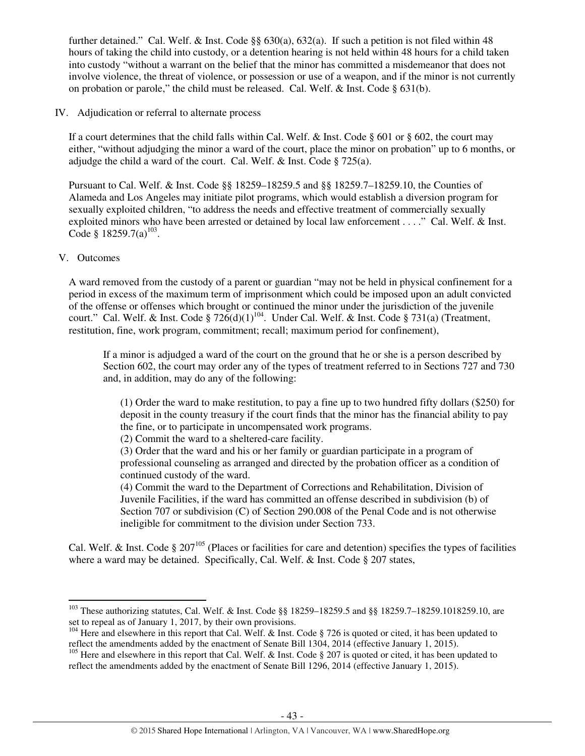further detained." Cal. Welf. & Inst. Code §§ 630(a), 632(a). If such a petition is not filed within 48 hours of taking the child into custody, or a detention hearing is not held within 48 hours for a child taken into custody "without a warrant on the belief that the minor has committed a misdemeanor that does not involve violence, the threat of violence, or possession or use of a weapon, and if the minor is not currently on probation or parole," the child must be released. Cal. Welf. & Inst. Code  $\S 631(b)$ .

## IV. Adjudication or referral to alternate process

If a court determines that the child falls within Cal. Welf. & Inst. Code § 601 or § 602, the court may either, "without adjudging the minor a ward of the court, place the minor on probation" up to 6 months, or adjudge the child a ward of the court. Cal. Welf. & Inst. Code § 725(a).

Pursuant to Cal. Welf. & Inst. Code §§ 18259–18259.5 and §§ 18259.7–18259.10, the Counties of Alameda and Los Angeles may initiate pilot programs, which would establish a diversion program for sexually exploited children, "to address the needs and effective treatment of commercially sexually exploited minors who have been arrested or detained by local law enforcement . . . ." Cal. Welf. & Inst. Code § 18259.7(a)<sup>103</sup>.

## V. Outcomes

l

A ward removed from the custody of a parent or guardian "may not be held in physical confinement for a period in excess of the maximum term of imprisonment which could be imposed upon an adult convicted of the offense or offenses which brought or continued the minor under the jurisdiction of the juvenile court." Cal. Welf. & Inst. Code  $\S 726(d)(1)^{104}$ . Under Cal. Welf. & Inst. Code  $\S 731(a)$  (Treatment, restitution, fine, work program, commitment; recall; maximum period for confinement),

If a minor is adjudged a ward of the court on the ground that he or she is a person described by Section 602, the court may order any of the types of treatment referred to in Sections 727 and 730 and, in addition, may do any of the following:

(1) Order the ward to make restitution, to pay a fine up to two hundred fifty dollars (\$250) for deposit in the county treasury if the court finds that the minor has the financial ability to pay the fine, or to participate in uncompensated work programs.

(2) Commit the ward to a sheltered-care facility.

(3) Order that the ward and his or her family or guardian participate in a program of professional counseling as arranged and directed by the probation officer as a condition of continued custody of the ward.

(4) Commit the ward to the Department of Corrections and Rehabilitation, Division of Juvenile Facilities, if the ward has committed an offense described in subdivision (b) of Section 707 or subdivision (C) of Section 290.008 of the Penal Code and is not otherwise ineligible for commitment to the division under Section 733.

Cal. Welf. & Inst. Code  $\S 207^{105}$  (Places or facilities for care and detention) specifies the types of facilities where a ward may be detained. Specifically, Cal. Welf. & Inst. Code § 207 states,

<sup>103</sup> These authorizing statutes, Cal. Welf. & Inst. Code §§ 18259–18259.5 and §§ 18259.7–18259.1018259.10, are set to repeal as of January 1, 2017, by their own provisions.

<sup>&</sup>lt;sup>104</sup> Here and elsewhere in this report that Cal. Welf. & Inst. Code § 726 is quoted or cited, it has been updated to reflect the amendments added by the enactment of Senate Bill 1304, 2014 (effective January 1, 2015).

<sup>&</sup>lt;sup>105</sup> Here and elsewhere in this report that Cal. Welf. & Inst. Code  $\S 207$  is quoted or cited, it has been updated to reflect the amendments added by the enactment of Senate Bill 1296, 2014 (effective January 1, 2015).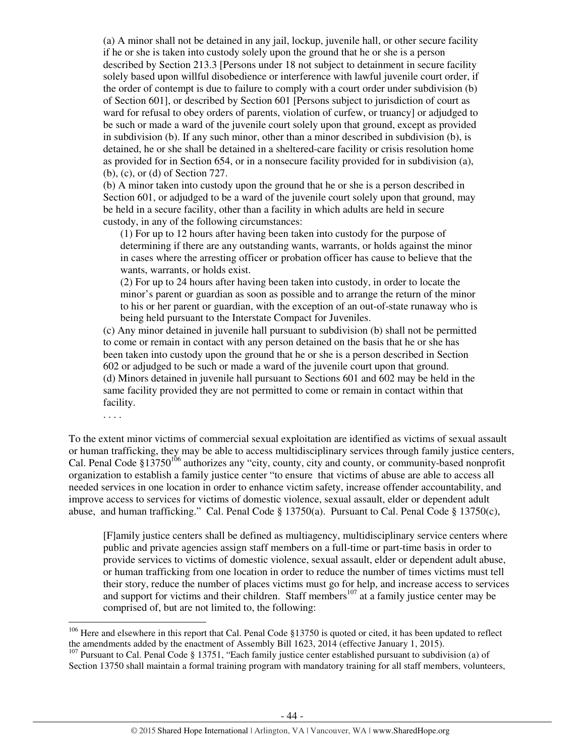(a) A minor shall not be detained in any jail, lockup, juvenile hall, or other secure facility if he or she is taken into custody solely upon the ground that he or she is a person described by Section 213.3 [Persons under 18 not subject to detainment in secure facility solely based upon willful disobedience or interference with lawful juvenile court order, if the order of contempt is due to failure to comply with a court order under subdivision (b) of Section 601], or described by Section 601 [Persons subject to jurisdiction of court as ward for refusal to obey orders of parents, violation of curfew, or truancy] or adjudged to be such or made a ward of the juvenile court solely upon that ground, except as provided in subdivision (b). If any such minor, other than a minor described in subdivision (b), is detained, he or she shall be detained in a sheltered-care facility or crisis resolution home as provided for in Section 654, or in a nonsecure facility provided for in subdivision (a), (b), (c), or (d) of Section 727.

(b) A minor taken into custody upon the ground that he or she is a person described in Section 601, or adjudged to be a ward of the juvenile court solely upon that ground, may be held in a secure facility, other than a facility in which adults are held in secure custody, in any of the following circumstances:

(1) For up to 12 hours after having been taken into custody for the purpose of determining if there are any outstanding wants, warrants, or holds against the minor in cases where the arresting officer or probation officer has cause to believe that the wants, warrants, or holds exist.

(2) For up to 24 hours after having been taken into custody, in order to locate the minor's parent or guardian as soon as possible and to arrange the return of the minor to his or her parent or guardian, with the exception of an out-of-state runaway who is being held pursuant to the Interstate Compact for Juveniles.

(c) Any minor detained in juvenile hall pursuant to subdivision (b) shall not be permitted to come or remain in contact with any person detained on the basis that he or she has been taken into custody upon the ground that he or she is a person described in Section 602 or adjudged to be such or made a ward of the juvenile court upon that ground. (d) Minors detained in juvenile hall pursuant to Sections 601 and 602 may be held in the same facility provided they are not permitted to come or remain in contact within that facility.

. . . .

l

To the extent minor victims of commercial sexual exploitation are identified as victims of sexual assault or human trafficking, they may be able to access multidisciplinary services through family justice centers, Cal. Penal Code §13750<sup>106</sup> authorizes any "city, county, city and county, or community-based nonprofit organization to establish a family justice center "to ensure that victims of abuse are able to access all needed services in one location in order to enhance victim safety, increase offender accountability, and improve access to services for victims of domestic violence, sexual assault, elder or dependent adult abuse, and human trafficking." Cal. Penal Code § 13750(a). Pursuant to Cal. Penal Code § 13750(c),

[F]amily justice centers shall be defined as multiagency, multidisciplinary service centers where public and private agencies assign staff members on a full-time or part-time basis in order to provide services to victims of domestic violence, sexual assault, elder or dependent adult abuse, or human trafficking from one location in order to reduce the number of times victims must tell their story, reduce the number of places victims must go for help, and increase access to services and support for victims and their children. Staff members<sup>107</sup> at a family justice center may be comprised of, but are not limited to, the following:

 $106$  Here and elsewhere in this report that Cal. Penal Code §13750 is quoted or cited, it has been updated to reflect the amendments added by the enactment of Assembly Bill 1623, 2014 (effective January 1, 2015).

<sup>&</sup>lt;sup>107</sup> Pursuant to Cal. Penal Code § 13751, "Each family justice center established pursuant to subdivision (a) of Section 13750 shall maintain a formal training program with mandatory training for all staff members, volunteers,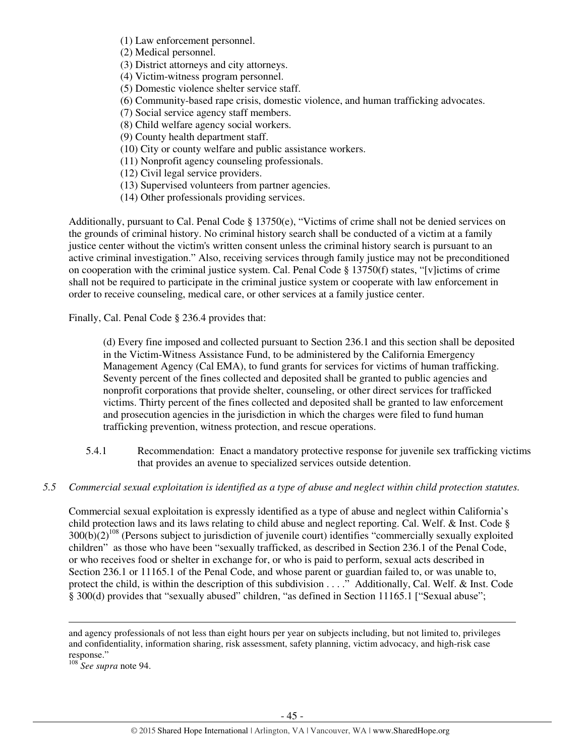(1) Law enforcement personnel.

(2) Medical personnel.

(3) District attorneys and city attorneys.

(4) Victim-witness program personnel.

(5) Domestic violence shelter service staff.

(6) Community-based rape crisis, domestic violence, and human trafficking advocates.

(7) Social service agency staff members.

(8) Child welfare agency social workers.

(9) County health department staff.

(10) City or county welfare and public assistance workers.

(11) Nonprofit agency counseling professionals.

(12) Civil legal service providers.

(13) Supervised volunteers from partner agencies.

(14) Other professionals providing services.

Additionally, pursuant to Cal. Penal Code § 13750(e), "Victims of crime shall not be denied services on the grounds of criminal history. No criminal history search shall be conducted of a victim at a family justice center without the victim's written consent unless the criminal history search is pursuant to an active criminal investigation." Also, receiving services through family justice may not be preconditioned on cooperation with the criminal justice system. Cal. Penal Code § 13750(f) states, "[v]ictims of crime shall not be required to participate in the criminal justice system or cooperate with law enforcement in order to receive counseling, medical care, or other services at a family justice center.

Finally, Cal. Penal Code § 236.4 provides that:

(d) Every fine imposed and collected pursuant to Section 236.1 and this section shall be deposited in the Victim-Witness Assistance Fund, to be administered by the California Emergency Management Agency (Cal EMA), to fund grants for services for victims of human trafficking. Seventy percent of the fines collected and deposited shall be granted to public agencies and nonprofit corporations that provide shelter, counseling, or other direct services for trafficked victims. Thirty percent of the fines collected and deposited shall be granted to law enforcement and prosecution agencies in the jurisdiction in which the charges were filed to fund human trafficking prevention, witness protection, and rescue operations.

- 5.4.1 Recommendation: Enact a mandatory protective response for juvenile sex trafficking victims that provides an avenue to specialized services outside detention.
- *5.5 Commercial sexual exploitation is identified as a type of abuse and neglect within child protection statutes.*

Commercial sexual exploitation is expressly identified as a type of abuse and neglect within California's child protection laws and its laws relating to child abuse and neglect reporting. Cal. Welf. & Inst. Code §  $300(b)(2)^{108}$  (Persons subject to jurisdiction of juvenile court) identifies "commercially sexually exploited children" as those who have been "sexually trafficked, as described in Section 236.1 of the Penal Code, or who receives food or shelter in exchange for, or who is paid to perform, sexual acts described in Section 236.1 or 11165.1 of the Penal Code, and whose parent or guardian failed to, or was unable to, protect the child, is within the description of this subdivision . . . ." Additionally, Cal. Welf. & Inst. Code § 300(d) provides that "sexually abused" children, "as defined in Section 11165.1 ["Sexual abuse";

l

and agency professionals of not less than eight hours per year on subjects including, but not limited to, privileges and confidentiality, information sharing, risk assessment, safety planning, victim advocacy, and high-risk case response."

<sup>108</sup> *See supra* note 94.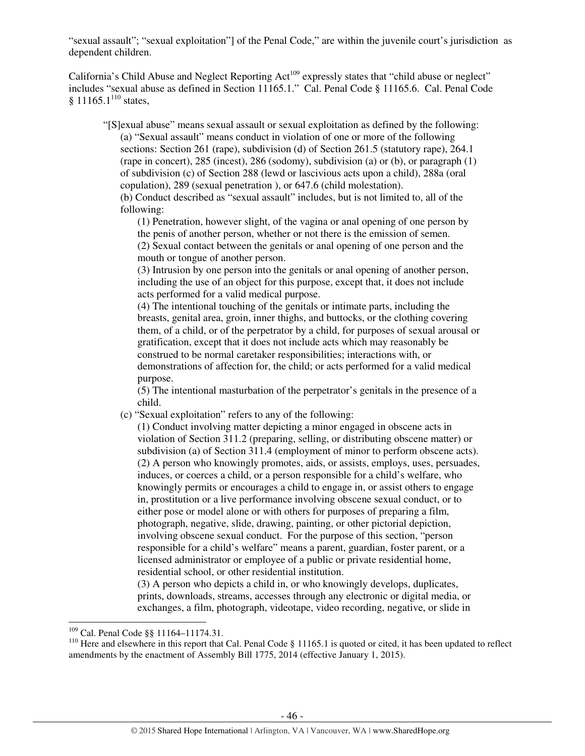"sexual assault"; "sexual exploitation"] of the Penal Code," are within the juvenile court's jurisdiction as dependent children.

California's Child Abuse and Neglect Reporting Act<sup>109</sup> expressly states that "child abuse or neglect" includes "sexual abuse as defined in Section 11165.1." Cal. Penal Code § 11165.6. Cal. Penal Code § 11165.1 $^{110}$  states,

"[S]exual abuse" means sexual assault or sexual exploitation as defined by the following: (a) "Sexual assault" means conduct in violation of one or more of the following sections: Section 261 (rape), subdivision (d) of Section 261.5 (statutory rape), 264.1 (rape in concert), 285 (incest), 286 (sodomy), subdivision (a) or (b), or paragraph (1) of subdivision (c) of Section 288 (lewd or lascivious acts upon a child), 288a (oral copulation), 289 (sexual penetration ), or 647.6 (child molestation). (b) Conduct described as "sexual assault" includes, but is not limited to, all of the

following:

(1) Penetration, however slight, of the vagina or anal opening of one person by the penis of another person, whether or not there is the emission of semen.

(2) Sexual contact between the genitals or anal opening of one person and the mouth or tongue of another person.

(3) Intrusion by one person into the genitals or anal opening of another person, including the use of an object for this purpose, except that, it does not include acts performed for a valid medical purpose.

(4) The intentional touching of the genitals or intimate parts, including the breasts, genital area, groin, inner thighs, and buttocks, or the clothing covering them, of a child, or of the perpetrator by a child, for purposes of sexual arousal or gratification, except that it does not include acts which may reasonably be construed to be normal caretaker responsibilities; interactions with, or demonstrations of affection for, the child; or acts performed for a valid medical purpose.

(5) The intentional masturbation of the perpetrator's genitals in the presence of a child.

(c) "Sexual exploitation" refers to any of the following:

(1) Conduct involving matter depicting a minor engaged in obscene acts in violation of Section 311.2 (preparing, selling, or distributing obscene matter) or subdivision (a) of Section 311.4 (employment of minor to perform obscene acts). (2) A person who knowingly promotes, aids, or assists, employs, uses, persuades, induces, or coerces a child, or a person responsible for a child's welfare, who knowingly permits or encourages a child to engage in, or assist others to engage in, prostitution or a live performance involving obscene sexual conduct, or to either pose or model alone or with others for purposes of preparing a film, photograph, negative, slide, drawing, painting, or other pictorial depiction, involving obscene sexual conduct. For the purpose of this section, "person responsible for a child's welfare" means a parent, guardian, foster parent, or a licensed administrator or employee of a public or private residential home, residential school, or other residential institution.

(3) A person who depicts a child in, or who knowingly develops, duplicates, prints, downloads, streams, accesses through any electronic or digital media, or exchanges, a film, photograph, videotape, video recording, negative, or slide in

<sup>109</sup> Cal. Penal Code §§ 11164–11174.31.

<sup>&</sup>lt;sup>110</sup> Here and elsewhere in this report that Cal. Penal Code  $\S$  11165.1 is quoted or cited, it has been updated to reflect amendments by the enactment of Assembly Bill 1775, 2014 (effective January 1, 2015).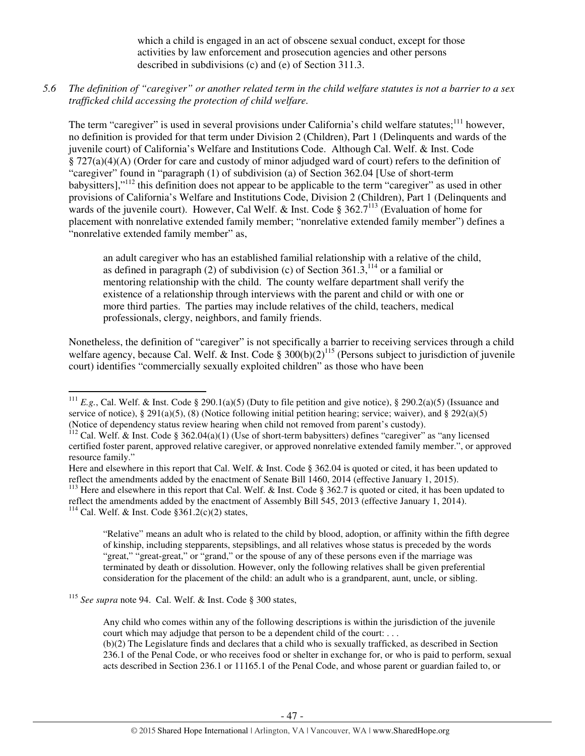which a child is engaged in an act of obscene sexual conduct, except for those activities by law enforcement and prosecution agencies and other persons described in subdivisions (c) and (e) of Section 311.3.

*5.6 The definition of "caregiver" or another related term in the child welfare statutes is not a barrier to a sex trafficked child accessing the protection of child welfare.* 

The term "caregiver" is used in several provisions under California's child welfare statutes;<sup>111</sup> however, no definition is provided for that term under Division 2 (Children), Part 1 (Delinquents and wards of the juvenile court) of California's Welfare and Institutions Code. Although Cal. Welf. & Inst. Code § 727(a)(4)(A) (Order for care and custody of minor adjudged ward of court) refers to the definition of "caregiver" found in "paragraph (1) of subdivision (a) of Section 362.04 [Use of short-term babysitters],"<sup>112</sup> this definition does not appear to be applicable to the term "caregiver" as used in other provisions of California's Welfare and Institutions Code, Division 2 (Children), Part 1 (Delinquents and wards of the juvenile court). However, Cal Welf. & Inst. Code §  $362.7^{113}$  (Evaluation of home for placement with nonrelative extended family member; "nonrelative extended family member") defines a "nonrelative extended family member" as,

an adult caregiver who has an established familial relationship with a relative of the child, as defined in paragraph (2) of subdivision (c) of Section  $361.3$ ,<sup>114</sup> or a familial or mentoring relationship with the child. The county welfare department shall verify the existence of a relationship through interviews with the parent and child or with one or more third parties. The parties may include relatives of the child, teachers, medical professionals, clergy, neighbors, and family friends.

Nonetheless, the definition of "caregiver" is not specifically a barrier to receiving services through a child welfare agency, because Cal. Welf. & Inst. Code  $\hat{\S}$  300(b)(2)<sup>115</sup> (Persons subject to jurisdiction of juvenile court) identifies "commercially sexually exploited children" as those who have been

<sup>113</sup> Here and elsewhere in this report that Cal. Welf. & Inst. Code § 362.7 is quoted or cited, it has been updated to reflect the amendments added by the enactment of Assembly Bill 545, 2013 (effective January 1, 2014).

<sup>114</sup> Cal. Welf. & Inst. Code  $$361.2(c)(2)$  states,

 $\overline{a}$ 

"Relative" means an adult who is related to the child by blood, adoption, or affinity within the fifth degree of kinship, including stepparents, stepsiblings, and all relatives whose status is preceded by the words "great," "great-great," or "grand," or the spouse of any of these persons even if the marriage was terminated by death or dissolution. However, only the following relatives shall be given preferential consideration for the placement of the child: an adult who is a grandparent, aunt, uncle, or sibling.

<sup>115</sup> *See supra* note 94. Cal. Welf. & Inst. Code § 300 states,

Any child who comes within any of the following descriptions is within the jurisdiction of the juvenile court which may adjudge that person to be a dependent child of the court: . . .

(b)(2) The Legislature finds and declares that a child who is sexually trafficked, as described in Section 236.1 of the Penal Code, or who receives food or shelter in exchange for, or who is paid to perform, sexual acts described in Section 236.1 or 11165.1 of the Penal Code, and whose parent or guardian failed to, or

<sup>&</sup>lt;sup>111</sup> *E.g.*, Cal. Welf. & Inst. Code § 290.1(a)(5) (Duty to file petition and give notice), § 290.2(a)(5) (Issuance and service of notice), § 291(a)(5), (8) (Notice following initial petition hearing; service; waiver), and § 292(a)(5) (Notice of dependency status review hearing when child not removed from parent's custody).

<sup>&</sup>lt;sup>112</sup> Cal. Welf. & Inst. Code § 362.04(a)(1) (Use of short-term babysitters) defines "caregiver" as "any licensed certified foster parent, approved relative caregiver, or approved nonrelative extended family member.", or approved resource family."

Here and elsewhere in this report that Cal. Welf. & Inst. Code § 362.04 is quoted or cited, it has been updated to reflect the amendments added by the enactment of Senate Bill 1460, 2014 (effective January 1, 2015).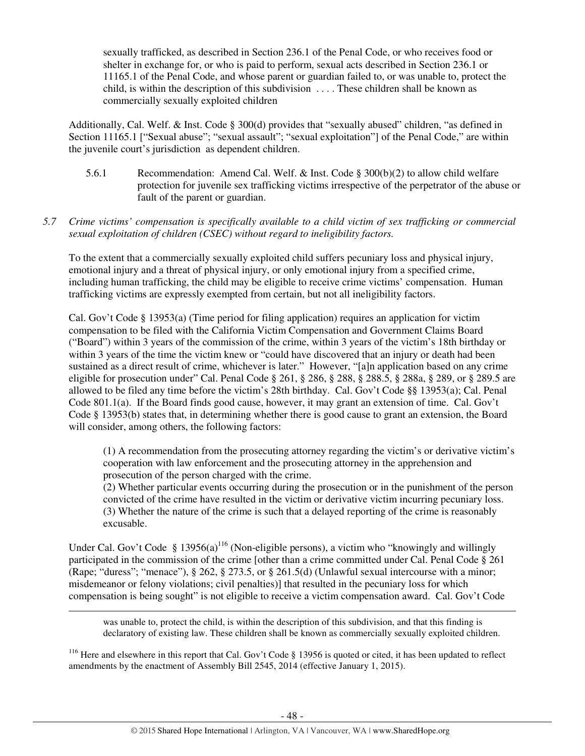sexually trafficked, as described in Section 236.1 of the Penal Code, or who receives food or shelter in exchange for, or who is paid to perform, sexual acts described in Section 236.1 or 11165.1 of the Penal Code, and whose parent or guardian failed to, or was unable to, protect the child, is within the description of this subdivision . . . . These children shall be known as commercially sexually exploited children

Additionally, Cal. Welf. & Inst. Code § 300(d) provides that "sexually abused" children, "as defined in Section 11165.1 ["Sexual abuse"; "sexual assault"; "sexual exploitation"] of the Penal Code," are within the juvenile court's jurisdiction as dependent children.

- 5.6.1 Recommendation: Amend Cal. Welf. & Inst. Code § 300(b)(2) to allow child welfare protection for juvenile sex trafficking victims irrespective of the perpetrator of the abuse or fault of the parent or guardian.
- *5.7 Crime victims' compensation is specifically available to a child victim of sex trafficking or commercial sexual exploitation of children (CSEC) without regard to ineligibility factors.*

To the extent that a commercially sexually exploited child suffers pecuniary loss and physical injury, emotional injury and a threat of physical injury, or only emotional injury from a specified crime, including human trafficking, the child may be eligible to receive crime victims' compensation. Human trafficking victims are expressly exempted from certain, but not all ineligibility factors.

Cal. Gov't Code § 13953(a) (Time period for filing application) requires an application for victim compensation to be filed with the California Victim Compensation and Government Claims Board ("Board") within 3 years of the commission of the crime, within 3 years of the victim's 18th birthday or within 3 years of the time the victim knew or "could have discovered that an injury or death had been sustained as a direct result of crime, whichever is later." However, "[a]n application based on any crime eligible for prosecution under" Cal. Penal Code § 261, § 286, § 288, § 288.5, § 288a, § 289, or § 289.5 are allowed to be filed any time before the victim's 28th birthday. Cal. Gov't Code §§ 13953(a); Cal. Penal Code 801.1(a). If the Board finds good cause, however, it may grant an extension of time. Cal. Gov't Code § 13953(b) states that, in determining whether there is good cause to grant an extension, the Board will consider, among others, the following factors:

(1) A recommendation from the prosecuting attorney regarding the victim's or derivative victim's cooperation with law enforcement and the prosecuting attorney in the apprehension and prosecution of the person charged with the crime.

(2) Whether particular events occurring during the prosecution or in the punishment of the person convicted of the crime have resulted in the victim or derivative victim incurring pecuniary loss. (3) Whether the nature of the crime is such that a delayed reporting of the crime is reasonably excusable.

Under Cal. Gov't Code § 13956(a)<sup>116</sup> (Non-eligible persons), a victim who "knowingly and willingly participated in the commission of the crime [other than a crime committed under Cal. Penal Code § 261 (Rape; "duress"; "menace"), § 262, § 273.5, or § 261.5(d) (Unlawful sexual intercourse with a minor; misdemeanor or felony violations; civil penalties)] that resulted in the pecuniary loss for which compensation is being sought" is not eligible to receive a victim compensation award. Cal. Gov't Code

l

was unable to, protect the child, is within the description of this subdivision, and that this finding is declaratory of existing law. These children shall be known as commercially sexually exploited children.

<sup>116</sup> Here and elsewhere in this report that Cal. Gov't Code § 13956 is quoted or cited, it has been updated to reflect amendments by the enactment of Assembly Bill 2545, 2014 (effective January 1, 2015).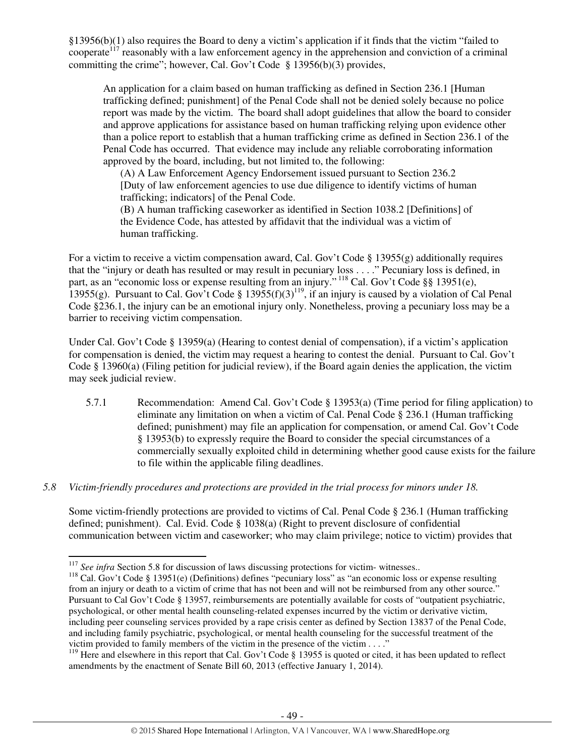§13956(b)(1) also requires the Board to deny a victim's application if it finds that the victim "failed to cooperate<sup>117</sup> reasonably with a law enforcement agency in the apprehension and conviction of a criminal committing the crime"; however, Cal. Gov't Code § 13956(b)(3) provides,

An application for a claim based on human trafficking as defined in Section 236.1 [Human trafficking defined; punishment] of the Penal Code shall not be denied solely because no police report was made by the victim. The board shall adopt guidelines that allow the board to consider and approve applications for assistance based on human trafficking relying upon evidence other than a police report to establish that a human trafficking crime as defined in Section 236.1 of the Penal Code has occurred. That evidence may include any reliable corroborating information approved by the board, including, but not limited to, the following:

(A) A Law Enforcement Agency Endorsement issued pursuant to Section 236.2 [Duty of law enforcement agencies to use due diligence to identify victims of human trafficking; indicators] of the Penal Code.

(B) A human trafficking caseworker as identified in Section 1038.2 [Definitions] of the Evidence Code, has attested by affidavit that the individual was a victim of human trafficking.

For a victim to receive a victim compensation award, Cal. Gov't Code § 13955(g) additionally requires that the "injury or death has resulted or may result in pecuniary loss . . . ." Pecuniary loss is defined, in part, as an "economic loss or expense resulting from an injury."<sup>118</sup> Cal. Gov't Code §§ 13951(e), 13955(g). Pursuant to Cal. Gov't Code §  $13955(f)(3)^{119}$ , if an injury is caused by a violation of Cal Penal Code §236.1, the injury can be an emotional injury only. Nonetheless, proving a pecuniary loss may be a barrier to receiving victim compensation.

Under Cal. Gov't Code § 13959(a) (Hearing to contest denial of compensation), if a victim's application for compensation is denied, the victim may request a hearing to contest the denial. Pursuant to Cal. Gov't Code § 13960(a) (Filing petition for judicial review), if the Board again denies the application, the victim may seek judicial review.

5.7.1 Recommendation: Amend Cal. Gov't Code § 13953(a) (Time period for filing application) to eliminate any limitation on when a victim of Cal. Penal Code § 236.1 (Human trafficking defined; punishment) may file an application for compensation, or amend Cal. Gov't Code § 13953(b) to expressly require the Board to consider the special circumstances of a commercially sexually exploited child in determining whether good cause exists for the failure to file within the applicable filing deadlines.

## *5.8 Victim-friendly procedures and protections are provided in the trial process for minors under 18.*

Some victim-friendly protections are provided to victims of Cal. Penal Code § 236.1 (Human trafficking defined; punishment). Cal. Evid. Code § 1038(a) (Right to prevent disclosure of confidential communication between victim and caseworker; who may claim privilege; notice to victim) provides that

<sup>&</sup>lt;sup>117</sup> *See infra* Section 5.8 for discussion of laws discussing protections for victim- witnesses..

<sup>&</sup>lt;sup>118</sup> Cal. Gov't Code § 13951(e) (Definitions) defines "pecuniary loss" as "an economic loss or expense resulting from an injury or death to a victim of crime that has not been and will not be reimbursed from any other source." Pursuant to Cal Gov't Code § 13957, reimbursements are potentially available for costs of "outpatient psychiatric. psychological, or other mental health counseling-related expenses incurred by the victim or derivative victim, including peer counseling services provided by a rape crisis center as defined by Section 13837 of the Penal Code, and including family psychiatric, psychological, or mental health counseling for the successful treatment of the victim provided to family members of the victim in the presence of the victim . . . ."

<sup>&</sup>lt;sup>119</sup> Here and elsewhere in this report that Cal. Gov't Code § 13955 is quoted or cited, it has been updated to reflect amendments by the enactment of Senate Bill 60, 2013 (effective January 1, 2014).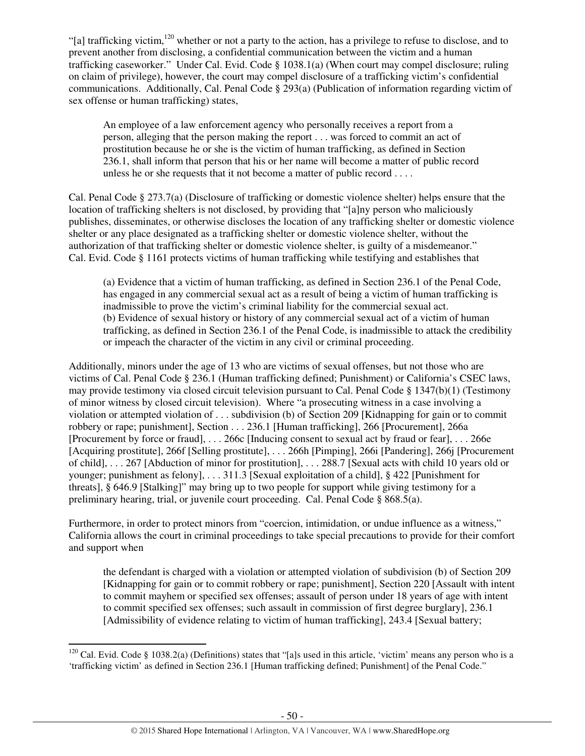"[a] trafficking victim, <sup>120</sup> whether or not a party to the action, has a privilege to refuse to disclose, and to prevent another from disclosing, a confidential communication between the victim and a human trafficking caseworker." Under Cal. Evid. Code § 1038.1(a) (When court may compel disclosure; ruling on claim of privilege), however, the court may compel disclosure of a trafficking victim's confidential communications. Additionally, Cal. Penal Code § 293(a) (Publication of information regarding victim of sex offense or human trafficking) states,

An employee of a law enforcement agency who personally receives a report from a person, alleging that the person making the report . . . was forced to commit an act of prostitution because he or she is the victim of human trafficking, as defined in Section 236.1, shall inform that person that his or her name will become a matter of public record unless he or she requests that it not become a matter of public record . . . .

Cal. Penal Code § 273.7(a) (Disclosure of trafficking or domestic violence shelter) helps ensure that the location of trafficking shelters is not disclosed, by providing that "[a]ny person who maliciously publishes, disseminates, or otherwise discloses the location of any trafficking shelter or domestic violence shelter or any place designated as a trafficking shelter or domestic violence shelter, without the authorization of that trafficking shelter or domestic violence shelter, is guilty of a misdemeanor." Cal. Evid. Code § 1161 protects victims of human trafficking while testifying and establishes that

(a) Evidence that a victim of human trafficking, as defined in Section 236.1 of the Penal Code, has engaged in any commercial sexual act as a result of being a victim of human trafficking is inadmissible to prove the victim's criminal liability for the commercial sexual act. (b) Evidence of sexual history or history of any commercial sexual act of a victim of human trafficking, as defined in Section 236.1 of the Penal Code, is inadmissible to attack the credibility or impeach the character of the victim in any civil or criminal proceeding.

Additionally, minors under the age of 13 who are victims of sexual offenses, but not those who are victims of Cal. Penal Code § 236.1 (Human trafficking defined; Punishment) or California's CSEC laws, may provide testimony via closed circuit television pursuant to Cal. Penal Code § 1347(b)(1) (Testimony of minor witness by closed circuit television). Where "a prosecuting witness in a case involving a violation or attempted violation of . . . subdivision (b) of Section 209 [Kidnapping for gain or to commit robbery or rape; punishment], Section . . . 236.1 [Human trafficking], 266 [Procurement], 266a [Procurement by force or fraud], . . . 266c [Inducing consent to sexual act by fraud or fear], . . . 266e [Acquiring prostitute], 266f [Selling prostitute], . . . 266h [Pimping], 266i [Pandering], 266j [Procurement of child], . . . 267 [Abduction of minor for prostitution], . . . 288.7 [Sexual acts with child 10 years old or younger; punishment as felony], . . . 311.3 [Sexual exploitation of a child], § 422 [Punishment for threats], § 646.9 [Stalking]" may bring up to two people for support while giving testimony for a preliminary hearing, trial, or juvenile court proceeding. Cal. Penal Code § 868.5(a).

Furthermore, in order to protect minors from "coercion, intimidation, or undue influence as a witness," California allows the court in criminal proceedings to take special precautions to provide for their comfort and support when

the defendant is charged with a violation or attempted violation of subdivision (b) of Section 209 [Kidnapping for gain or to commit robbery or rape; punishment], Section 220 [Assault with intent to commit mayhem or specified sex offenses; assault of person under 18 years of age with intent to commit specified sex offenses; such assault in commission of first degree burglary], 236.1 [Admissibility of evidence relating to victim of human trafficking], 243.4 [Sexual battery;

 $120$  Cal. Evid. Code § 1038.2(a) (Definitions) states that "[a]s used in this article, 'victim' means any person who is a 'trafficking victim' as defined in Section 236.1 [Human trafficking defined; Punishment] of the Penal Code."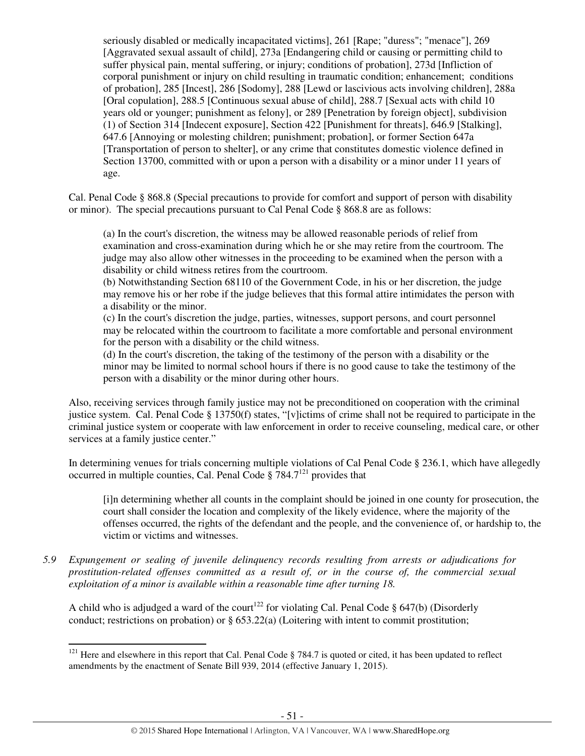seriously disabled or medically incapacitated victims], 261 [Rape; "duress"; "menace"], 269 [Aggravated sexual assault of child], 273a [Endangering child or causing or permitting child to suffer physical pain, mental suffering, or injury; conditions of probation], 273d [Infliction of corporal punishment or injury on child resulting in traumatic condition; enhancement; conditions of probation], 285 [Incest], 286 [Sodomy], 288 [Lewd or lascivious acts involving children], 288a [Oral copulation], 288.5 [Continuous sexual abuse of child], 288.7 [Sexual acts with child 10 years old or younger; punishment as felony], or 289 [Penetration by foreign object], subdivision (1) of Section 314 [Indecent exposure], Section 422 [Punishment for threats], 646.9 [Stalking], 647.6 [Annoying or molesting children; punishment; probation], or former Section 647a [Transportation of person to shelter], or any crime that constitutes domestic violence defined in Section 13700, committed with or upon a person with a disability or a minor under 11 years of age.

Cal. Penal Code § 868.8 (Special precautions to provide for comfort and support of person with disability or minor). The special precautions pursuant to Cal Penal Code § 868.8 are as follows:

(a) In the court's discretion, the witness may be allowed reasonable periods of relief from examination and cross-examination during which he or she may retire from the courtroom. The judge may also allow other witnesses in the proceeding to be examined when the person with a disability or child witness retires from the courtroom.

(b) Notwithstanding Section 68110 of the Government Code, in his or her discretion, the judge may remove his or her robe if the judge believes that this formal attire intimidates the person with a disability or the minor.

(c) In the court's discretion the judge, parties, witnesses, support persons, and court personnel may be relocated within the courtroom to facilitate a more comfortable and personal environment for the person with a disability or the child witness.

(d) In the court's discretion, the taking of the testimony of the person with a disability or the minor may be limited to normal school hours if there is no good cause to take the testimony of the person with a disability or the minor during other hours.

Also, receiving services through family justice may not be preconditioned on cooperation with the criminal justice system. Cal. Penal Code § 13750(f) states, "[v]ictims of crime shall not be required to participate in the criminal justice system or cooperate with law enforcement in order to receive counseling, medical care, or other services at a family justice center."

In determining venues for trials concerning multiple violations of Cal Penal Code § 236.1, which have allegedly occurred in multiple counties, Cal. Penal Code  $\S$  784.7<sup>121</sup> provides that

[i]n determining whether all counts in the complaint should be joined in one county for prosecution, the court shall consider the location and complexity of the likely evidence, where the majority of the offenses occurred, the rights of the defendant and the people, and the convenience of, or hardship to, the victim or victims and witnesses.

*5.9 Expungement or sealing of juvenile delinquency records resulting from arrests or adjudications for prostitution-related offenses committed as a result of, or in the course of, the commercial sexual exploitation of a minor is available within a reasonable time after turning 18.* 

A child who is adjudged a ward of the court<sup>122</sup> for violating Cal. Penal Code § 647(b) (Disorderly conduct; restrictions on probation) or § 653.22(a) (Loitering with intent to commit prostitution;

 $121$  Here and elsewhere in this report that Cal. Penal Code § 784.7 is quoted or cited, it has been updated to reflect amendments by the enactment of Senate Bill 939, 2014 (effective January 1, 2015).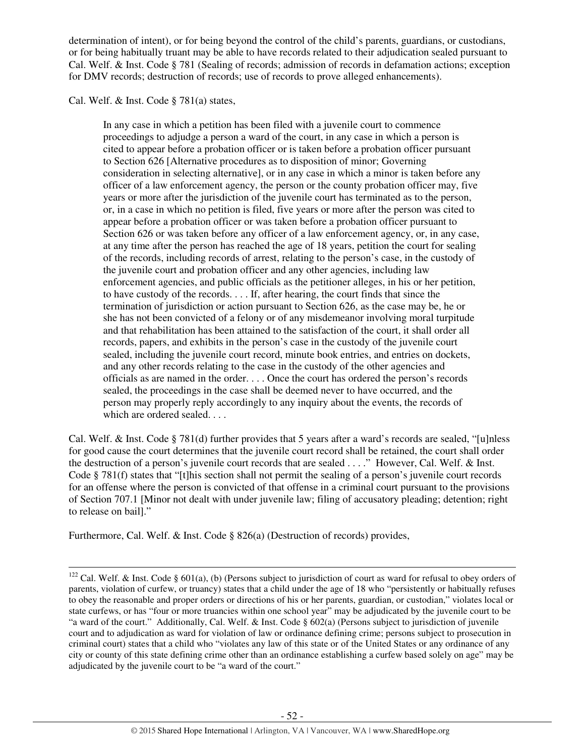determination of intent), or for being beyond the control of the child's parents, guardians, or custodians, or for being habitually truant may be able to have records related to their adjudication sealed pursuant to Cal. Welf. & Inst. Code § 781 (Sealing of records; admission of records in defamation actions; exception for DMV records; destruction of records; use of records to prove alleged enhancements).

Cal. Welf. & Inst. Code § 781(a) states,

 $\overline{a}$ 

In any case in which a petition has been filed with a juvenile court to commence proceedings to adjudge a person a ward of the court, in any case in which a person is cited to appear before a probation officer or is taken before a probation officer pursuant to Section 626 [Alternative procedures as to disposition of minor; Governing consideration in selecting alternative], or in any case in which a minor is taken before any officer of a law enforcement agency, the person or the county probation officer may, five years or more after the jurisdiction of the juvenile court has terminated as to the person, or, in a case in which no petition is filed, five years or more after the person was cited to appear before a probation officer or was taken before a probation officer pursuant to Section 626 or was taken before any officer of a law enforcement agency, or, in any case, at any time after the person has reached the age of 18 years, petition the court for sealing of the records, including records of arrest, relating to the person's case, in the custody of the juvenile court and probation officer and any other agencies, including law enforcement agencies, and public officials as the petitioner alleges, in his or her petition, to have custody of the records. . . . If, after hearing, the court finds that since the termination of jurisdiction or action pursuant to Section 626, as the case may be, he or she has not been convicted of a felony or of any misdemeanor involving moral turpitude and that rehabilitation has been attained to the satisfaction of the court, it shall order all records, papers, and exhibits in the person's case in the custody of the juvenile court sealed, including the juvenile court record, minute book entries, and entries on dockets, and any other records relating to the case in the custody of the other agencies and officials as are named in the order. . . . Once the court has ordered the person's records sealed, the proceedings in the case shall be deemed never to have occurred, and the person may properly reply accordingly to any inquiry about the events, the records of which are ordered sealed. . . .

Cal. Welf. & Inst. Code § 781(d) further provides that 5 years after a ward's records are sealed, "[u]nless for good cause the court determines that the juvenile court record shall be retained, the court shall order the destruction of a person's juvenile court records that are sealed . . . ." However, Cal. Welf. & Inst. Code § 781(f) states that "[t]his section shall not permit the sealing of a person's juvenile court records for an offense where the person is convicted of that offense in a criminal court pursuant to the provisions of Section 707.1 [Minor not dealt with under juvenile law; filing of accusatory pleading; detention; right to release on bail]."

Furthermore, Cal. Welf. & Inst. Code § 826(a) (Destruction of records) provides,

<sup>&</sup>lt;sup>122</sup> Cal. Welf. & Inst. Code § 601(a), (b) (Persons subject to jurisdiction of court as ward for refusal to obey orders of parents, violation of curfew, or truancy) states that a child under the age of 18 who "persistently or habitually refuses to obey the reasonable and proper orders or directions of his or her parents, guardian, or custodian," violates local or state curfews, or has "four or more truancies within one school year" may be adjudicated by the juvenile court to be "a ward of the court." Additionally, Cal. Welf. & Inst. Code § 602(a) (Persons subject to jurisdiction of juvenile court and to adjudication as ward for violation of law or ordinance defining crime; persons subject to prosecution in criminal court) states that a child who "violates any law of this state or of the United States or any ordinance of any city or county of this state defining crime other than an ordinance establishing a curfew based solely on age" may be adjudicated by the juvenile court to be "a ward of the court."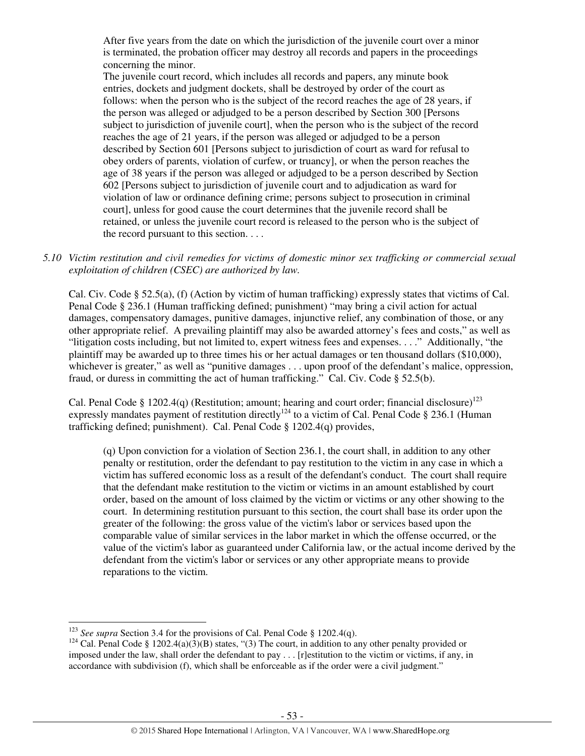After five years from the date on which the jurisdiction of the juvenile court over a minor is terminated, the probation officer may destroy all records and papers in the proceedings concerning the minor.

The juvenile court record, which includes all records and papers, any minute book entries, dockets and judgment dockets, shall be destroyed by order of the court as follows: when the person who is the subject of the record reaches the age of 28 years, if the person was alleged or adjudged to be a person described by Section 300 [Persons subject to jurisdiction of juvenile court], when the person who is the subject of the record reaches the age of 21 years, if the person was alleged or adjudged to be a person described by Section 601 [Persons subject to jurisdiction of court as ward for refusal to obey orders of parents, violation of curfew, or truancy], or when the person reaches the age of 38 years if the person was alleged or adjudged to be a person described by Section 602 [Persons subject to jurisdiction of juvenile court and to adjudication as ward for violation of law or ordinance defining crime; persons subject to prosecution in criminal court], unless for good cause the court determines that the juvenile record shall be retained, or unless the juvenile court record is released to the person who is the subject of the record pursuant to this section. . . .

*5.10 Victim restitution and civil remedies for victims of domestic minor sex trafficking or commercial sexual exploitation of children (CSEC) are authorized by law.* 

Cal. Civ. Code § 52.5(a), (f) (Action by victim of human trafficking) expressly states that victims of Cal. Penal Code § 236.1 (Human trafficking defined; punishment) "may bring a civil action for actual damages, compensatory damages, punitive damages, injunctive relief, any combination of those, or any other appropriate relief. A prevailing plaintiff may also be awarded attorney's fees and costs," as well as "litigation costs including, but not limited to, expert witness fees and expenses. . . ." Additionally, "the plaintiff may be awarded up to three times his or her actual damages or ten thousand dollars (\$10,000), whichever is greater," as well as "punitive damages . . . upon proof of the defendant's malice, oppression, fraud, or duress in committing the act of human trafficking." Cal. Civ. Code § 52.5(b).

Cal. Penal Code § 1202.4(q) (Restitution; amount; hearing and court order; financial disclosure)<sup>123</sup> expressly mandates payment of restitution directly<sup>124</sup> to a victim of Cal. Penal Code  $\S 236.1$  (Human trafficking defined; punishment). Cal. Penal Code § 1202.4(q) provides,

(q) Upon conviction for a violation of Section 236.1, the court shall, in addition to any other penalty or restitution, order the defendant to pay restitution to the victim in any case in which a victim has suffered economic loss as a result of the defendant's conduct. The court shall require that the defendant make restitution to the victim or victims in an amount established by court order, based on the amount of loss claimed by the victim or victims or any other showing to the court. In determining restitution pursuant to this section, the court shall base its order upon the greater of the following: the gross value of the victim's labor or services based upon the comparable value of similar services in the labor market in which the offense occurred, or the value of the victim's labor as guaranteed under California law, or the actual income derived by the defendant from the victim's labor or services or any other appropriate means to provide reparations to the victim.

<sup>&</sup>lt;sup>123</sup> *See supra* Section 3.4 for the provisions of Cal. Penal Code § 1202.4(q).

<sup>&</sup>lt;sup>124</sup> Cal. Penal Code § 1202.4(a)(3)(B) states, "(3) The court, in addition to any other penalty provided or imposed under the law, shall order the defendant to pay . . . [r]estitution to the victim or victims, if any, in accordance with subdivision (f), which shall be enforceable as if the order were a civil judgment."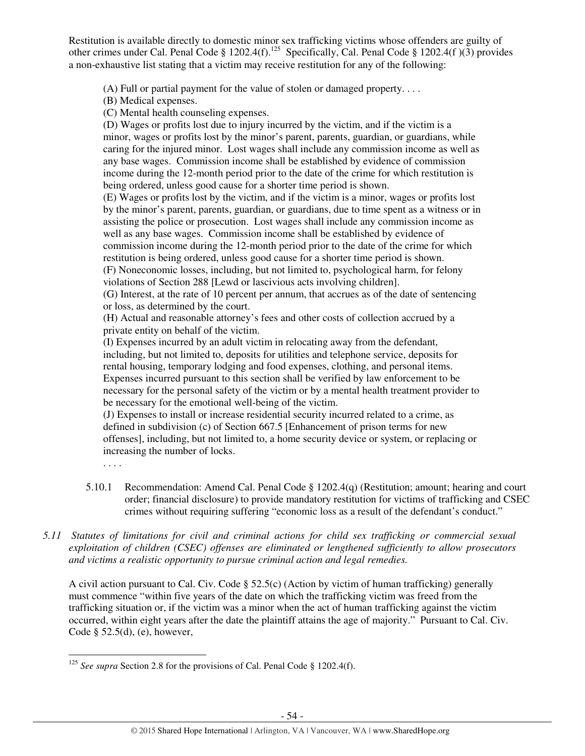Restitution is available directly to domestic minor sex trafficking victims whose offenders are guilty of other crimes under Cal. Penal Code § 1202.4(f).<sup>125</sup> Specifically, Cal. Penal Code § 1202.4(f)(3) provides a non-exhaustive list stating that a victim may receive restitution for any of the following:

(A) Full or partial payment for the value of stolen or damaged property. . . .

(B) Medical expenses.

(C) Mental health counseling expenses.

(D) Wages or profits lost due to injury incurred by the victim, and if the victim is a minor, wages or profits lost by the minor's parent, parents, guardian, or guardians, while caring for the injured minor. Lost wages shall include any commission income as well as any base wages. Commission income shall be established by evidence of commission income during the 12-month period prior to the date of the crime for which restitution is being ordered, unless good cause for a shorter time period is shown.

(E) Wages or profits lost by the victim, and if the victim is a minor, wages or profits lost by the minor's parent, parents, guardian, or guardians, due to time spent as a witness or in assisting the police or prosecution. Lost wages shall include any commission income as well as any base wages. Commission income shall be established by evidence of commission income during the 12-month period prior to the date of the crime for which restitution is being ordered, unless good cause for a shorter time period is shown. (F) Noneconomic losses, including, but not limited to, psychological harm, for felony violations of Section 288 [Lewd or lascivious acts involving children].

(G) Interest, at the rate of 10 percent per annum, that accrues as of the date of sentencing or loss, as determined by the court.

(H) Actual and reasonable attorney's fees and other costs of collection accrued by a private entity on behalf of the victim.

(I) Expenses incurred by an adult victim in relocating away from the defendant, including, but not limited to, deposits for utilities and telephone service, deposits for rental housing, temporary lodging and food expenses, clothing, and personal items. Expenses incurred pursuant to this section shall be verified by law enforcement to be necessary for the personal safety of the victim or by a mental health treatment provider to be necessary for the emotional well-being of the victim.

(J) Expenses to install or increase residential security incurred related to a crime, as defined in subdivision (c) of Section 667.5 [Enhancement of prison terms for new offenses], including, but not limited to, a home security device or system, or replacing or increasing the number of locks.

. . . .

l

- 5.10.1 Recommendation: Amend Cal. Penal Code § 1202.4(q) (Restitution; amount; hearing and court order; financial disclosure) to provide mandatory restitution for victims of trafficking and CSEC crimes without requiring suffering "economic loss as a result of the defendant's conduct."
- *5.11 Statutes of limitations for civil and criminal actions for child sex trafficking or commercial sexual exploitation of children (CSEC) offenses are eliminated or lengthened sufficiently to allow prosecutors and victims a realistic opportunity to pursue criminal action and legal remedies.*

A civil action pursuant to Cal. Civ. Code § 52.5(c) (Action by victim of human trafficking) generally must commence "within five years of the date on which the trafficking victim was freed from the trafficking situation or, if the victim was a minor when the act of human trafficking against the victim occurred, within eight years after the date the plaintiff attains the age of majority." Pursuant to Cal. Civ. Code § 52.5(d), (e), however,

<sup>&</sup>lt;sup>125</sup> *See supra* Section 2.8 for the provisions of Cal. Penal Code § 1202.4(f).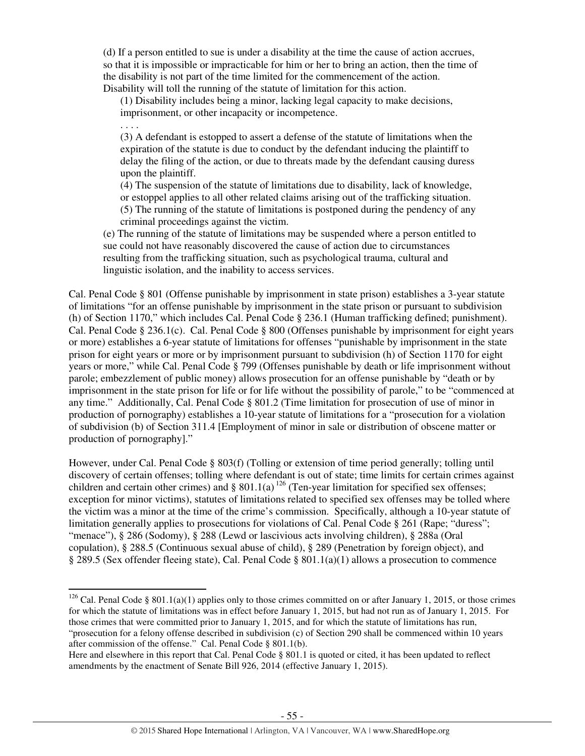(d) If a person entitled to sue is under a disability at the time the cause of action accrues, so that it is impossible or impracticable for him or her to bring an action, then the time of the disability is not part of the time limited for the commencement of the action. Disability will toll the running of the statute of limitation for this action.

(1) Disability includes being a minor, lacking legal capacity to make decisions, imprisonment, or other incapacity or incompetence.

. . . .

l

(3) A defendant is estopped to assert a defense of the statute of limitations when the expiration of the statute is due to conduct by the defendant inducing the plaintiff to delay the filing of the action, or due to threats made by the defendant causing duress upon the plaintiff.

(4) The suspension of the statute of limitations due to disability, lack of knowledge, or estoppel applies to all other related claims arising out of the trafficking situation. (5) The running of the statute of limitations is postponed during the pendency of any criminal proceedings against the victim.

(e) The running of the statute of limitations may be suspended where a person entitled to sue could not have reasonably discovered the cause of action due to circumstances resulting from the trafficking situation, such as psychological trauma, cultural and linguistic isolation, and the inability to access services.

Cal. Penal Code § 801 (Offense punishable by imprisonment in state prison) establishes a 3-year statute of limitations "for an offense punishable by imprisonment in the state prison or pursuant to subdivision (h) of Section 1170," which includes Cal. Penal Code § 236.1 (Human trafficking defined; punishment). Cal. Penal Code § 236.1(c). Cal. Penal Code § 800 (Offenses punishable by imprisonment for eight years or more) establishes a 6-year statute of limitations for offenses "punishable by imprisonment in the state prison for eight years or more or by imprisonment pursuant to subdivision (h) of Section 1170 for eight years or more," while Cal. Penal Code § 799 (Offenses punishable by death or life imprisonment without parole; embezzlement of public money) allows prosecution for an offense punishable by "death or by imprisonment in the state prison for life or for life without the possibility of parole," to be "commenced at any time." Additionally, Cal. Penal Code § 801.2 (Time limitation for prosecution of use of minor in production of pornography) establishes a 10-year statute of limitations for a "prosecution for a violation of subdivision (b) of Section 311.4 [Employment of minor in sale or distribution of obscene matter or production of pornography]."

However, under Cal. Penal Code § 803(f) (Tolling or extension of time period generally; tolling until discovery of certain offenses; tolling where defendant is out of state; time limits for certain crimes against children and certain other crimes) and § 801.1(a)<sup>126</sup> (Ten-year limitation for specified sex offenses; exception for minor victims), statutes of limitations related to specified sex offenses may be tolled where the victim was a minor at the time of the crime's commission. Specifically, although a 10-year statute of limitation generally applies to prosecutions for violations of Cal. Penal Code § 261 (Rape; "duress"; "menace"), § 286 (Sodomy), § 288 (Lewd or lascivious acts involving children), § 288a (Oral copulation), § 288.5 (Continuous sexual abuse of child), § 289 (Penetration by foreign object), and § 289.5 (Sex offender fleeing state), Cal. Penal Code § 801.1(a)(1) allows a prosecution to commence

<sup>&</sup>lt;sup>126</sup> Cal. Penal Code § 801.1(a)(1) applies only to those crimes committed on or after January 1, 2015, or those crimes for which the statute of limitations was in effect before January 1, 2015, but had not run as of January 1, 2015. For those crimes that were committed prior to January 1, 2015, and for which the statute of limitations has run, "prosecution for a felony offense described in subdivision (c) of Section 290 shall be commenced within 10 years after commission of the offense." Cal. Penal Code § 801.1(b).

Here and elsewhere in this report that Cal. Penal Code § 801.1 is quoted or cited, it has been updated to reflect amendments by the enactment of Senate Bill 926, 2014 (effective January 1, 2015).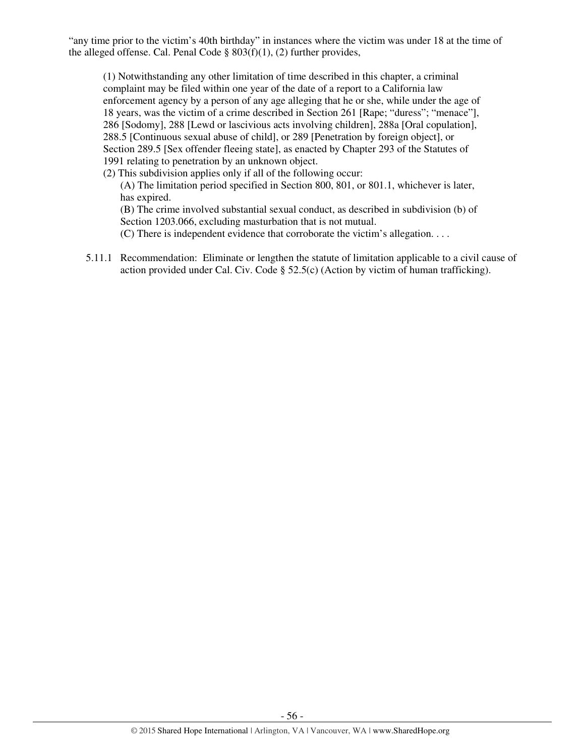"any time prior to the victim's 40th birthday" in instances where the victim was under 18 at the time of the alleged offense. Cal. Penal Code  $\S 803(f)(1)$ , (2) further provides,

(1) Notwithstanding any other limitation of time described in this chapter, a criminal complaint may be filed within one year of the date of a report to a California law enforcement agency by a person of any age alleging that he or she, while under the age of 18 years, was the victim of a crime described in Section 261 [Rape; "duress"; "menace"], 286 [Sodomy], 288 [Lewd or lascivious acts involving children], 288a [Oral copulation], 288.5 [Continuous sexual abuse of child], or 289 [Penetration by foreign object], or Section 289.5 [Sex offender fleeing state], as enacted by Chapter 293 of the Statutes of 1991 relating to penetration by an unknown object.

(2) This subdivision applies only if all of the following occur:

(A) The limitation period specified in Section 800, 801, or 801.1, whichever is later, has expired.

(B) The crime involved substantial sexual conduct, as described in subdivision (b) of Section 1203.066, excluding masturbation that is not mutual.

(C) There is independent evidence that corroborate the victim's allegation. . . .

5.11.1 Recommendation: Eliminate or lengthen the statute of limitation applicable to a civil cause of action provided under Cal. Civ. Code  $\S$  52.5(c) (Action by victim of human trafficking).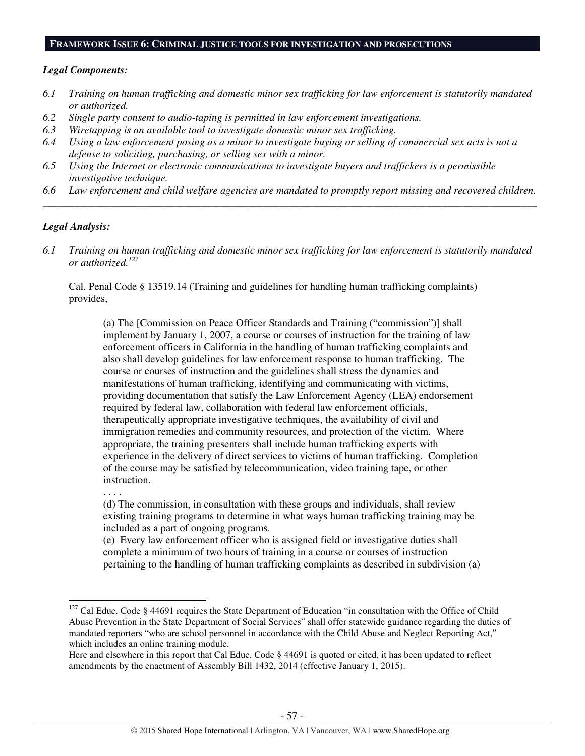#### **FRAMEWORK ISSUE 6: CRIMINAL JUSTICE TOOLS FOR INVESTIGATION AND PROSECUTIONS**

#### *Legal Components:*

- *6.1 Training on human trafficking and domestic minor sex trafficking for law enforcement is statutorily mandated or authorized.*
- *6.2 Single party consent to audio-taping is permitted in law enforcement investigations.*
- *6.3 Wiretapping is an available tool to investigate domestic minor sex trafficking.*
- *6.4 Using a law enforcement posing as a minor to investigate buying or selling of commercial sex acts is not a defense to soliciting, purchasing, or selling sex with a minor.*
- *6.5 Using the Internet or electronic communications to investigate buyers and traffickers is a permissible investigative technique.*
- *6.6 Law enforcement and child welfare agencies are mandated to promptly report missing and recovered children. \_\_\_\_\_\_\_\_\_\_\_\_\_\_\_\_\_\_\_\_\_\_\_\_\_\_\_\_\_\_\_\_\_\_\_\_\_\_\_\_\_\_\_\_\_\_\_\_\_\_\_\_\_\_\_\_\_\_\_\_\_\_\_\_\_\_\_\_\_\_\_\_\_\_\_\_\_\_\_\_\_\_\_\_\_\_\_\_\_\_\_\_\_\_*

## *Legal Analysis:*

*6.1 Training on human trafficking and domestic minor sex trafficking for law enforcement is statutorily mandated or authorized.<sup>127</sup>*

Cal. Penal Code § 13519.14 (Training and guidelines for handling human trafficking complaints) provides,

(a) The [Commission on Peace Officer Standards and Training ("commission")] shall implement by January 1, 2007, a course or courses of instruction for the training of law enforcement officers in California in the handling of human trafficking complaints and also shall develop guidelines for law enforcement response to human trafficking. The course or courses of instruction and the guidelines shall stress the dynamics and manifestations of human trafficking, identifying and communicating with victims, providing documentation that satisfy the Law Enforcement Agency (LEA) endorsement required by federal law, collaboration with federal law enforcement officials, therapeutically appropriate investigative techniques, the availability of civil and immigration remedies and community resources, and protection of the victim. Where appropriate, the training presenters shall include human trafficking experts with experience in the delivery of direct services to victims of human trafficking. Completion of the course may be satisfied by telecommunication, video training tape, or other instruction.

. . . .

 $\overline{a}$ 

(d) The commission, in consultation with these groups and individuals, shall review existing training programs to determine in what ways human trafficking training may be included as a part of ongoing programs.

(e) Every law enforcement officer who is assigned field or investigative duties shall complete a minimum of two hours of training in a course or courses of instruction pertaining to the handling of human trafficking complaints as described in subdivision (a)

<sup>&</sup>lt;sup>127</sup> Cal Educ. Code § 44691 requires the State Department of Education "in consultation with the Office of Child Abuse Prevention in the State Department of Social Services" shall offer statewide guidance regarding the duties of mandated reporters "who are school personnel in accordance with the Child Abuse and Neglect Reporting Act," which includes an online training module.

Here and elsewhere in this report that Cal Educ. Code § 44691 is quoted or cited, it has been updated to reflect amendments by the enactment of Assembly Bill 1432, 2014 (effective January 1, 2015).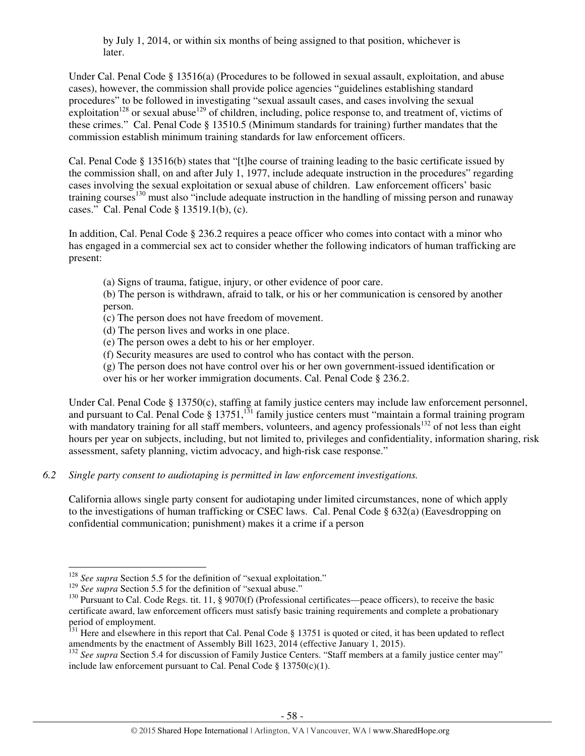by July 1, 2014, or within six months of being assigned to that position, whichever is later.

Under Cal. Penal Code § 13516(a) (Procedures to be followed in sexual assault, exploitation, and abuse cases), however, the commission shall provide police agencies "guidelines establishing standard procedures" to be followed in investigating "sexual assault cases, and cases involving the sexual exploitation<sup>128</sup> or sexual abuse<sup>129</sup> of children, including, police response to, and treatment of, victims of these crimes." Cal. Penal Code § 13510.5 (Minimum standards for training) further mandates that the commission establish minimum training standards for law enforcement officers.

Cal. Penal Code § 13516(b) states that "[t]he course of training leading to the basic certificate issued by the commission shall, on and after July 1, 1977, include adequate instruction in the procedures" regarding cases involving the sexual exploitation or sexual abuse of children. Law enforcement officers' basic training courses<sup>130</sup> must also "include adequate instruction in the handling of missing person and runaway cases." Cal. Penal Code § 13519.1(b), (c).

In addition, Cal. Penal Code § 236.2 requires a peace officer who comes into contact with a minor who has engaged in a commercial sex act to consider whether the following indicators of human trafficking are present:

(a) Signs of trauma, fatigue, injury, or other evidence of poor care.

(b) The person is withdrawn, afraid to talk, or his or her communication is censored by another person.

(c) The person does not have freedom of movement.

(d) The person lives and works in one place.

(e) The person owes a debt to his or her employer.

(f) Security measures are used to control who has contact with the person.

(g) The person does not have control over his or her own government-issued identification or over his or her worker immigration documents. Cal. Penal Code § 236.2.

Under Cal. Penal Code § 13750(c), staffing at family justice centers may include law enforcement personnel, and pursuant to Cal. Penal Code  $\S 13751$ ,  $^{131}$  family justice centers must "maintain a formal training program" with mandatory training for all staff members, volunteers, and agency professionals<sup>132</sup> of not less than eight hours per year on subjects, including, but not limited to, privileges and confidentiality, information sharing, risk assessment, safety planning, victim advocacy, and high-risk case response."

*6.2 Single party consent to audiotaping is permitted in law enforcement investigations.* 

California allows single party consent for audiotaping under limited circumstances, none of which apply to the investigations of human trafficking or CSEC laws. Cal. Penal Code § 632(a) (Eavesdropping on confidential communication; punishment) makes it a crime if a person

l

<sup>&</sup>lt;sup>128</sup> *See supra* Section 5.5 for the definition of "sexual exploitation."

<sup>&</sup>lt;sup>129</sup> *See supra* Section 5.5 for the definition of "sexual abuse."

<sup>&</sup>lt;sup>130</sup> Pursuant to Cal. Code Regs. tit. 11, § 9070(f) (Professional certificates—peace officers), to receive the basic certificate award, law enforcement officers must satisfy basic training requirements and complete a probationary period of employment.

<sup>&</sup>lt;sup>131</sup> Here and elsewhere in this report that Cal. Penal Code § 13751 is quoted or cited, it has been updated to reflect amendments by the enactment of Assembly Bill 1623, 2014 (effective January 1, 2015).

<sup>&</sup>lt;sup>132</sup> See supra Section 5.4 for discussion of Family Justice Centers. "Staff members at a family justice center may" include law enforcement pursuant to Cal. Penal Code  $\S 13750(c)(1)$ .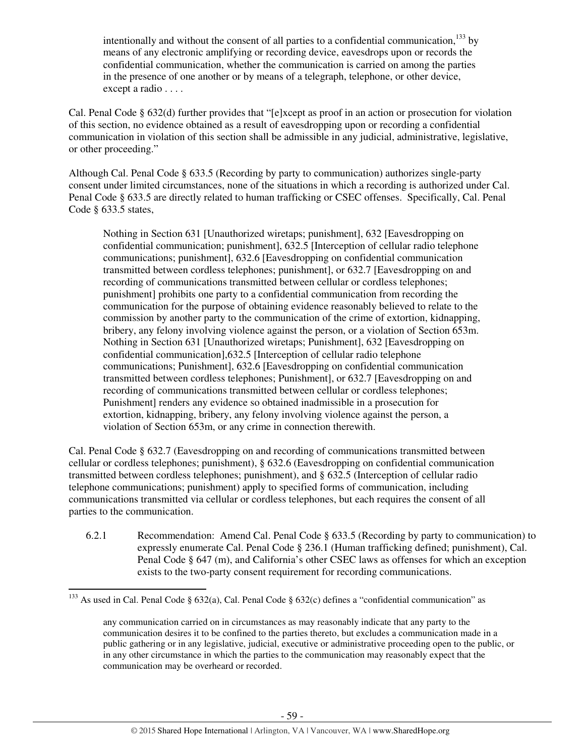intentionally and without the consent of all parties to a confidential communication,  $^{133}$  by means of any electronic amplifying or recording device, eavesdrops upon or records the confidential communication, whether the communication is carried on among the parties in the presence of one another or by means of a telegraph, telephone, or other device, except a radio . . . .

Cal. Penal Code § 632(d) further provides that "[e]xcept as proof in an action or prosecution for violation of this section, no evidence obtained as a result of eavesdropping upon or recording a confidential communication in violation of this section shall be admissible in any judicial, administrative, legislative, or other proceeding."

Although Cal. Penal Code § 633.5 (Recording by party to communication) authorizes single-party consent under limited circumstances, none of the situations in which a recording is authorized under Cal. Penal Code § 633.5 are directly related to human trafficking or CSEC offenses. Specifically, Cal. Penal Code § 633.5 states,

Nothing in Section 631 [Unauthorized wiretaps; punishment], 632 [Eavesdropping on confidential communication; punishment], 632.5 [Interception of cellular radio telephone communications; punishment], 632.6 [Eavesdropping on confidential communication transmitted between cordless telephones; punishment], or 632.7 [Eavesdropping on and recording of communications transmitted between cellular or cordless telephones; punishment] prohibits one party to a confidential communication from recording the communication for the purpose of obtaining evidence reasonably believed to relate to the commission by another party to the communication of the crime of extortion, kidnapping, bribery, any felony involving violence against the person, or a violation of Section 653m. Nothing in Section 631 [Unauthorized wiretaps; Punishment], 632 [Eavesdropping on confidential communication],632.5 [Interception of cellular radio telephone communications; Punishment], 632.6 [Eavesdropping on confidential communication transmitted between cordless telephones; Punishment], or 632.7 [Eavesdropping on and recording of communications transmitted between cellular or cordless telephones; Punishment] renders any evidence so obtained inadmissible in a prosecution for extortion, kidnapping, bribery, any felony involving violence against the person, a violation of Section 653m, or any crime in connection therewith.

Cal. Penal Code § 632.7 (Eavesdropping on and recording of communications transmitted between cellular or cordless telephones; punishment), § 632.6 (Eavesdropping on confidential communication transmitted between cordless telephones; punishment), and § 632.5 (Interception of cellular radio telephone communications; punishment) apply to specified forms of communication, including communications transmitted via cellular or cordless telephones, but each requires the consent of all parties to the communication.

6.2.1 Recommendation: Amend Cal. Penal Code § 633.5 (Recording by party to communication) to expressly enumerate Cal. Penal Code § 236.1 (Human trafficking defined; punishment), Cal. Penal Code § 647 (m), and California's other CSEC laws as offenses for which an exception exists to the two-party consent requirement for recording communications.

<sup>&</sup>lt;sup>133</sup> As used in Cal. Penal Code § 632(a), Cal. Penal Code § 632(c) defines a "confidential communication" as

any communication carried on in circumstances as may reasonably indicate that any party to the communication desires it to be confined to the parties thereto, but excludes a communication made in a public gathering or in any legislative, judicial, executive or administrative proceeding open to the public, or in any other circumstance in which the parties to the communication may reasonably expect that the communication may be overheard or recorded.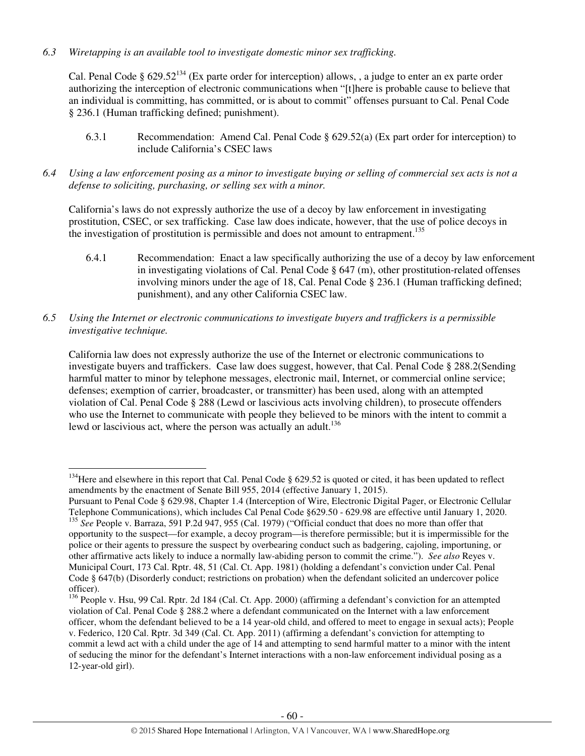*6.3 Wiretapping is an available tool to investigate domestic minor sex trafficking.* 

Cal. Penal Code §  $629.52^{134}$  (Ex parte order for interception) allows, , a judge to enter an ex parte order authorizing the interception of electronic communications when "[t]here is probable cause to believe that an individual is committing, has committed, or is about to commit" offenses pursuant to Cal. Penal Code § 236.1 (Human trafficking defined; punishment).

- 6.3.1 Recommendation: Amend Cal. Penal Code § 629.52(a) (Ex part order for interception) to include California's CSEC laws
- *6.4 Using a law enforcement posing as a minor to investigate buying or selling of commercial sex acts is not a defense to soliciting, purchasing, or selling sex with a minor.*

California's laws do not expressly authorize the use of a decoy by law enforcement in investigating prostitution, CSEC, or sex trafficking. Case law does indicate, however, that the use of police decoys in the investigation of prostitution is permissible and does not amount to entrapment.<sup>135</sup>

- 6.4.1 Recommendation: Enact a law specifically authorizing the use of a decoy by law enforcement in investigating violations of Cal. Penal Code  $\S$  647 (m), other prostitution-related offenses involving minors under the age of 18, Cal. Penal Code § 236.1 (Human trafficking defined; punishment), and any other California CSEC law.
- *6.5 Using the Internet or electronic communications to investigate buyers and traffickers is a permissible investigative technique.*

California law does not expressly authorize the use of the Internet or electronic communications to investigate buyers and traffickers. Case law does suggest, however, that Cal. Penal Code § 288.2(Sending harmful matter to minor by telephone messages, electronic mail, Internet, or commercial online service; defenses; exemption of carrier, broadcaster, or transmitter) has been used, along with an attempted violation of Cal. Penal Code § 288 (Lewd or lascivious acts involving children), to prosecute offenders who use the Internet to communicate with people they believed to be minors with the intent to commit a lewd or lascivious act, where the person was actually an adult.<sup>136</sup>

l

 $134$  Here and elsewhere in this report that Cal. Penal Code § 629.52 is quoted or cited, it has been updated to reflect amendments by the enactment of Senate Bill 955, 2014 (effective January 1, 2015).

Pursuant to Penal Code § 629.98, Chapter 1.4 (Interception of Wire, Electronic Digital Pager, or Electronic Cellular Telephone Communications), which includes Cal Penal Code §629.50 - 629.98 are effective until January 1, 2020. <sup>135</sup> *See* People v. Barraza, 591 P.2d 947, 955 (Cal. 1979) ("Official conduct that does no more than offer that opportunity to the suspect—for example, a decoy program—is therefore permissible; but it is impermissible for the police or their agents to pressure the suspect by overbearing conduct such as badgering, cajoling, importuning, or other affirmative acts likely to induce a normally law-abiding person to commit the crime."). *See also* Reyes v. Municipal Court, 173 Cal. Rptr. 48, 51 (Cal. Ct. App. 1981) (holding a defendant's conviction under Cal. Penal Code § 647(b) (Disorderly conduct; restrictions on probation) when the defendant solicited an undercover police officer).

<sup>&</sup>lt;sup>136</sup> People v. Hsu, 99 Cal. Rptr. 2d 184 (Cal. Ct. App. 2000) (affirming a defendant's conviction for an attempted violation of Cal. Penal Code § 288.2 where a defendant communicated on the Internet with a law enforcement officer, whom the defendant believed to be a 14 year-old child, and offered to meet to engage in sexual acts); People v. Federico, 120 Cal. Rptr. 3d 349 (Cal. Ct. App. 2011) (affirming a defendant's conviction for attempting to commit a lewd act with a child under the age of 14 and attempting to send harmful matter to a minor with the intent of seducing the minor for the defendant's Internet interactions with a non-law enforcement individual posing as a 12-year-old girl).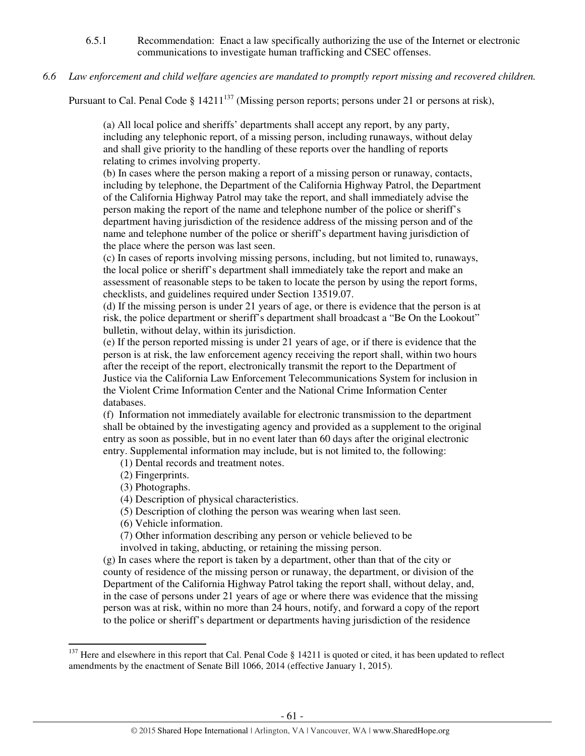- 6.5.1 Recommendation: Enact a law specifically authorizing the use of the Internet or electronic communications to investigate human trafficking and CSEC offenses.
- *6.6 Law enforcement and child welfare agencies are mandated to promptly report missing and recovered children.*

Pursuant to Cal. Penal Code §  $14211^{137}$  (Missing person reports; persons under 21 or persons at risk),

(a) All local police and sheriffs' departments shall accept any report, by any party, including any telephonic report, of a missing person, including runaways, without delay and shall give priority to the handling of these reports over the handling of reports relating to crimes involving property.

(b) In cases where the person making a report of a missing person or runaway, contacts, including by telephone, the Department of the California Highway Patrol, the Department of the California Highway Patrol may take the report, and shall immediately advise the person making the report of the name and telephone number of the police or sheriff's department having jurisdiction of the residence address of the missing person and of the name and telephone number of the police or sheriff's department having jurisdiction of the place where the person was last seen.

(c) In cases of reports involving missing persons, including, but not limited to, runaways, the local police or sheriff's department shall immediately take the report and make an assessment of reasonable steps to be taken to locate the person by using the report forms, checklists, and guidelines required under Section 13519.07.

(d) If the missing person is under 21 years of age, or there is evidence that the person is at risk, the police department or sheriff's department shall broadcast a "Be On the Lookout" bulletin, without delay, within its jurisdiction.

(e) If the person reported missing is under 21 years of age, or if there is evidence that the person is at risk, the law enforcement agency receiving the report shall, within two hours after the receipt of the report, electronically transmit the report to the Department of Justice via the California Law Enforcement Telecommunications System for inclusion in the Violent Crime Information Center and the National Crime Information Center databases.

(f) Information not immediately available for electronic transmission to the department shall be obtained by the investigating agency and provided as a supplement to the original entry as soon as possible, but in no event later than 60 days after the original electronic entry. Supplemental information may include, but is not limited to, the following:

(1) Dental records and treatment notes.

- (2) Fingerprints.
- (3) Photographs.

l

(4) Description of physical characteristics.

(5) Description of clothing the person was wearing when last seen.

(6) Vehicle information.

(7) Other information describing any person or vehicle believed to be

involved in taking, abducting, or retaining the missing person.

(g) In cases where the report is taken by a department, other than that of the city or county of residence of the missing person or runaway, the department, or division of the Department of the California Highway Patrol taking the report shall, without delay, and, in the case of persons under 21 years of age or where there was evidence that the missing person was at risk, within no more than 24 hours, notify, and forward a copy of the report to the police or sheriff's department or departments having jurisdiction of the residence

<sup>&</sup>lt;sup>137</sup> Here and elsewhere in this report that Cal. Penal Code  $\S$  14211 is quoted or cited, it has been updated to reflect amendments by the enactment of Senate Bill 1066, 2014 (effective January 1, 2015).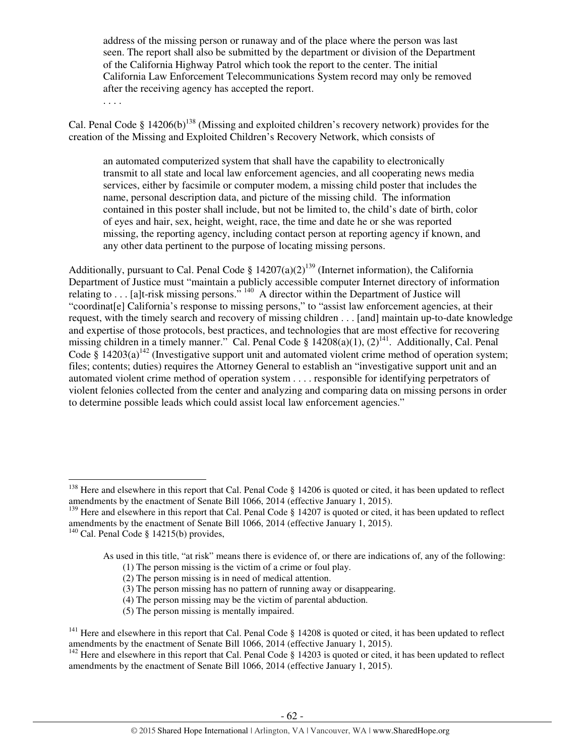address of the missing person or runaway and of the place where the person was last seen. The report shall also be submitted by the department or division of the Department of the California Highway Patrol which took the report to the center. The initial California Law Enforcement Telecommunications System record may only be removed after the receiving agency has accepted the report.

. . . .

Cal. Penal Code § 14206(b)<sup>138</sup> (Missing and exploited children's recovery network) provides for the creation of the Missing and Exploited Children's Recovery Network, which consists of

an automated computerized system that shall have the capability to electronically transmit to all state and local law enforcement agencies, and all cooperating news media services, either by facsimile or computer modem, a missing child poster that includes the name, personal description data, and picture of the missing child. The information contained in this poster shall include, but not be limited to, the child's date of birth, color of eyes and hair, sex, height, weight, race, the time and date he or she was reported missing, the reporting agency, including contact person at reporting agency if known, and any other data pertinent to the purpose of locating missing persons.

Additionally, pursuant to Cal. Penal Code §  $14207(a)(2)^{139}$  (Internet information), the California Department of Justice must "maintain a publicly accessible computer Internet directory of information relating to . . . [a]t-risk missing persons."  $140$  A director within the Department of Justice will "coordinat[e] California's response to missing persons," to "assist law enforcement agencies, at their request, with the timely search and recovery of missing children . . . [and] maintain up-to-date knowledge and expertise of those protocols, best practices, and technologies that are most effective for recovering missing children in a timely manner." Cal. Penal Code §  $14208(a)(1)$ ,  $(2)^{141}$ . Additionally, Cal. Penal Code § 14203(a)<sup>142</sup> (Investigative support unit and automated violent crime method of operation system; files; contents; duties) requires the Attorney General to establish an "investigative support unit and an automated violent crime method of operation system . . . . responsible for identifying perpetrators of violent felonies collected from the center and analyzing and comparing data on missing persons in order to determine possible leads which could assist local law enforcement agencies."

<sup>&</sup>lt;sup>138</sup> Here and elsewhere in this report that Cal. Penal Code  $\S$  14206 is quoted or cited, it has been updated to reflect amendments by the enactment of Senate Bill 1066, 2014 (effective January 1, 2015).

<sup>&</sup>lt;sup>139</sup> Here and elsewhere in this report that Cal. Penal Code § 14207 is quoted or cited, it has been updated to reflect amendments by the enactment of Senate Bill 1066, 2014 (effective January 1, 2015).

 $140$  Cal. Penal Code § 14215(b) provides,

As used in this title, "at risk" means there is evidence of, or there are indications of, any of the following: (1) The person missing is the victim of a crime or foul play.

 <sup>(2)</sup> The person missing is in need of medical attention.

 <sup>(3)</sup> The person missing has no pattern of running away or disappearing.

 <sup>(4)</sup> The person missing may be the victim of parental abduction.

 <sup>(5)</sup> The person missing is mentally impaired.

<sup>&</sup>lt;sup>141</sup> Here and elsewhere in this report that Cal. Penal Code  $\S$  14208 is quoted or cited, it has been updated to reflect amendments by the enactment of Senate Bill 1066, 2014 (effective January 1, 2015).

<sup>&</sup>lt;sup>142</sup> Here and elsewhere in this report that Cal. Penal Code  $\S$  14203 is quoted or cited, it has been updated to reflect amendments by the enactment of Senate Bill 1066, 2014 (effective January 1, 2015).